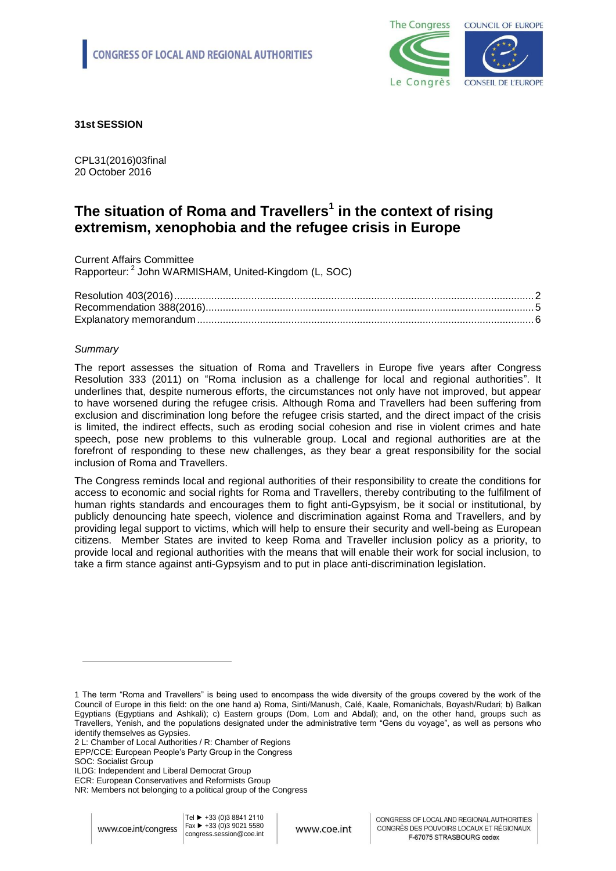

**31st SESSION**

CPL31(2016)03final 20 October 2016

# **The situation of Roma and Travellers<sup>1</sup> in the context of rising extremism, xenophobia and the refugee crisis in Europe**

Current Affairs Committee Rapporteur: <sup>2</sup> John WARMISHAM, United-Kingdom (L, SOC)

### *Summary*

l

The report assesses the situation of Roma and Travellers in Europe five years after Congress Resolution 333 (2011) on "Roma inclusion as a challenge for local and regional authorities". It underlines that, despite numerous efforts, the circumstances not only have not improved, but appear to have worsened during the refugee crisis. Although Roma and Travellers had been suffering from exclusion and discrimination long before the refugee crisis started, and the direct impact of the crisis is limited, the indirect effects, such as eroding social cohesion and rise in violent crimes and hate speech, pose new problems to this vulnerable group. Local and regional authorities are at the forefront of responding to these new challenges, as they bear a great responsibility for the social inclusion of Roma and Travellers.

The Congress reminds local and regional authorities of their responsibility to create the conditions for access to economic and social rights for Roma and Travellers, thereby contributing to the fulfilment of human rights standards and encourages them to fight anti-Gypsyism, be it social or institutional, by publicly denouncing hate speech, violence and discrimination against Roma and Travellers, and by providing legal support to victims, which will help to ensure their security and well-being as European citizens. Member States are invited to keep Roma and Traveller inclusion policy as a priority, to provide local and regional authorities with the means that will enable their work for social inclusion, to take a firm stance against anti-Gypsyism and to put in place anti-discrimination legislation.

- 2 L: Chamber of Local Authorities / R: Chamber of Regions EPP/CCE: European People's Party Group in the Congress
- SOC: Socialist Group

<sup>1</sup> The term "Roma and Travellers" is being used to encompass the wide diversity of the groups covered by the work of the Council of Europe in this field: on the one hand a) Roma, Sinti/Manush, Calé, Kaale, Romanichals, Boyash/Rudari; b) Balkan Egyptians (Egyptians and Ashkali); c) Eastern groups (Dom, Lom and Abdal); and, on the other hand, groups such as Travellers, Yenish, and the populations designated under the administrative term "Gens du voyage", as well as persons who identify themselves as Gypsies.

ILDG: Independent and Liberal Democrat Group ECR: European Conservatives and Reformists Group

NR: Members not belonging to a political group of the Congress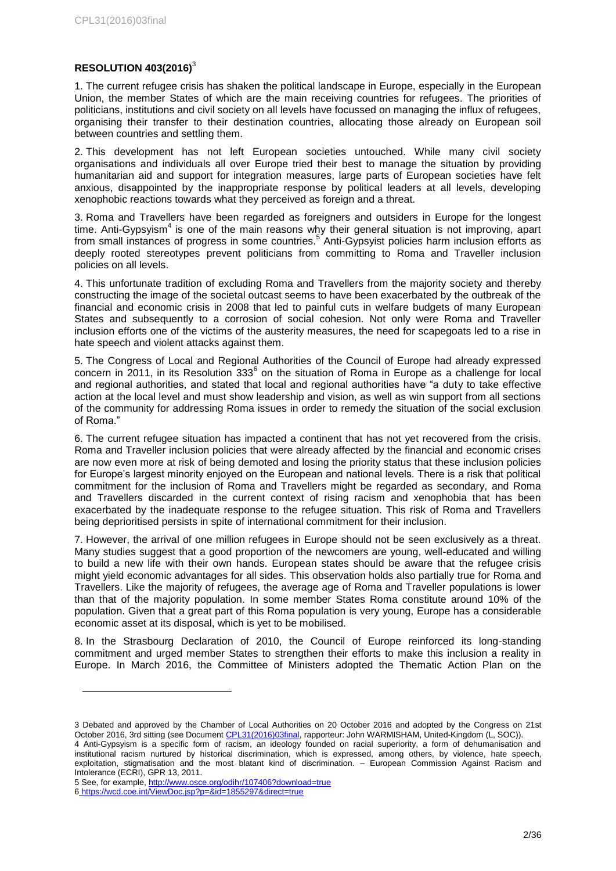### <span id="page-1-0"></span>**RESOLUTION 403(2016)**<sup>3</sup>

1. The current refugee crisis has shaken the political landscape in Europe, especially in the European Union, the member States of which are the main receiving countries for refugees. The priorities of politicians, institutions and civil society on all levels have focussed on managing the influx of refugees, organising their transfer to their destination countries, allocating those already on European soil between countries and settling them.

2. This development has not left European societies untouched. While many civil society organisations and individuals all over Europe tried their best to manage the situation by providing humanitarian aid and support for integration measures, large parts of European societies have felt anxious, disappointed by the inappropriate response by political leaders at all levels, developing xenophobic reactions towards what they perceived as foreign and a threat.

3. Roma and Travellers have been regarded as foreigners and outsiders in Europe for the longest time. Anti-Gypsyism<sup>4</sup> is one of the main reasons why their general situation is not improving, apart from small instances of progress in some countries.<sup>5</sup> Anti-Gypsyist policies harm inclusion efforts as deeply rooted stereotypes prevent politicians from committing to Roma and Traveller inclusion policies on all levels.

4. This unfortunate tradition of excluding Roma and Travellers from the majority society and thereby constructing the image of the societal outcast seems to have been exacerbated by the outbreak of the financial and economic crisis in 2008 that led to painful cuts in welfare budgets of many European States and subsequently to a corrosion of social cohesion. Not only were Roma and Traveller inclusion efforts one of the victims of the austerity measures, the need for scapegoats led to a rise in hate speech and violent attacks against them.

5. The Congress of Local and Regional Authorities of the Council of Europe had already expressed concern in 2011, in its Resolution 333<sup>6</sup> on the situation of Roma in Europe as a challenge for local and regional authorities, and stated that local and regional authorities have "a duty to take effective action at the local level and must show leadership and vision, as well as win support from all sections of the community for addressing Roma issues in order to remedy the situation of the social exclusion of Roma."

6. The current refugee situation has impacted a continent that has not yet recovered from the crisis. Roma and Traveller inclusion policies that were already affected by the financial and economic crises are now even more at risk of being demoted and losing the priority status that these inclusion policies for Europe's largest minority enjoyed on the European and national levels. There is a risk that political commitment for the inclusion of Roma and Travellers might be regarded as secondary, and Roma and Travellers discarded in the current context of rising racism and xenophobia that has been exacerbated by the inadequate response to the refugee situation. This risk of Roma and Travellers being deprioritised persists in spite of international commitment for their inclusion.

7. However, the arrival of one million refugees in Europe should not be seen exclusively as a threat. Many studies suggest that a good proportion of the newcomers are young, well-educated and willing to build a new life with their own hands. European states should be aware that the refugee crisis might yield economic advantages for all sides. This observation holds also partially true for Roma and Travellers. Like the majority of refugees, the average age of Roma and Traveller populations is lower than that of the majority population. In some member States Roma constitute around 10% of the population. Given that a great part of this Roma population is very young, Europe has a considerable economic asset at its disposal, which is yet to be mobilised.

8. In the Strasbourg Declaration of 2010, the Council of Europe reinforced its long-standing commitment and urged member States to strengthen their efforts to make this inclusion a reality in Europe. In March 2016, the Committee of Ministers adopted the Thematic Action Plan on the

5 See, for example[, http://www.osce.org/odihr/107406?download=true](http://www.osce.org/odihr/107406?download=true)

<sup>3</sup> Debated and approved by the Chamber of Local Authorities on 20 October 2016 and adopted by the Congress on 21st October 2016, 3rd sitting (see Document [CPL31\(2016\)03final,](https://wcd.coe.int/ViewDoc.jsp?p=&Ref=CPL31(2016)03FINAL&Language=lanEnglish&Ver=original&Site=COE&BackColorInternet=C3C3C3&BackColorIntranet=CACC9A&BackColorLogged=EFEA9C&direct=true) rapporteur: John WARMISHAM, United-Kingdom (L, SOC)).

<sup>4</sup> Anti-Gypsyism is a specific form of racism, an ideology founded on racial superiority, a form of dehumanisation and institutional racism nurtured by historical discrimination, which is expressed, among others, by violence, hate speech, exploitation, stigmatisation and the most blatant kind of discrimination. – European Commission Against Racism and Intolerance (ECRI), GPR 13, 2011.

<sup>6</sup> <https://wcd.coe.int/ViewDoc.jsp?p=&id=1855297&direct=true>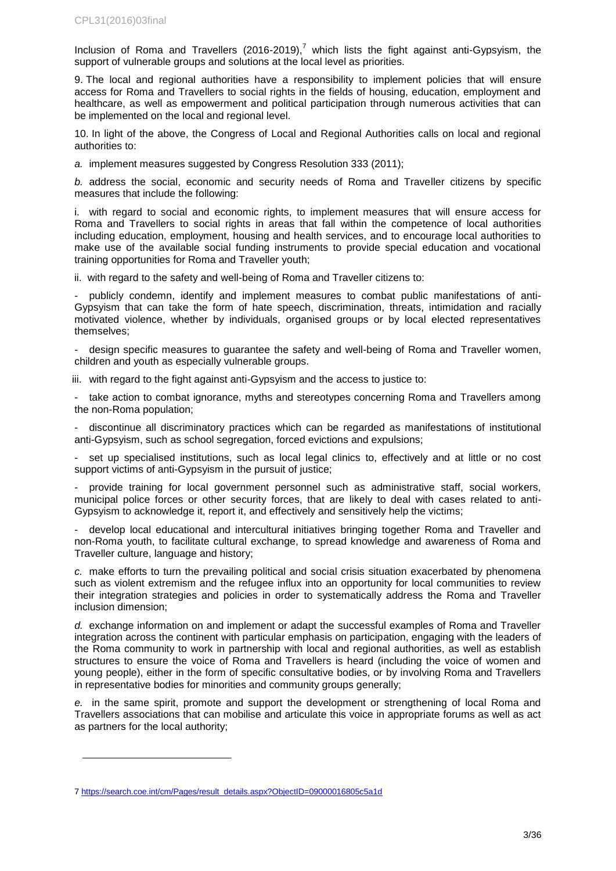Inclusion of Roma and Travellers  $(2016{\text -}2019)^7$  which lists the fight against anti-Gypsyism, the support of vulnerable groups and solutions at the local level as priorities.

9. The local and regional authorities have a responsibility to implement policies that will ensure access for Roma and Travellers to social rights in the fields of housing, education, employment and healthcare, as well as empowerment and political participation through numerous activities that can be implemented on the local and regional level.

10. In light of the above, the Congress of Local and Regional Authorities calls on local and regional authorities to:

*a.* implement measures suggested by Congress Resolution 333 (2011);

*b.* address the social, economic and security needs of Roma and Traveller citizens by specific measures that include the following:

i. with regard to social and economic rights, to implement measures that will ensure access for Roma and Travellers to social rights in areas that fall within the competence of local authorities including education, employment, housing and health services, and to encourage local authorities to make use of the available social funding instruments to provide special education and vocational training opportunities for Roma and Traveller youth;

ii. with regard to the safety and well-being of Roma and Traveller citizens to:

publicly condemn, identify and implement measures to combat public manifestations of anti-Gypsyism that can take the form of hate speech, discrimination, threats, intimidation and racially motivated violence, whether by individuals, organised groups or by local elected representatives themselves;

design specific measures to guarantee the safety and well-being of Roma and Traveller women, children and youth as especially vulnerable groups.

iii. with regard to the fight against anti-Gypsyism and the access to justice to:

- take action to combat ignorance, myths and stereotypes concerning Roma and Travellers among the non-Roma population;

- discontinue all discriminatory practices which can be regarded as manifestations of institutional anti-Gypsyism, such as school segregation, forced evictions and expulsions;

- set up specialised institutions, such as local legal clinics to, effectively and at little or no cost support victims of anti-Gypsyism in the pursuit of justice;

- provide training for local government personnel such as administrative staff, social workers, municipal police forces or other security forces, that are likely to deal with cases related to anti-Gypsyism to acknowledge it, report it, and effectively and sensitively help the victims;

- develop local educational and intercultural initiatives bringing together Roma and Traveller and non-Roma youth, to facilitate cultural exchange, to spread knowledge and awareness of Roma and Traveller culture, language and history;

*c.* make efforts to turn the prevailing political and social crisis situation exacerbated by phenomena such as violent extremism and the refugee influx into an opportunity for local communities to review their integration strategies and policies in order to systematically address the Roma and Traveller inclusion dimension;

*d.* exchange information on and implement or adapt the successful examples of Roma and Traveller integration across the continent with particular emphasis on participation, engaging with the leaders of the Roma community to work in partnership with local and regional authorities, as well as establish structures to ensure the voice of Roma and Travellers is heard (including the voice of women and young people), either in the form of specific consultative bodies, or by involving Roma and Travellers in representative bodies for minorities and community groups generally;

*e.* in the same spirit, promote and support the development or strengthening of local Roma and Travellers associations that can mobilise and articulate this voice in appropriate forums as well as act as partners for the local authority;

<sup>7</sup> [https://search.coe.int/cm/Pages/result\\_details.aspx?ObjectID=09000016805c5a1d](https://search.coe.int/cm/Pages/result_details.aspx?ObjectID=09000016805c5a1d)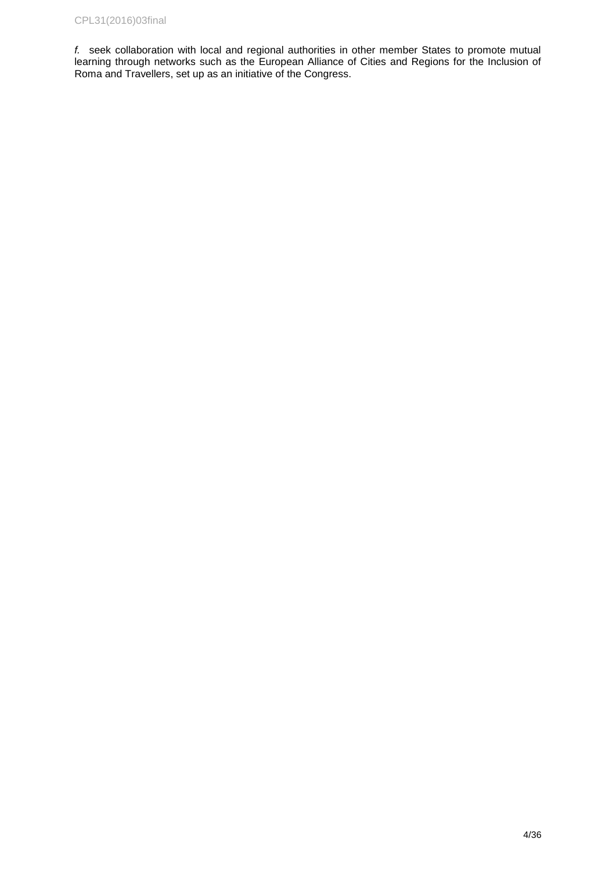*f.* seek collaboration with local and regional authorities in other member States to promote mutual learning through networks such as the European Alliance of Cities and Regions for the Inclusion of Roma and Travellers, set up as an initiative of the Congress.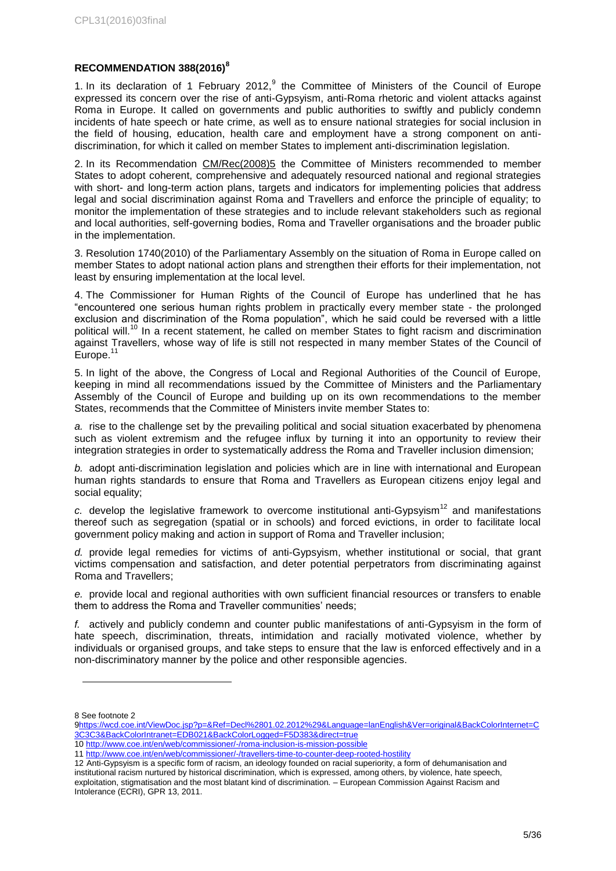### <span id="page-4-0"></span>**RECOMMENDATION 388(2016)<sup>8</sup>**

1. In its declaration of 1 February 2012, $9$  the Committee of Ministers of the Council of Europe expressed its concern over the rise of anti-Gypsyism, anti-Roma rhetoric and violent attacks against Roma in Europe. It called on governments and public authorities to swiftly and publicly condemn incidents of hate speech or hate crime, as well as to ensure national strategies for social inclusion in the field of housing, education, health care and employment have a strong component on antidiscrimination, for which it called on member States to implement anti-discrimination legislation.

2. In its Recommendation [CM/Rec\(2008\)5](https://search.coe.int/cm/Pages/result_details.aspx?Reference=CM/Rec%282008%295) the Committee of Ministers recommended to member States to adopt coherent, comprehensive and adequately resourced national and regional strategies with short- and long-term action plans, targets and indicators for implementing policies that address legal and social discrimination against Roma and Travellers and enforce the principle of equality; to monitor the implementation of these strategies and to include relevant stakeholders such as regional and local authorities, self-governing bodies, Roma and Traveller organisations and the broader public in the implementation.

3. Resolution 1740(2010) of the Parliamentary Assembly on the situation of Roma in Europe called on member States to adopt national action plans and strengthen their efforts for their implementation, not least by ensuring implementation at the local level.

4. The Commissioner for Human Rights of the Council of Europe has underlined that he has "encountered one serious human rights problem in practically every member state - the prolonged exclusion and discrimination of the Roma population", which he said could be reversed with a little political will.<sup>10</sup> In a recent statement, he called on member States to fight racism and discrimination against Travellers, whose way of life is still not respected in many member States of the Council of Europe.

5. In light of the above, the Congress of Local and Regional Authorities of the Council of Europe, keeping in mind all recommendations issued by the Committee of Ministers and the Parliamentary Assembly of the Council of Europe and building up on its own recommendations to the member States, recommends that the Committee of Ministers invite member States to:

*a.* rise to the challenge set by the prevailing political and social situation exacerbated by phenomena such as violent extremism and the refugee influx by turning it into an opportunity to review their integration strategies in order to systematically address the Roma and Traveller inclusion dimension;

*b.* adopt anti-discrimination legislation and policies which are in line with international and European human rights standards to ensure that Roma and Travellers as European citizens enjoy legal and social equality;

 $c.$  develop the legislative framework to overcome institutional anti-Gypsyism<sup>12</sup> and manifestations thereof such as segregation (spatial or in schools) and forced evictions, in order to facilitate local government policy making and action in support of Roma and Traveller inclusion;

*d.* provide legal remedies for victims of anti-Gypsyism, whether institutional or social, that grant victims compensation and satisfaction, and deter potential perpetrators from discriminating against Roma and Travellers;

*e.* provide local and regional authorities with own sufficient financial resources or transfers to enable them to address the Roma and Traveller communities' needs;

*f.* actively and publicly condemn and counter public manifestations of anti-Gypsyism in the form of hate speech, discrimination, threats, intimidation and racially motivated violence, whether by individuals or organised groups, and take steps to ensure that the law is enforced effectively and in a non-discriminatory manner by the police and other responsible agencies.

<sup>8</sup> See footnote 2

[<sup>9</sup>https://wcd.coe.int/ViewDoc.jsp?p=&Ref=Decl%2801.02.2012%29&Language=lanEnglish&Ver=original&BackColorInternet=C](https://wcd.coe.int/ViewDoc.jsp?p=&Ref=Decl%2801.02.2012%29&Language=lanEnglish&Ver=original&BackColorInternet=C3C3C3&BackColorIntranet=EDB021&BackColorLogged=F5D383&direct=true) [3C3C3&BackColorIntranet=EDB021&BackColorLogged=F5D383&direct=true](https://wcd.coe.int/ViewDoc.jsp?p=&Ref=Decl%2801.02.2012%29&Language=lanEnglish&Ver=original&BackColorInternet=C3C3C3&BackColorIntranet=EDB021&BackColorLogged=F5D383&direct=true)

<sup>10</sup> <http://www.coe.int/en/web/commissioner/-/roma-inclusion-is-mission-possible>

<sup>11</sup> <http://www.coe.int/en/web/commissioner/-/travellers-time-to-counter-deep-rooted-hostility>

<sup>12</sup> Anti-Gypsyism is a specific form of racism, an ideology founded on racial superiority, a form of dehumanisation and institutional racism nurtured by historical discrimination, which is expressed, among others, by violence, hate speech, exploitation, stigmatisation and the most blatant kind of discrimination. – European Commission Against Racism and Intolerance (ECRI), GPR 13, 2011.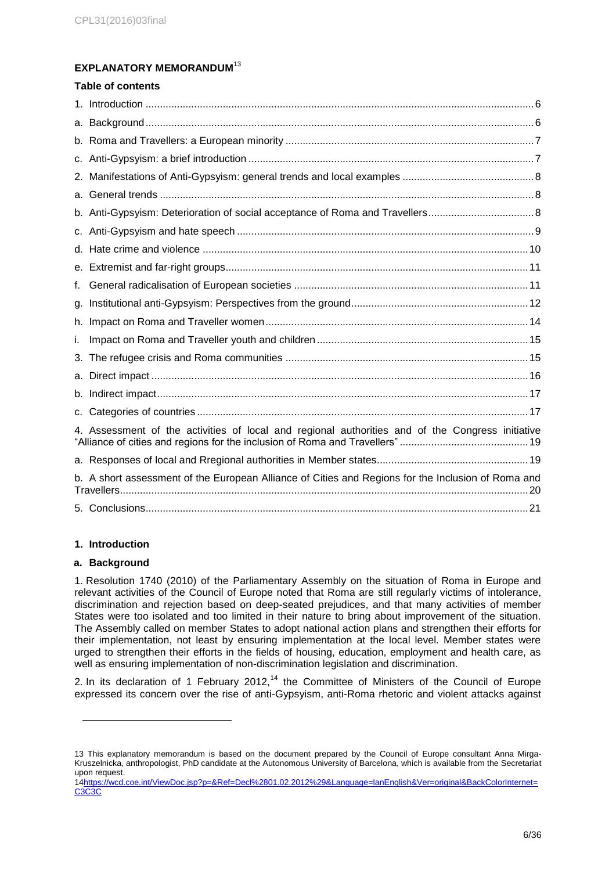## <span id="page-5-0"></span>**EXPLANATORY MEMORANDUM** 13

|    | <b>Table of contents</b>                                                                                         |  |  |  |  |
|----|------------------------------------------------------------------------------------------------------------------|--|--|--|--|
|    |                                                                                                                  |  |  |  |  |
|    |                                                                                                                  |  |  |  |  |
|    |                                                                                                                  |  |  |  |  |
|    |                                                                                                                  |  |  |  |  |
|    |                                                                                                                  |  |  |  |  |
|    |                                                                                                                  |  |  |  |  |
|    |                                                                                                                  |  |  |  |  |
|    |                                                                                                                  |  |  |  |  |
|    |                                                                                                                  |  |  |  |  |
|    |                                                                                                                  |  |  |  |  |
| f. |                                                                                                                  |  |  |  |  |
| g. |                                                                                                                  |  |  |  |  |
|    |                                                                                                                  |  |  |  |  |
| i. |                                                                                                                  |  |  |  |  |
|    |                                                                                                                  |  |  |  |  |
|    |                                                                                                                  |  |  |  |  |
|    |                                                                                                                  |  |  |  |  |
|    |                                                                                                                  |  |  |  |  |
|    | 4. Assessment of the activities of local and regional authorities and of the Congress initiative                 |  |  |  |  |
|    |                                                                                                                  |  |  |  |  |
|    | b. A short assessment of the European Alliance of Cities and Regions for the Inclusion of Roma and<br>Travellers |  |  |  |  |
|    |                                                                                                                  |  |  |  |  |
|    |                                                                                                                  |  |  |  |  |

# <span id="page-5-1"></span>**1. Introduction**

### <span id="page-5-2"></span>**a. Background**

l

1. Resolution 1740 (2010) of the Parliamentary Assembly on the situation of Roma in Europe and relevant activities of the Council of Europe noted that Roma are still regularly victims of intolerance, discrimination and rejection based on deep-seated prejudices, and that many activities of member States were too isolated and too limited in their nature to bring about improvement of the situation. The Assembly called on member States to adopt national action plans and strengthen their efforts for their implementation, not least by ensuring implementation at the local level. Member states were urged to strengthen their efforts in the fields of housing, education, employment and health care, as well as ensuring implementation of non-discrimination legislation and discrimination.

2. In its declaration of 1 February 2012,<sup>14</sup> the Committee of Ministers of the Council of Europe expressed its concern over the rise of anti-Gypsyism, anti-Roma rhetoric and violent attacks against

<sup>13</sup> This explanatory memorandum is based on the document prepared by the Council of Europe consultant Anna Mirga-Kruszelnicka, anthropologist, PhD candidate at the Autonomous University of Barcelona, which is available from the Secretariat upon request.

[<sup>14</sup>https://wcd.coe.int/ViewDoc.jsp?p=&Ref=Decl%2801.02.2012%29&Language=lanEnglish&Ver=original&BackColorInternet=](https://wcd.coe.int/ViewDoc.jsp?p=&Ref=Decl%2801.02.2012%29&Language=lanEnglish&Ver=original&BackColorInternet=C3C3C3&BackColorIntranet=EDB021&BackColorLogged=F5D383&direct=true) C<sub>3</sub>C<sub>3</sub>C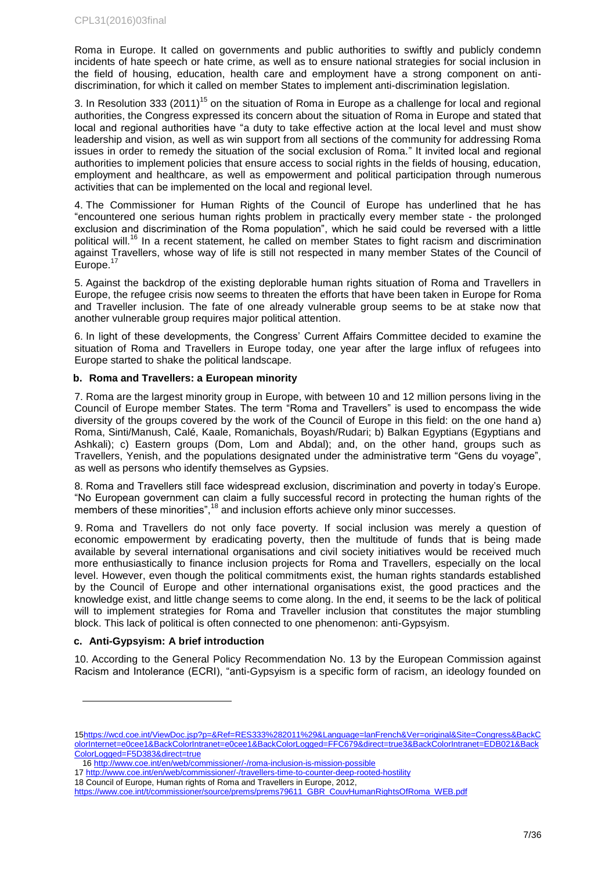Roma in Europe. It called on governments and public authorities to swiftly and publicly condemn incidents of hate speech or hate crime, as well as to ensure national strategies for social inclusion in the field of housing, education, health care and employment have a strong component on antidiscrimination, for which it called on member States to implement anti-discrimination legislation.

3. In Resolution 333 (2011)<sup>15</sup> on the situation of Roma in Europe as a challenge for local and regional authorities, the Congress expressed its concern about the situation of Roma in Europe and stated that local and regional authorities have "a duty to take effective action at the local level and must show leadership and vision, as well as win support from all sections of the community for addressing Roma issues in order to remedy the situation of the social exclusion of Roma." It invited local and regional authorities to implement policies that ensure access to social rights in the fields of housing, education, employment and healthcare, as well as empowerment and political participation through numerous activities that can be implemented on the local and regional level.

4. The Commissioner for Human Rights of the Council of Europe has underlined that he has "encountered one serious human rights problem in practically every member state - the prolonged exclusion and discrimination of the Roma population", which he said could be reversed with a little political will.<sup>16</sup> In a recent statement, he called on member States to fight racism and discrimination against Travellers, whose way of life is still not respected in many member States of the Council of Europe. $<sup>1</sup>$ </sup>

5. Against the backdrop of the existing deplorable human rights situation of Roma and Travellers in Europe, the refugee crisis now seems to threaten the efforts that have been taken in Europe for Roma and Traveller inclusion. The fate of one already vulnerable group seems to be at stake now that another vulnerable group requires major political attention.

6. In light of these developments, the Congress' Current Affairs Committee decided to examine the situation of Roma and Travellers in Europe today, one year after the large influx of refugees into Europe started to shake the political landscape.

### <span id="page-6-0"></span>**b. Roma and Travellers: a European minority**

7. Roma are the largest minority group in Europe, with between 10 and 12 million persons living in the Council of Europe member States. The term "Roma and Travellers" is used to encompass the wide diversity of the groups covered by the work of the Council of Europe in this field: on the one hand a) Roma, Sinti/Manush, Calé, Kaale, Romanichals, Boyash/Rudari; b) Balkan Egyptians (Egyptians and Ashkali); c) Eastern groups (Dom, Lom and Abdal); and, on the other hand, groups such as Travellers, Yenish, and the populations designated under the administrative term "Gens du voyage", as well as persons who identify themselves as Gypsies.

8. Roma and Travellers still face widespread exclusion, discrimination and poverty in today's Europe. "No European government can claim a fully successful record in protecting the human rights of the members of these minorities",<sup>18</sup> and inclusion efforts achieve only minor successes.

9. Roma and Travellers do not only face poverty. If social inclusion was merely a question of economic empowerment by eradicating poverty, then the multitude of funds that is being made available by several international organisations and civil society initiatives would be received much more enthusiastically to finance inclusion projects for Roma and Travellers, especially on the local level. However, even though the political commitments exist, the human rights standards established by the Council of Europe and other international organisations exist, the good practices and the knowledge exist, and little change seems to come along. In the end, it seems to be the lack of political will to implement strategies for Roma and Traveller inclusion that constitutes the major stumbling block. This lack of political is often connected to one phenomenon: anti-Gypsyism.

### <span id="page-6-1"></span>**c. Anti-Gypsyism: A brief introduction**

l

10. According to the General Policy Recommendation No. 13 by the European Commission against Racism and Intolerance (ECRI), "anti-Gypsyism is a specific form of racism, an ideology founded on

<sup>15</sup>https://wcd.coe.int/ViewDoc.jsp?p=&Ref=RES333%282011%29&Language=lanFrench&Ver=original&Site=Congress&BackC olorInternet=e0cee1&BackColorIntranet=e0cee1&BackColorLogged=FFC679&direct=true3&BackColorIntranet=EDB021&Back ColorLogged=F5D383&direct=true

<sup>16</sup> <http://www.coe.int/en/web/commissioner/-/roma-inclusion-is-mission-possible>

<sup>17</sup> <http://www.coe.int/en/web/commissioner/-/travellers-time-to-counter-deep-rooted-hostility>

<sup>18</sup> Council of Europe, Human rights of Roma and Travellers in Europe, 2012,

https://www.coe.int/t/commissioner/source/prems/prems79611\_GBR\_CouvHumanRightsOfRoma\_WEB.pdf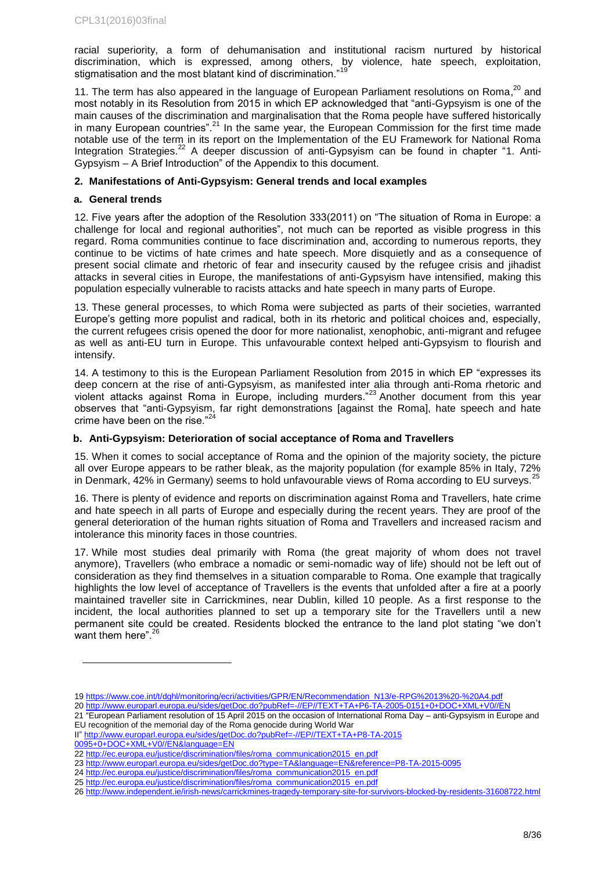racial superiority, a form of dehumanisation and institutional racism nurtured by historical discrimination, which is expressed, among others, by violence, hate speech, exploitation, stigmatisation and the most blatant kind of discrimination."19

11. The term has also appeared in the language of European Parliament resolutions on Roma,<sup>20</sup> and most notably in its Resolution from 2015 in which EP acknowledged that "anti-Gypsyism is one of the main causes of the discrimination and marginalisation that the Roma people have suffered historically in many European countries".<sup>21</sup> In the same year, the European Commission for the first time made notable use of the term in its report on the Implementation of the EU Framework for National Roma Integration Strategies.<sup>22</sup> A deeper discussion of anti-Gypsyism can be found in chapter "1. Anti-Gypsyism – A Brief Introduction" of the Appendix to this document.

### <span id="page-7-0"></span>**2. Manifestations of Anti-Gypsyism: General trends and local examples**

### <span id="page-7-1"></span>**a. General trends**

12. Five years after the adoption of the Resolution 333(2011) on "The situation of Roma in Europe: a challenge for local and regional authorities", not much can be reported as visible progress in this regard. Roma communities continue to face discrimination and, according to numerous reports, they continue to be victims of hate crimes and hate speech. More disquietly and as a consequence of present social climate and rhetoric of fear and insecurity caused by the refugee crisis and jihadist attacks in several cities in Europe, the manifestations of anti-Gypsyism have intensified, making this population especially vulnerable to racists attacks and hate speech in many parts of Europe.

13. These general processes, to which Roma were subjected as parts of their societies, warranted Europe's getting more populist and radical, both in its rhetoric and political choices and, especially, the current refugees crisis opened the door for more nationalist, xenophobic, anti-migrant and refugee as well as anti-EU turn in Europe. This unfavourable context helped anti-Gypsyism to flourish and intensify.

14. A testimony to this is the European Parliament Resolution from 2015 in which EP "expresses its deep concern at the rise of anti-Gypsyism, as manifested inter alia through anti-Roma rhetoric and violent attacks against Roma in Europe, including murders."<sup>23</sup> Another document from this year observes that "anti-Gypsyism, far right demonstrations [against the Roma], hate speech and hate crime have been on the rise."<sup>24</sup>

### <span id="page-7-2"></span>**b. Anti-Gypsyism: Deterioration of social acceptance of Roma and Travellers**

15. When it comes to social acceptance of Roma and the opinion of the majority society, the picture all over Europe appears to be rather bleak, as the majority population (for example 85% in Italy, 72% in Denmark, 42% in Germany) seems to hold unfavourable views of Roma according to EU surveys.<sup>25</sup>

16. There is plenty of evidence and reports on discrimination against Roma and Travellers, hate crime and hate speech in all parts of Europe and especially during the recent years. They are proof of the general deterioration of the human rights situation of Roma and Travellers and increased racism and intolerance this minority faces in those countries.

17. While most studies deal primarily with Roma (the great majority of whom does not travel anymore), Travellers (who embrace a nomadic or semi-nomadic way of life) should not be left out of consideration as they find themselves in a situation comparable to Roma. One example that tragically highlights the low level of acceptance of Travellers is the events that unfolded after a fire at a poorly maintained traveller site in Carrickmines, near Dublin, killed 10 people. As a first response to the incident, the local authorities planned to set up a temporary site for the Travellers until a new permanent site could be created. Residents blocked the entrance to the land plot stating "we don't want them here". $\frac{3}{4}$ 

<sup>19</sup> [https://www.coe.int/t/dghl/monitoring/ecri/activities/GPR/EN/Recommendation\\_N13/e-RPG%2013%20-%20A4.pdf](https://www.coe.int/t/dghl/monitoring/ecri/activities/GPR/EN/Recommendation_N13/e-RPG%2013%20-%20A4.pdf)

<sup>20</sup> <http://www.europarl.europa.eu/sides/getDoc.do?pubRef=-//EP//TEXT+TA+P6-TA-2005-0151+0+DOC+XML+V0//EN>

<sup>21</sup> "European Parliament resolution of 15 April 2015 on the occasion of International Roma Day – anti-Gypsyism in Europe and EU recognition of the memorial day of the Roma genocide during World War

II" [http://www.europarl.europa.eu/sides/getDoc.do?pubRef=-//EP//TEXT+TA+P8-TA-2015](http://www.europarl.europa.eu/sides/getDoc.do?pubRef=-//EP//TEXT+TA+P8-TA-2015%200095+0+DOC+XML+V0//EN&language=EN) 

<sup>0095+0+</sup>DOC+XML+V0//EN&language=EN

<sup>22</sup> [http://ec.europa.eu/justice/discrimination/files/roma\\_communication2015\\_en.pdf](http://ec.europa.eu/justice/discrimination/files/roma_communication2015_en.pdf) 23 <http://www.europarl.europa.eu/sides/getDoc.do?type=TA&language=EN&reference=P8-TA-2015-0095>

<sup>24</sup> [http://ec.europa.eu/justice/discrimination/files/roma\\_communication2015\\_en.pdf](http://ec.europa.eu/justice/discrimination/files/roma_communication2015_en.pdf)

<sup>25</sup> [http://ec.europa.eu/justice/discrimination/files/roma\\_communication2015\\_en.pdf](http://ec.europa.eu/justice/discrimination/files/roma_communication2015_en.pdf)

<sup>26</sup> <http://www.independent.ie/irish-news/carrickmines-tragedy-temporary-site-for-survivors-blocked-by-residents-31608722.html>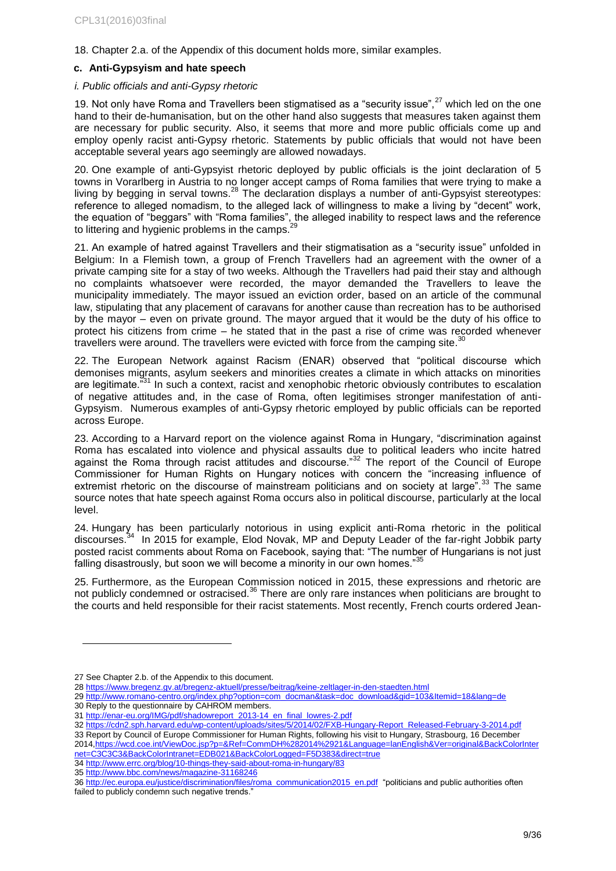18. Chapter 2.a. of the Appendix of this document holds more, similar examples.

### <span id="page-8-0"></span>**c. Anti-Gypsyism and hate speech**

#### *i. Public officials and anti-Gypsy rhetoric*

19. Not only have Roma and Travellers been stigmatised as a "security issue", $27$  which led on the one hand to their de-humanisation, but on the other hand also suggests that measures taken against them are necessary for public security. Also, it seems that more and more public officials come up and employ openly racist anti-Gypsy rhetoric. Statements by public officials that would not have been acceptable several years ago seemingly are allowed nowadays.

20. One example of anti-Gypsyist rhetoric deployed by public officials is the joint declaration of 5 towns in Vorarlberg in Austria to no longer accept camps of Roma families that were trying to make a living by begging in serval towns.<sup>28</sup> The declaration displays a number of anti-Gypsyist stereotypes: reference to alleged nomadism, to the alleged lack of willingness to make a living by "decent" work, the equation of "beggars" with "Roma families", the alleged inability to respect laws and the reference to littering and hygienic problems in the camps. $29$ 

21. An example of hatred against Travellers and their stigmatisation as a "security issue" unfolded in Belgium: In a Flemish town, a group of French Travellers had an agreement with the owner of a private camping site for a stay of two weeks. Although the Travellers had paid their stay and although no complaints whatsoever were recorded, the mayor demanded the Travellers to leave the municipality immediately. The mayor issued an eviction order, based on an article of the communal law, stipulating that any placement of caravans for another cause than recreation has to be authorised by the mayor – even on private ground. The mayor argued that it would be the duty of his office to protect his citizens from crime – he stated that in the past a rise of crime was recorded whenever travellers were around. The travellers were evicted with force from the camping site. $^{30}$ 

22. The European Network against Racism (ENAR) observed that "political discourse which demonises migrants, asylum seekers and minorities creates a climate in which attacks on minorities are legitimate."<sup>31</sup> In such a context, racist and xenophobic rhetoric obviously contributes to escalation of negative attitudes and, in the case of Roma, often legitimises stronger manifestation of anti-Gypsyism. Numerous examples of anti-Gypsy rhetoric employed by public officials can be reported across Europe.

23. According to a Harvard report on the violence against Roma in Hungary, "discrimination against Roma has escalated into violence and physical assaults due to political leaders who incite hatred against the Roma through racist attitudes and discourse."<sup>32</sup> The report of the Council of Europe Commissioner for Human Rights on Hungary notices with concern the "increasing influence of extremist rhetoric on the discourse of mainstream politicians and on society at large".<sup>33</sup> The same source notes that hate speech against Roma occurs also in political discourse, particularly at the local level.

24. Hungary has been particularly notorious in using explicit anti-Roma rhetoric in the political discourses.<sup>34</sup> In 2015 for example, Elod Novak, MP and Deputy Leader of the far-right Jobbik party posted racist comments about Roma on Facebook, saying that: "The number of Hungarians is not just falling disastrously, but soon we will become a minority in our own homes." $35$ 

25. Furthermore, as the European Commission noticed in 2015, these expressions and rhetoric are not publicly condemned or ostracised.<sup>36</sup> There are only rare instances when politicians are brought to the courts and held responsible for their racist statements. Most recently, French courts ordered Jean-

l

29 [http://www.romano-centro.org/index.php?option=com\\_docman&task=doc\\_download&gid=103&Itemid=18&lang=de](http://www.romano-centro.org/index.php?option=com_docman&task=doc_download&gid=103&Itemid=18&lang=de)

2014[,https://wcd.coe.int/ViewDoc.jsp?p=&Ref=CommDH%282014%2921&Language=lanEnglish&Ver=original&BackColorInter](https://wcd.coe.int/ViewDoc.jsp?p=&Ref=CommDH%282014%2921&Language=lanEnglish&Ver=original&BackColorInternet=C3C3C3&BackColorIntranet=EDB021&BackColorLogged=F5D383&direct=true) [net=C3C3C3&BackColorIntranet=EDB021&BackColorLogged=F5D383&direct=true](https://wcd.coe.int/ViewDoc.jsp?p=&Ref=CommDH%282014%2921&Language=lanEnglish&Ver=original&BackColorInternet=C3C3C3&BackColorIntranet=EDB021&BackColorLogged=F5D383&direct=true)

35 <http://www.bbc.com/news/magazine-31168246>

<sup>27</sup> See Chapter 2.b. of the Appendix to this document.

<sup>28</sup> <https://www.bregenz.gv.at/bregenz-aktuell/presse/beitrag/keine-zeltlager-in-den-staedten.html>

<sup>30</sup> Reply to the questionnaire by CAHROM members.

<sup>31</sup> [http://enar-eu.org/IMG/pdf/shadowreport\\_2013-14\\_en\\_final\\_lowres-2.pdf](http://enar-eu.org/IMG/pdf/shadowreport_2013-14_en_final_lowres-2.pdf)

<sup>32</sup> [https://cdn2.sph.harvard.edu/wp-content/uploads/sites/5/2014/02/FXB-Hungary-Report\\_Released-February-3-2014.pdf](https://cdn2.sph.harvard.edu/wp-content/uploads/sites/5/2014/02/FXB-Hungary-Report_Released-February-3-2014.pdf)

<sup>33</sup> Report by Council of Europe Commissioner for Human Rights, following his visit to Hungary, Strasbourg, 16 December

<sup>34</sup> <http://www.errc.org/blog/10-things-they-said-about-roma-in-hungary/83>

<sup>36</sup> [http://ec.europa.eu/justice/discrimination/files/roma\\_communication2015\\_en.pdf](http://ec.europa.eu/justice/discrimination/files/roma_communication2015_en.pdf) "politicians and public authorities often failed to publicly condemn such negative trends."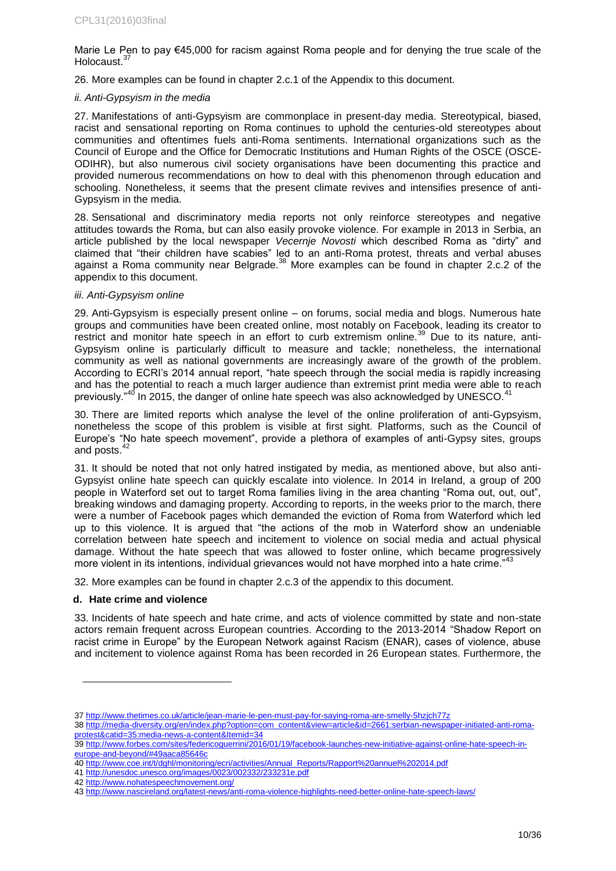Marie Le Pen to pay €45,000 for racism against Roma people and for denying the true scale of the Holocaust.<sup>37</sup>

26. More examples can be found in chapter 2.c.1 of the Appendix to this document.

### *ii. Anti-Gypsyism in the media*

27. Manifestations of anti-Gypsyism are commonplace in present-day media. Stereotypical, biased, racist and sensational reporting on Roma continues to uphold the centuries-old stereotypes about communities and oftentimes fuels anti-Roma sentiments. International organizations such as the Council of Europe and the Office for Democratic Institutions and Human Rights of the OSCE (OSCE-ODIHR), but also numerous civil society organisations have been documenting this practice and provided numerous recommendations on how to deal with this phenomenon through education and schooling. Nonetheless, it seems that the present climate revives and intensifies presence of anti-Gypsyism in the media.

28. Sensational and discriminatory media reports not only reinforce stereotypes and negative attitudes towards the Roma, but can also easily provoke violence. For example in 2013 in Serbia, an article published by the local newspaper *Vecernje Novosti* which described Roma as "dirty" and claimed that "their children have scabies" led to an anti-Roma protest, threats and verbal abuses against a Roma community near Belgrade. $38$  More examples can be found in chapter 2.c.2 of the appendix to this document.

### *iii. Anti-Gypsyism online*

29. Anti-Gypsyism is especially present online – on forums, social media and blogs. Numerous hate groups and communities have been created online, most notably on Facebook, leading its creator to restrict and monitor hate speech in an effort to curb extremism online.<sup>39</sup> Due to its nature, anti-Gypsyism online is particularly difficult to measure and tackle; nonetheless, the international community as well as national governments are increasingly aware of the growth of the problem. According to ECRI's 2014 annual report, "hate speech through the social media is rapidly increasing and has the potential to reach a much larger audience than extremist print media were able to reach previously."<sup>40</sup> In 2015, the danger of online hate speech was also acknowledged by UNESCO.

30. There are limited reports which analyse the level of the online proliferation of anti-Gypsyism, nonetheless the scope of this problem is visible at first sight. Platforms, such as the Council of Europe's "No hate speech movement", provide a plethora of examples of anti-Gypsy sites, groups and posts.<sup>42</sup>

31. It should be noted that not only hatred instigated by media, as mentioned above, but also anti-Gypsyist online hate speech can quickly escalate into violence. In 2014 in Ireland, a group of 200 people in Waterford set out to target Roma families living in the area chanting "Roma out, out, out", breaking windows and damaging property. According to reports, in the weeks prior to the march, there were a number of Facebook pages which demanded the eviction of Roma from Waterford which led up to this violence. It is argued that "the actions of the mob in Waterford show an undeniable correlation between hate speech and incitement to violence on social media and actual physical damage. Without the hate speech that was allowed to foster online, which became progressively more violent in its intentions, individual grievances would not have morphed into a hate crime."

32. More examples can be found in chapter 2.c.3 of the appendix to this document.

### <span id="page-9-0"></span>**d. Hate crime and violence**

l

33. Incidents of hate speech and hate crime, and acts of violence committed by state and non-state actors remain frequent across European countries. According to the 2013-2014 "Shadow Report on racist crime in Europe" by the European Network against Racism (ENAR), cases of violence, abuse and incitement to violence against Roma has been recorded in 26 European states. Furthermore, the

41 <http://unesdoc.unesco.org/images/0023/002332/233231e.pdf> 42 <http://www.nohatespeechmovement.org/>

<sup>37</sup> <http://www.thetimes.co.uk/article/jean-marie-le-pen-must-pay-for-saying-roma-are-smelly-5hzjch77z>

<sup>38</sup> [http://media-diversity.org/en/index.php?option=com\\_content&view=article&id=2661:serbian-newspaper-initiated-anti-roma](http://media-diversity.org/en/index.php?option=com_content&view=article&id=2661:serbian-newspaper-initiated-anti-roma-protest&catid=35:media-news-a-content&Itemid=34)[protest&catid=35:media-news-a-content&Itemid=34](http://media-diversity.org/en/index.php?option=com_content&view=article&id=2661:serbian-newspaper-initiated-anti-roma-protest&catid=35:media-news-a-content&Itemid=34)

<sup>39</sup> [http://www.forbes.com/sites/federicoguerrini/2016/01/19/facebook-launches-new-initiative-against-online-hate-speech-in](http://www.forbes.com/sites/federicoguerrini/2016/01/19/facebook-launches-new-initiative-against-online-hate-speech-in-europe-and-beyond/#49aaca85646c)[europe-and-beyond/#49aaca85646c](http://www.forbes.com/sites/federicoguerrini/2016/01/19/facebook-launches-new-initiative-against-online-hate-speech-in-europe-and-beyond/#49aaca85646c)

<sup>40</sup> http://www.coe.int/t/dghl/monitoring/ecri/activities/Annual\_Reports/Rapport%20annuel%202014.pdf

<sup>43</sup> <http://www.nascireland.org/latest-news/anti-roma-violence-highlights-need-better-online-hate-speech-laws/>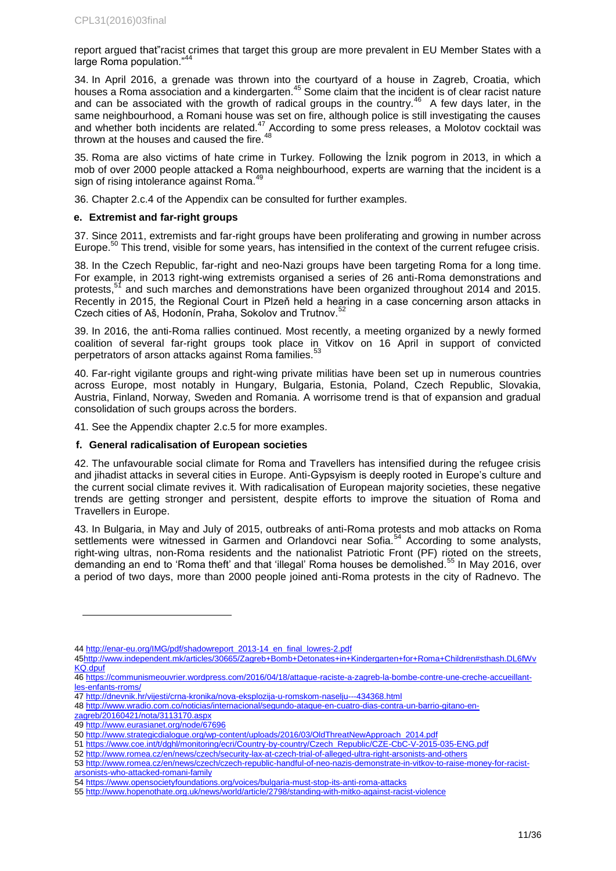report argued that"racist crimes that target this group are more prevalent in EU Member States with a large Roma population."<sup>44</sup>

34. In April 2016, a grenade was thrown into the courtyard of a house in Zagreb, Croatia, which houses a Roma association and a kindergarten.<sup>45</sup> Some claim that the incident is of clear racist nature and can be associated with the growth of radical groups in the country.<sup>46</sup> A few days later, in the same neighbourhood, a Romani house was set on fire, although police is still investigating the causes and whether both incidents are related.<sup>47</sup> According to some press releases, a Molotov cocktail was thrown at the houses and caused the fire. $^{48}$ 

35. Roma are also victims of hate crime in Turkey. Following the İznik pogrom in 2013, in which a mob of over 2000 people attacked a Roma neighbourhood, experts are warning that the incident is a sign of rising intolerance against Roma.<sup>49</sup>

36. Chapter 2.c.4 of the Appendix can be consulted for further examples.

### <span id="page-10-0"></span>**e. Extremist and far-right groups**

37. Since 2011, extremists and far-right groups have been proliferating and growing in number across Europe.<sup>50</sup> This trend, visible for some years, has intensified in the context of the current refugee crisis.

38. In the Czech Republic, far-right and neo-Nazi groups have been targeting Roma for a long time. For example, in 2013 right-wing extremists organised a series of 26 anti-Roma demonstrations and protests,<sup>51</sup> and such marches and demonstrations have been organized throughout 2014 and 2015. Recently in 2015, the Regional Court in Plzeň held a hearing in a case concerning arson attacks in Czech cities of Aš, Hodonín, Praha, Sokolov and Trutnov.<sup>52</sup>

39. In 2016, the anti-Roma rallies continued. Most recently, a meeting organized by a newly formed coalition of several far-right groups took place in Vitkov on 16 April in support of convicted perpetrators of arson attacks against Roma families.<sup>5</sup>

40. Far-right vigilante groups and right-wing private militias have been set up in numerous countries across Europe, most notably in Hungary, Bulgaria, Estonia, Poland, Czech Republic, Slovakia, Austria, Finland, Norway, Sweden and Romania. A worrisome trend is that of expansion and gradual consolidation of such groups across the borders.

41. See the Appendix chapter 2.c.5 for more examples.

### <span id="page-10-1"></span>**f. General radicalisation of European societies**

42. The unfavourable social climate for Roma and Travellers has intensified during the refugee crisis and jihadist attacks in several cities in Europe. Anti-Gypsyism is deeply rooted in Europe's culture and the current social climate revives it. With radicalisation of European majority societies, these negative trends are getting stronger and persistent, despite efforts to improve the situation of Roma and Travellers in Europe.

43. In Bulgaria, in May and July of 2015, outbreaks of anti-Roma protests and mob attacks on Roma settlements were witnessed in Garmen and Orlandovci near Sofia.<sup>54</sup> According to some analysts, right-wing ultras, non-Roma residents and the nationalist Patriotic Front (PF) rioted on the streets, demanding an end to 'Roma theft' and that 'illegal' Roma houses be demolished.<sup>55</sup> In May 2016, over a period of two days, more than 2000 people joined anti-Roma protests in the city of Radnevo. The

46 [https://communismeouvrier.wordpress.com/2016/04/18/attaque-raciste-a-zagreb-la-bombe-contre-une-creche-accueillant](https://communismeouvrier.wordpress.com/2016/04/18/attaque-raciste-a-zagreb-la-bombe-contre-une-creche-accueillant-les-enfants-rroms/)[les-enfants-rroms/](https://communismeouvrier.wordpress.com/2016/04/18/attaque-raciste-a-zagreb-la-bombe-contre-une-creche-accueillant-les-enfants-rroms/)

<sup>44</sup> [http://enar-eu.org/IMG/pdf/shadowreport\\_2013-14\\_en\\_final\\_lowres-2.pdf](http://enar-eu.org/IMG/pdf/shadowreport_2013-14_en_final_lowres-2.pdf)

[<sup>45</sup>http://www.independent.mk/articles/30665/Zagreb+Bomb+Detonates+in+Kindergarten+for+Roma+Children#sthash.DL6fWv](http://www.independent.mk/articles/30665/Zagreb+Bomb+Detonates+in+Kindergarten+for+Roma+Children#sthash.DL6fWvKQ.dpuf) [KQ.dpuf](http://www.independent.mk/articles/30665/Zagreb+Bomb+Detonates+in+Kindergarten+for+Roma+Children#sthash.DL6fWvKQ.dpuf)

<sup>47</sup> <http://dnevnik.hr/vijesti/crna-kronika/nova-eksplozija-u-romskom-naselju---434368.html>

<sup>48</sup> [http://www.wradio.com.co/noticias/internacional/segundo-ataque-en-cuatro-dias-contra-un-barrio-gitano-en-](http://www.wradio.com.co/noticias/internacional/segundo-ataque-en-cuatro-dias-contra-un-barrio-gitano-en-zagreb/20160421/nota/3113170.aspx)

[zagreb/20160421/nota/3113170.aspx](http://www.wradio.com.co/noticias/internacional/segundo-ataque-en-cuatro-dias-contra-un-barrio-gitano-en-zagreb/20160421/nota/3113170.aspx)

<sup>49</sup> <http://www.eurasianet.org/node/67696>

<sup>50</sup> [http://www.strategicdialogue.org/wp-content/uploads/2016/03/OldThreatNewApproach\\_2014.pdf](http://www.strategicdialogue.org/wp-content/uploads/2016/03/OldThreatNewApproach_2014.pdf)

<sup>51</sup> [https://www.coe.int/t/dghl/monitoring/ecri/Country-by-country/Czech\\_Republic/CZE-CbC-V-2015-035-ENG.pdf](https://www.coe.int/t/dghl/monitoring/ecri/Country-by-country/Czech_Republic/CZE-CbC-V-2015-035-ENG.pdf)

<sup>52</sup> <http://www.romea.cz/en/news/czech/security-lax-at-czech-trial-of-alleged-ultra-right-arsonists-and-others>

<sup>53</sup> [http://www.romea.cz/en/news/czech/czech-republic-handful-of-neo-nazis-demonstrate-in-vitkov-to-raise-money-for-racist](http://www.romea.cz/en/news/czech/czech-republic-handful-of-neo-nazis-demonstrate-in-vitkov-to-raise-money-for-racist-arsonists-who-attacked-romani-family)[arsonists-who-attacked-romani-family](http://www.romea.cz/en/news/czech/czech-republic-handful-of-neo-nazis-demonstrate-in-vitkov-to-raise-money-for-racist-arsonists-who-attacked-romani-family)

<sup>54</sup> <https://www.opensocietyfoundations.org/voices/bulgaria-must-stop-its-anti-roma-attacks>

<sup>55</sup> <http://www.hopenothate.org.uk/news/world/article/2798/standing-with-mitko-against-racist-violence>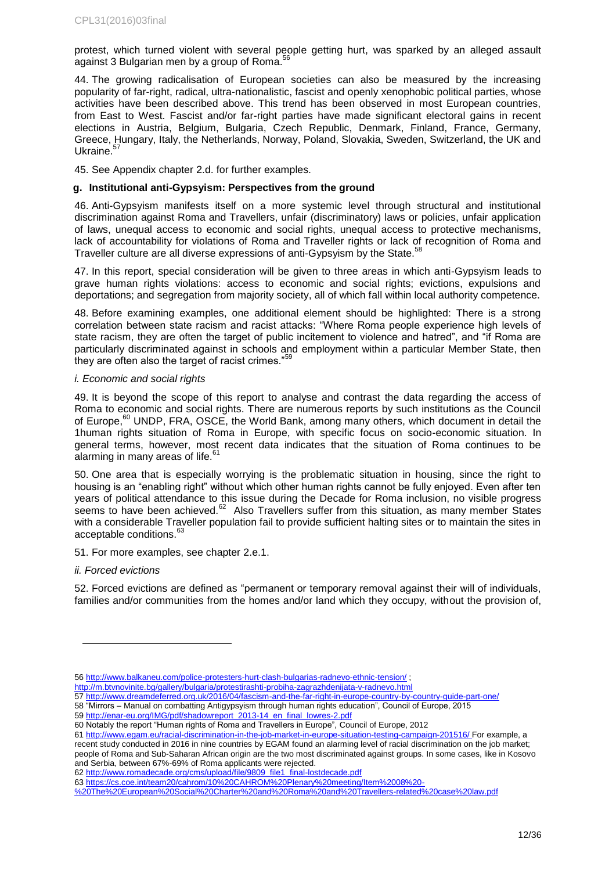protest, which turned violent with several people getting hurt, was sparked by an alleged assault against 3 Bulgarian men by a group of Roma. $^{56}$ 

44. The growing radicalisation of European societies can also be measured by the increasing popularity of far-right, radical, ultra-nationalistic, fascist and openly xenophobic political parties, whose activities have been described above. This trend has been observed in most European countries, from East to West. Fascist and/or far-right parties have made significant electoral gains in recent elections in Austria, Belgium, Bulgaria, Czech Republic, Denmark, Finland, France, Germany, Greece, Hungary, Italy, the Netherlands, Norway, Poland, Slovakia, Sweden, Switzerland, the UK and Ukraine.<sup>57</sup>

45. See Appendix chapter 2.d. for further examples.

### <span id="page-11-0"></span>**g. Institutional anti-Gypsyism: Perspectives from the ground**

46. Anti-Gypsyism manifests itself on a more systemic level through structural and institutional discrimination against Roma and Travellers, unfair (discriminatory) laws or policies, unfair application of laws, unequal access to economic and social rights, unequal access to protective mechanisms, lack of accountability for violations of Roma and Traveller rights or lack of recognition of Roma and Traveller culture are all diverse expressions of anti-Gypsyism by the State.<sup>5</sup>

47. In this report, special consideration will be given to three areas in which anti-Gypsyism leads to grave human rights violations: access to economic and social rights; evictions, expulsions and deportations; and segregation from majority society, all of which fall within local authority competence.

48. Before examining examples, one additional element should be highlighted: There is a strong correlation between state racism and racist attacks: "Where Roma people experience high levels of state racism, they are often the target of public incitement to violence and hatred", and "if Roma are particularly discriminated against in schools and employment within a particular Member State, then they are often also the target of racist crimes."

### *i. Economic and social rights*

49. It is beyond the scope of this report to analyse and contrast the data regarding the access of Roma to economic and social rights. There are numerous reports by such institutions as the Council of Europe.<sup>60</sup> UNDP, FRA, OSCE, the World Bank, among many others, which document in detail the 1human rights situation of Roma in Europe, with specific focus on socio-economic situation. In general terms, however, most recent data indicates that the situation of Roma continues to be alarming in many areas of life. $61$ 

50. One area that is especially worrying is the problematic situation in housing, since the right to housing is an "enabling right" without which other human rights cannot be fully enjoyed. Even after ten years of political attendance to this issue during the Decade for Roma inclusion, no visible progress seems to have been achieved. $62$  Also Travellers suffer from this situation, as many member States with a considerable Traveller population fail to provide sufficient halting sites or to maintain the sites in acceptable conditions.<sup>63</sup>

51. For more examples, see chapter 2.e.1.

#### *ii. Forced evictions*

l

52. Forced evictions are defined as "permanent or temporary removal against their will of individuals, families and/or communities from the homes and/or land which they occupy, without the provision of,

- 57 <http://www.dreamdeferred.org.uk/2016/04/fascism-and-the-far-right-in-europe-country-by-country-guide-part-one/>
- 58 "Mirrors Manual on combatting Antigypsyism through human rights education", Council of Europe, 2015

61 <http://www.egam.eu/racial-discrimination-in-the-job-market-in-europe-situation-testing-campaign-201516/> For example, a recent study conducted in 2016 in nine countries by EGAM found an alarming level of racial discrimination on the job market; people of Roma and Sub-Saharan African origin are the two most discriminated against groups. In some cases, like in Kosovo and Serbia, between 67%-69% of Roma applicants were rejected.

62 [http://www.romadecade.org/cms/upload/file/9809\\_file1\\_final-lostdecade.pdf](http://www.romadecade.org/cms/upload/file/9809_file1_final-lostdecade.pdf)

63 [https://cs.coe.int/team20/cahrom/10%20CAHROM%20Plenary%20meeting/Item%2008%20-](https://cs.coe.int/team20/cahrom/10%20CAHROM%20Plenary%20meeting/Item%2008%20-%20The%20European%20Social%20Charter%20and%20Roma%20and%20Travellers-related%20case%20law.pdf)

[%20The%20European%20Social%20Charter%20and%20Roma%20and%20Travellers-related%20case%20law.pdf](https://cs.coe.int/team20/cahrom/10%20CAHROM%20Plenary%20meeting/Item%2008%20-%20The%20European%20Social%20Charter%20and%20Roma%20and%20Travellers-related%20case%20law.pdf)

<sup>56</sup> <http://www.balkaneu.com/police-protesters-hurt-clash-bulgarias-radnevo-ethnic-tension/> ;

<http://m.btvnovinite.bg/gallery/bulgaria/protestirashti-probiha-zagrazhdenijata-v-radnevo.html>

<sup>59</sup> [http://enar-eu.org/IMG/pdf/shadowreport\\_2013-14\\_en\\_final\\_lowres-2.pdf](http://enar-eu.org/IMG/pdf/shadowreport_2013-14_en_final_lowres-2.pdf)

<sup>60</sup> Notably the report "Human rights of Roma and Travellers in Europe", Council of Europe, 2012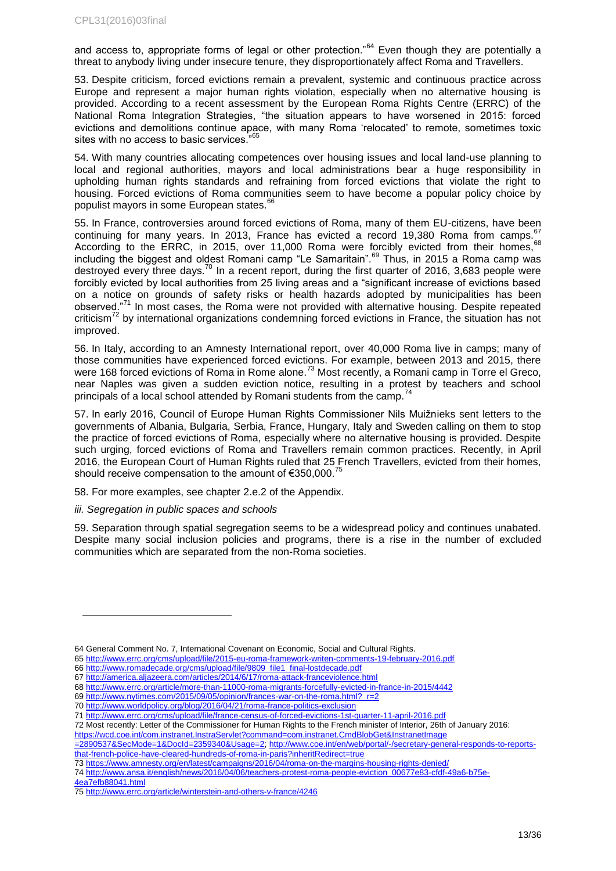and access to, appropriate forms of legal or other protection."<sup>64</sup> Even though they are potentially a threat to anybody living under insecure tenure, they disproportionately affect Roma and Travellers.

53. Despite criticism, forced evictions remain a prevalent, systemic and continuous practice across Europe and represent a major human rights violation, especially when no alternative housing is provided. According to a recent assessment by the European Roma Rights Centre (ERRC) of the National Roma Integration Strategies, "the situation appears to have worsened in 2015: forced evictions and demolitions continue apace, with many Roma 'relocated' to remote, sometimes toxic sites with no access to basic services."<sup>65</sup>

54. With many countries allocating competences over housing issues and local land-use planning to local and regional authorities, mayors and local administrations bear a huge responsibility in upholding human rights standards and refraining from forced evictions that violate the right to housing. Forced evictions of Roma communities seem to have become a popular policy choice by populist mayors in some European states.<sup>66</sup>

55. In France, controversies around forced evictions of Roma, many of them EU-citizens, have been continuing for many years. In 2013, France has evicted a record 19,380 Roma from camps. According to the ERRC, in 2015, over 11,000 Roma were forcibly evicted from their homes, 68 including the biggest and oldest Romani camp "Le Samaritain".<sup>69</sup> Thus, in 2015 a Roma camp was destroyed every three days.<sup>70</sup> In a recent report, during the first quarter of 2016, 3,683 people were forcibly evicted by local authorities from 25 living areas and a "significant increase of evictions based on a notice on grounds of safety risks or health hazards adopted by municipalities has been observed."<sup>71</sup> In most cases, the Roma were not provided with alternative housing. Despite repeated criticism<sup>72</sup> by international organizations condemning forced evictions in France, the situation has not improved.

56. In Italy, according to an Amnesty International report, over 40,000 Roma live in camps; many of those communities have experienced forced evictions. For example, between 2013 and 2015, there were 168 forced evictions of Roma in Rome alone.<sup>73</sup> Most recently, a Romani camp in Torre el Greco, near Naples was given a sudden eviction notice, resulting in a protest by teachers and school principals of a local school attended by Romani students from the camp.<sup>74</sup>

57. In early 2016, Council of Europe Human Rights Commissioner Nils Muižnieks sent letters to the governments of Albania, Bulgaria, Serbia, France, Hungary, Italy and Sweden calling on them to stop the practice of forced evictions of Roma, especially where no alternative housing is provided. Despite such urging, forced evictions of Roma and Travellers remain common practices. Recently, in April 2016, the European Court of Human Rights ruled that 25 French Travellers, evicted from their homes, should receive compensation to the amount of  $\epsilon$ 350,000.<sup>75</sup>

58. For more examples, see chapter 2.e.2 of the Appendix.

### *iii. Segregation in public spaces and schools*

59. Separation through spatial segregation seems to be a widespread policy and continues unabated. Despite many social inclusion policies and programs, there is a rise in the number of excluded communities which are separated from the non-Roma societies.

69 [http://www.nytimes.com/2015/09/05/opinion/frances-war-on-the-roma.html?\\_r=2](http://www.nytimes.com/2015/09/05/opinion/frances-war-on-the-roma.html?_r=2) 70 <http://www.worldpolicy.org/blog/2016/04/21/roma-france-politics-exclusion>

<sup>64</sup> General Comment No. 7, International Covenant on Economic, Social and Cultural Rights.

<sup>65</sup> <http://www.errc.org/cms/upload/file/2015-eu-roma-framework-writen-comments-19-february-2016.pdf>

<sup>66</sup> [http://www.romadecade.org/cms/upload/file/9809\\_file1\\_final-lostdecade.pdf](http://www.romadecade.org/cms/upload/file/9809_file1_final-lostdecade.pdf)

<sup>67</sup> <http://america.aljazeera.com/articles/2014/6/17/roma-attack-franceviolence.html>

<sup>68</sup> <http://www.errc.org/article/more-than-11000-roma-migrants-forcefully-evicted-in-france-in-2015/4442>

<sup>71</sup> <http://www.errc.org/cms/upload/file/france-census-of-forced-evictions-1st-quarter-11-april-2016.pdf>

<sup>72</sup> Most recently: Letter of the Commissioner for Human Rights to the French minister of Interior, 26th of January 2016:

https://wcd.coe.int/com.instranet.InstraServlet?command=com.instranet.CmdBlobGet&InstranetImage

<sup>=2890537&</sup>amp;SecMode=1&DocId=2359340&Usage=2[; http://www.coe.int/en/web/portal/-/secretary-general-responds-to-reports](http://www.coe.int/en/web/portal/-/secretary-general-responds-to-reports-that-french-police-have-cleared-hundreds-of-roma-in-paris?inheritRedirect=true)[that-french-police-have-cleared-hundreds-of-roma-in-paris?inheritRedirect=true](http://www.coe.int/en/web/portal/-/secretary-general-responds-to-reports-that-french-police-have-cleared-hundreds-of-roma-in-paris?inheritRedirect=true)

<sup>73</sup> <https://www.amnesty.org/en/latest/campaigns/2016/04/roma-on-the-margins-housing-rights-denied/>

<sup>74</sup> [http://www.ansa.it/english/news/2016/04/06/teachers-protest-roma-people-eviction\\_00677e83-cfdf-49a6-b75e-](http://www.ansa.it/english/news/2016/04/06/teachers-protest-roma-people-eviction_00677e83-cfdf-49a6-b75e-4ea7efb88041.html)

[<sup>4</sup>ea7efb88041.html](http://www.ansa.it/english/news/2016/04/06/teachers-protest-roma-people-eviction_00677e83-cfdf-49a6-b75e-4ea7efb88041.html)

<sup>75</sup> <http://www.errc.org/article/winterstein-and-others-v-france/4246>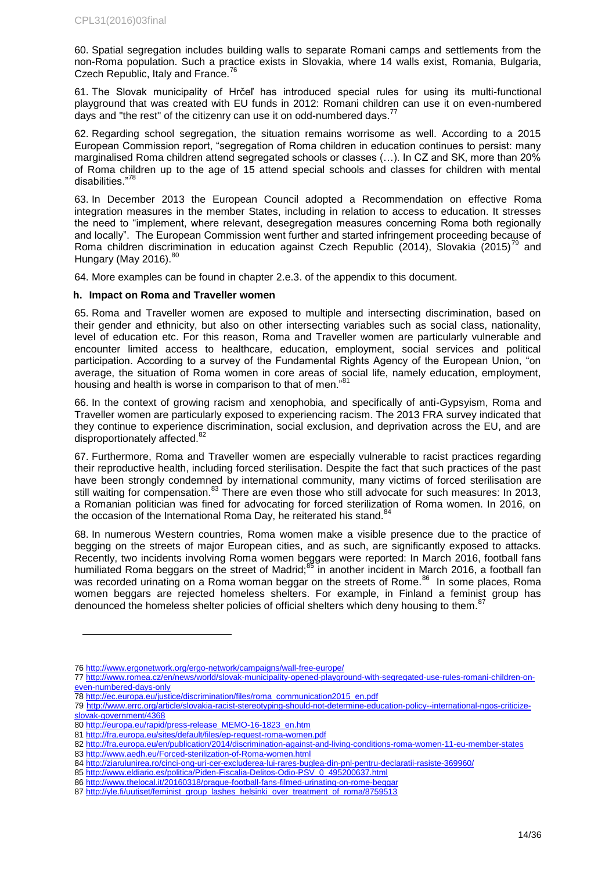60. Spatial segregation includes building walls to separate Romani camps and settlements from the non-Roma population. Such a practice exists in Slovakia, where 14 walls exist, Romania, Bulgaria, Czech Republic, Italy and France.<sup>76</sup>

61. The Slovak municipality of Hrčeľ has introduced special rules for using its multi-functional playground that was created with EU funds in 2012: Romani children can use it on even-numbered days and "the rest" of the citizenry can use it on odd-numbered days.<sup>77</sup>

62. Regarding school segregation, the situation remains worrisome as well. According to a 2015 European Commission report, "segregation of Roma children in education continues to persist: many marginalised Roma children attend segregated schools or classes (…). In CZ and SK, more than 20% of Roma children up to the age of 15 attend special schools and classes for children with mental disabilities."<sup>78</sup>

63. In December 2013 the European Council adopted a Recommendation on effective Roma integration measures in the member States, including in relation to access to education. It stresses the need to "implement, where relevant, desegregation measures concerning Roma both regionally and locally". The European Commission went further and started infringement proceeding because of Roma children discrimination in education against Czech Republic (2014), Slovakia (2015)<sup>79</sup> and Hungary (May 2016). $80$ 

64. More examples can be found in chapter 2.e.3. of the appendix to this document.

#### <span id="page-13-0"></span>**h. Impact on Roma and Traveller women**

65. Roma and Traveller women are exposed to multiple and intersecting discrimination, based on their gender and ethnicity, but also on other intersecting variables such as social class, nationality, level of education etc. For this reason, Roma and Traveller women are particularly vulnerable and encounter limited access to healthcare, education, employment, social services and political participation. According to a survey of the Fundamental Rights Agency of the European Union, "on average, the situation of Roma women in core areas of social life, namely education, employment, housing and health is worse in comparison to that of men."<sup>81</sup>

66. In the context of growing racism and xenophobia, and specifically of anti-Gypsyism, Roma and Traveller women are particularly exposed to experiencing racism. The 2013 FRA survey indicated that they continue to experience discrimination, social exclusion, and deprivation across the EU, and are disproportionately affected.<sup>8</sup>

67. Furthermore, Roma and Traveller women are especially vulnerable to racist practices regarding their reproductive health, including forced sterilisation. Despite the fact that such practices of the past have been strongly condemned by international community, many victims of forced sterilisation are still waiting for compensation.<sup>83</sup> There are even those who still advocate for such measures: In 2013, a Romanian politician was fined for advocating for forced sterilization of Roma women. In 2016, on the occasion of the International Roma Day, he reiterated his stand.<sup>84</sup>

68. In numerous Western countries, Roma women make a visible presence due to the practice of begging on the streets of major European cities, and as such, are significantly exposed to attacks. Recently, two incidents involving Roma women beggars were reported: In March 2016, football fans humiliated Roma beggars on the street of Madrid;<sup>85</sup> in another incident in March 2016, a football fan was recorded urinating on a Roma woman beggar on the streets of Rome.<sup>86</sup> In some places, Roma women beggars are rejected homeless shelters. For example, in Finland a feminist group has denounced the homeless shelter policies of official shelters which deny housing to them.<sup>87</sup>

<sup>76</sup> <http://www.ergonetwork.org/ergo-network/campaigns/wall-free-europe/>

<sup>77</sup> [http://www.romea.cz/en/news/world/slovak-municipality-opened-playground-with-segregated-use-rules-romani-children-on](http://www.romea.cz/en/news/world/slovak-municipality-opened-playground-with-segregated-use-rules-romani-children-on-even-numbered-days-only)[even-numbered-days-only](http://www.romea.cz/en/news/world/slovak-municipality-opened-playground-with-segregated-use-rules-romani-children-on-even-numbered-days-only)

<sup>78</sup> [http://ec.europa.eu/justice/discrimination/files/roma\\_communication2015\\_en.pdf](http://ec.europa.eu/justice/discrimination/files/roma_communication2015_en.pdf)

<sup>79</sup> [http://www.errc.org/article/slovakia-racist-stereotyping-should-not-determine-education-policy--international-ngos-criticize](http://www.errc.org/article/slovakia-racist-stereotyping-should-not-determine-education-policy--international-ngos-criticize-slovak-government/4368)[slovak-government/4368](http://www.errc.org/article/slovakia-racist-stereotyping-should-not-determine-education-policy--international-ngos-criticize-slovak-government/4368) 

<sup>80</sup> [http://europa.eu/rapid/press-release\\_MEMO-16-1823\\_en.htm](http://europa.eu/rapid/press-release_MEMO-16-1823_en.htm)

<sup>81</sup> <http://fra.europa.eu/sites/default/files/ep-request-roma-women.pdf>

<sup>82</sup> <http://fra.europa.eu/en/publication/2014/discrimination-against-and-living-conditions-roma-women-11-eu-member-states>

<sup>83</sup> http://www.aedh.eu/Forced-sterilization-of-Roma-women.html

<sup>84</sup> <http://ziarulunirea.ro/cinci-ong-uri-cer-excluderea-lui-rares-buglea-din-pnl-pentru-declaratii-rasiste-369960/>

<sup>85</sup> [http://www.eldiario.es/politica/Piden-Fiscalia-Delitos-Odio-PSV\\_0\\_495200637.html](http://www.eldiario.es/politica/Piden-Fiscalia-Delitos-Odio-PSV_0_495200637.html)

<sup>86</sup> <http://www.thelocal.it/20160318/prague-football-fans-filmed-urinating-on-rome-beggar>

<sup>87</sup> [http://yle.fi/uutiset/feminist\\_group\\_lashes\\_helsinki\\_over\\_treatment\\_of\\_roma/8759513](http://yle.fi/uutiset/feminist_group_lashes_helsinki_over_treatment_of_roma/8759513)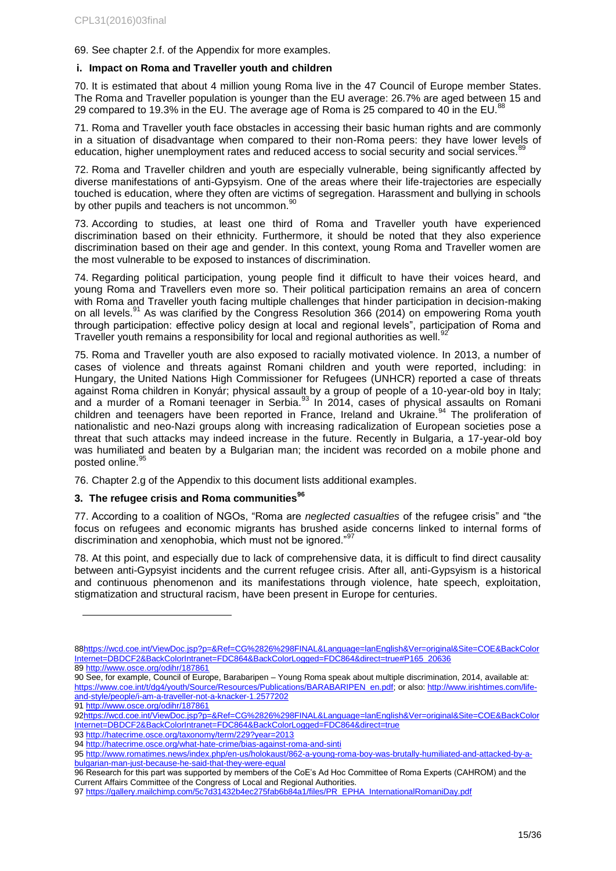69. See chapter 2.f. of the Appendix for more examples.

### <span id="page-14-0"></span>**i. Impact on Roma and Traveller youth and children**

70. It is estimated that about 4 million young Roma live in the 47 Council of Europe member States. The Roma and Traveller population is younger than the EU average: 26.7% are aged between 15 and 29 compared to 19.3% in the EU. The average age of Roma is  $25$  compared to 40 in the EU.<sup>88</sup>

71. Roma and Traveller youth face obstacles in accessing their basic human rights and are commonly in a situation of disadvantage when compared to their non-Roma peers: they have lower levels of education, higher unemployment rates and reduced access to social security and social services.<sup>89</sup>

72. Roma and Traveller children and youth are especially vulnerable, being significantly affected by diverse manifestations of anti-Gypsyism. One of the areas where their life-trajectories are especially touched is education, where they often are victims of segregation. Harassment and bullying in schools by other pupils and teachers is not uncommon.<sup>8</sup>

73. According to studies, at least one third of Roma and Traveller youth have experienced discrimination based on their ethnicity. Furthermore, it should be noted that they also experience discrimination based on their age and gender. In this context, young Roma and Traveller women are the most vulnerable to be exposed to instances of discrimination.

74. Regarding political participation, young people find it difficult to have their voices heard, and young Roma and Travellers even more so. Their political participation remains an area of concern with Roma and Traveller youth facing multiple challenges that hinder participation in decision-making on all levels.<sup>91</sup> As was clarified by the Congress Resolution 366 (2014) on empowering Roma youth through participation: effective policy design at local and regional levels", participation of Roma and Traveller youth remains a responsibility for local and regional authorities as well.<sup>92</sup>

75. Roma and Traveller youth are also exposed to racially motivated violence. In 2013, a number of cases of violence and threats against Romani children and youth were reported, including: in Hungary, the United Nations High Commissioner for Refugees (UNHCR) reported a case of threats against Roma children in Konyár; physical assault by a group of people of a 10-year-old boy in Italy; and a murder of a Romani teenager in Serbia.<sup>93</sup> In 2014, cases of physical assaults on Romani children and teenagers have been reported in France, Ireland and Ukraine.<sup>94</sup> The proliferation of nationalistic and neo-Nazi groups along with increasing radicalization of European societies pose a threat that such attacks may indeed increase in the future. Recently in Bulgaria, a 17-year-old boy was humiliated and beaten by a Bulgarian man; the incident was recorded on a mobile phone and posted online.<sup>95</sup>

76. Chapter 2.g of the Appendix to this document lists additional examples.

### <span id="page-14-1"></span>**3. The refugee crisis and Roma communities<sup>96</sup>**

77. According to a coalition of NGOs, "Roma are *neglected casualties* of the refugee crisis" and "the focus on refugees and economic migrants has brushed aside concerns linked to internal forms of discrimination and xenophobia, which must not be ignored."<sup>97</sup>

78. At this point, and especially due to lack of comprehensive data, it is difficult to find direct causality between anti-Gypsyist incidents and the current refugee crisis. After all, anti-Gypsyism is a historical and continuous phenomenon and its manifestations through violence, hate speech, exploitation, stigmatization and structural racism, have been present in Europe for centuries.

l

90 See, for example, Council of Europe, Barabaripen – Young Roma speak about multiple discrimination, 2014, available at: [https://www.coe.int/t/dg4/youth/Source/Resources/Publications/BARABARIPEN\\_en.pdf;](https://www.coe.int/t/dg4/youth/Source/Resources/Publications/BARABARIPEN_en.pdf) or also: [http://www.irishtimes.com/life](http://www.irishtimes.com/life-and-style/people/i-am-a-traveller-not-a-knacker-1.2577202)[and-style/people/i-am-a-traveller-not-a-knacker-1.2577202](http://www.irishtimes.com/life-and-style/people/i-am-a-traveller-not-a-knacker-1.2577202) 91 <http://www.osce.org/odihr/187861>

[<sup>88</sup>https://wcd.coe.int/ViewDoc.jsp?p=&Ref=CG%2826%298FINAL&Language=lanEnglish&Ver=original&Site=COE&BackColor](https://wcd.coe.int/ViewDoc.jsp?p=&Ref=CG%2826%298FINAL&Language=lanEnglish&Ver=original&Site=COE&BackColorInternet=DBDCF2&BackColorIntranet=FDC864&BackColorLogged=FDC864&direct=true#P165_20636) [Internet=DBDCF2&BackColorIntranet=FDC864&BackColorLogged=FDC864&direct=true#P165\\_20636](https://wcd.coe.int/ViewDoc.jsp?p=&Ref=CG%2826%298FINAL&Language=lanEnglish&Ver=original&Site=COE&BackColorInternet=DBDCF2&BackColorIntranet=FDC864&BackColorLogged=FDC864&direct=true#P165_20636)

<sup>89</sup> <http://www.osce.org/odihr/187861>

[<sup>92</sup>https://wcd.coe.int/ViewDoc.jsp?p=&Ref=CG%2826%298FINAL&Language=lanEnglish&Ver=original&Site=COE&BackColor](https://wcd.coe.int/ViewDoc.jsp?p=&Ref=CG%2826%298FINAL&Language=lanEnglish&Ver=original&Site=COE&BackColorInternet=DBDCF2&BackColorIntranet=FDC864&BackColorLogged=FDC864&direct=true) [Internet=DBDCF2&BackColorIntranet=FDC864&BackColorLogged=FDC864&direct=true](https://wcd.coe.int/ViewDoc.jsp?p=&Ref=CG%2826%298FINAL&Language=lanEnglish&Ver=original&Site=COE&BackColorInternet=DBDCF2&BackColorIntranet=FDC864&BackColorLogged=FDC864&direct=true)

<sup>93</sup> <http://hatecrime.osce.org/taxonomy/term/229?year=2013>

<sup>94</sup> <http://hatecrime.osce.org/what-hate-crime/bias-against-roma-and-sinti>

<sup>95</sup> [http://www.romatimes.news/index.php/en-us/holokaust/862-a-young-roma-boy-was-brutally-humiliated-and-attacked-by-a](http://www.romatimes.news/index.php/en-us/holokaust/862-a-young-roma-boy-was-brutally-humiliated-and-attacked-by-a-bulgarian-man-just-because-he-said-that-they-were-equal)[bulgarian-man-just-because-he-said-that-they-were-equal](http://www.romatimes.news/index.php/en-us/holokaust/862-a-young-roma-boy-was-brutally-humiliated-and-attacked-by-a-bulgarian-man-just-because-he-said-that-they-were-equal)

<sup>96</sup> Research for this part was supported by members of the CoE's Ad Hoc Committee of Roma Experts (CAHROM) and the Current Affairs Committee of the Congress of Local and Regional Authorities.

<sup>97</sup> [https://gallery.mailchimp.com/5c7d31432b4ec275fab6b84a1/files/PR\\_EPHA\\_InternationalRomaniDay.pdf](https://gallery.mailchimp.com/5c7d31432b4ec275fab6b84a1/files/PR_EPHA_InternationalRomaniDay.pdf)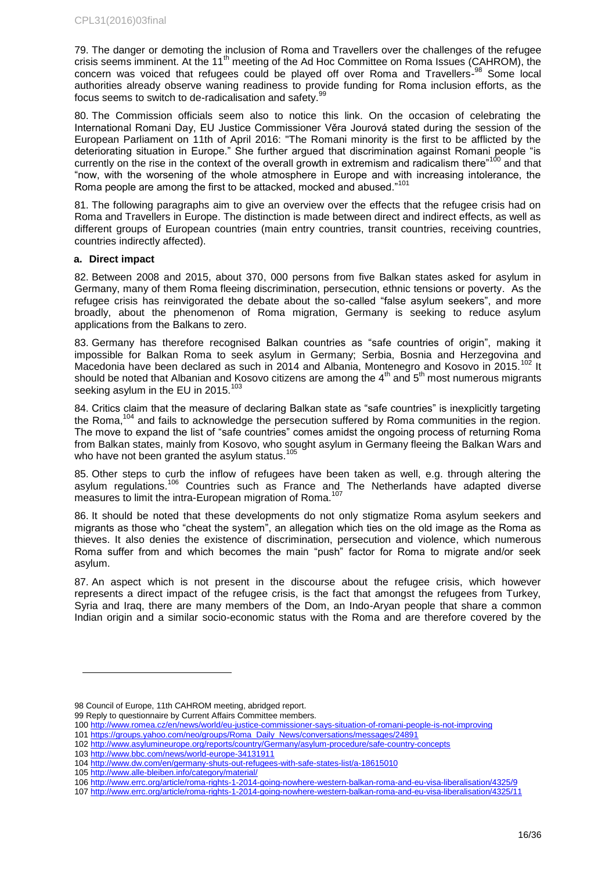79. The danger or demoting the inclusion of Roma and Travellers over the challenges of the refugee crisis seems imminent. At the 11<sup>th</sup> meeting of the Ad Hoc Committee on Roma Issues (CAHROM), the concern was voiced that refugees could be played off over Roma and Travellers-<sup>98</sup> Some local authorities already observe waning readiness to provide funding for Roma inclusion efforts, as the focus seems to switch to de-radicalisation and safety.<sup>99</sup>

80. The Commission officials seem also to notice this link. On the occasion of celebrating the International Romani Day, EU Justice Commissioner Věra Jourová stated during the session of the European Parliament on 11th of April 2016: "The Romani minority is the first to be afflicted by the deteriorating situation in Europe." She further argued that discrimination against Romani people "is currently on the rise in the context of the overall growth in extremism and radicalism there"<sup>100</sup> and that "now, with the worsening of the whole atmosphere in Europe and with increasing intolerance, the Roma people are among the first to be attacked, mocked and abused."<sup>10</sup>

81. The following paragraphs aim to give an overview over the effects that the refugee crisis had on Roma and Travellers in Europe. The distinction is made between direct and indirect effects, as well as different groups of European countries (main entry countries, transit countries, receiving countries, countries indirectly affected).

### <span id="page-15-0"></span>**a. Direct impact**

82. Between 2008 and 2015, about 370, 000 persons from five Balkan states asked for asylum in Germany, many of them Roma fleeing discrimination, persecution, ethnic tensions or poverty. As the refugee crisis has reinvigorated the debate about the so-called "false asylum seekers", and more broadly, about the phenomenon of Roma migration, Germany is seeking to reduce asylum applications from the Balkans to zero.

83. Germany has therefore recognised Balkan countries as "safe countries of origin", making it impossible for Balkan Roma to seek asylum in Germany; Serbia, Bosnia and Herzegovina and Macedonia have been declared as such in 2014 and Albania, Montenegro and Kosovo in 2015.<sup>102</sup> It should be noted that Albanian and Kosovo citizens are among the  $4<sup>th</sup>$  and  $5<sup>th</sup>$  most numerous migrants seeking asylum in the EU in 2015.

84. Critics claim that the measure of declaring Balkan state as "safe countries" is inexplicitly targeting the Roma, $104$  and fails to acknowledge the persecution suffered by Roma communities in the region. The move to expand the list of "safe countries" comes amidst the ongoing process of returning Roma from Balkan states, mainly from Kosovo, who sought asylum in Germany fleeing the Balkan Wars and who have not been granted the asylum status.<sup>105</sup>

85. Other steps to curb the inflow of refugees have been taken as well, e.g. through altering the asylum regulations.<sup>106</sup> Countries such as France and The Netherlands have adapted diverse measures to limit the intra-European migration of Roma.<sup>107</sup>

86. It should be noted that these developments do not only stigmatize Roma asylum seekers and migrants as those who "cheat the system", an allegation which ties on the old image as the Roma as thieves. It also denies the existence of discrimination, persecution and violence, which numerous Roma suffer from and which becomes the main "push" factor for Roma to migrate and/or seek asylum.

87. An aspect which is not present in the discourse about the refugee crisis, which however represents a direct impact of the refugee crisis, is the fact that amongst the refugees from Turkey, Syria and Iraq, there are many members of the Dom, an Indo-Aryan people that share a common Indian origin and a similar socio-economic status with the Roma and are therefore covered by the

<sup>98</sup> Council of Europe, 11th CAHROM meeting, abridged report.

<sup>99</sup> Reply to questionnaire by Current Affairs Committee members.

<sup>100</sup> <http://www.romea.cz/en/news/world/eu-justice-commissioner-says-situation-of-romani-people-is-not-improving>

<sup>101</sup> [https://groups.yahoo.com/neo/groups/Roma\\_Daily\\_News/conversations/messages/24891](https://groups.yahoo.com/neo/groups/Roma_Daily_News/conversations/messages/24891)

<sup>102</sup> <http://www.asylumineurope.org/reports/country/Germany/asylum-procedure/safe-country-concepts>

<sup>103</sup> <http://www.bbc.com/news/world-europe-34131911>

<sup>104</sup> <http://www.dw.com/en/germany-shuts-out-refugees-with-safe-states-list/a-18615010>

<sup>105</sup> <http://www.alle-bleiben.info/category/material/>

<sup>106</sup> <http://www.errc.org/article/roma-rights-1-2014-going-nowhere-western-balkan-roma-and-eu-visa-liberalisation/4325/9>

<sup>107</sup> <http://www.errc.org/article/roma-rights-1-2014-going-nowhere-western-balkan-roma-and-eu-visa-liberalisation/4325/11>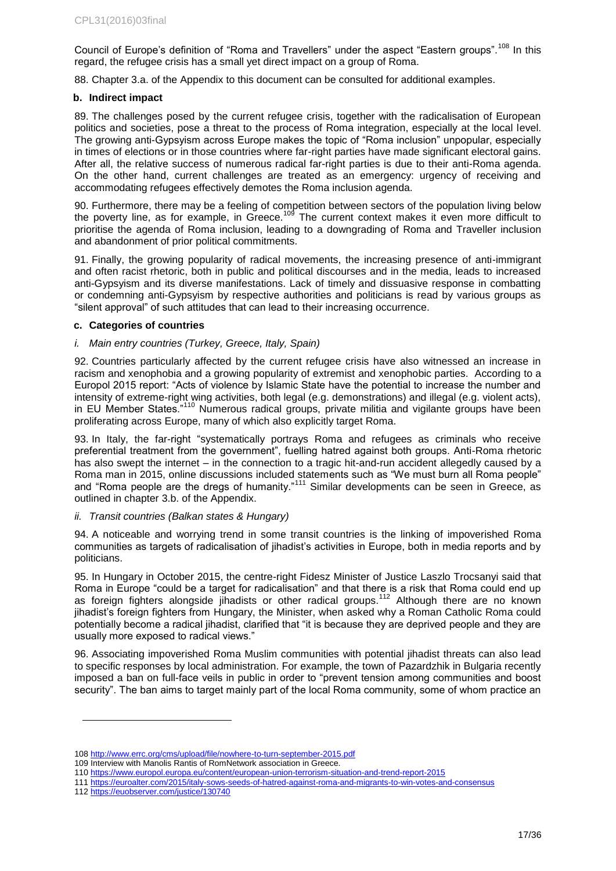Council of Europe's definition of "Roma and Travellers" under the aspect "Eastern groups".<sup>108</sup> In this regard, the refugee crisis has a small yet direct impact on a group of Roma.

88. Chapter 3.a. of the Appendix to this document can be consulted for additional examples.

### <span id="page-16-0"></span>**b. Indirect impact**

89. The challenges posed by the current refugee crisis, together with the radicalisation of European politics and societies, pose a threat to the process of Roma integration, especially at the local level. The growing anti-Gypsyism across Europe makes the topic of "Roma inclusion" unpopular, especially in times of elections or in those countries where far-right parties have made significant electoral gains. After all, the relative success of numerous radical far-right parties is due to their anti-Roma agenda. On the other hand, current challenges are treated as an emergency: urgency of receiving and accommodating refugees effectively demotes the Roma inclusion agenda.

90. Furthermore, there may be a feeling of competition between sectors of the population living below the poverty line, as for example, in Greece.<sup>109</sup> The current context makes it even more difficult to prioritise the agenda of Roma inclusion, leading to a downgrading of Roma and Traveller inclusion and abandonment of prior political commitments.

91. Finally, the growing popularity of radical movements, the increasing presence of anti-immigrant and often racist rhetoric, both in public and political discourses and in the media, leads to increased anti-Gypsyism and its diverse manifestations. Lack of timely and dissuasive response in combatting or condemning anti-Gypsyism by respective authorities and politicians is read by various groups as "silent approval" of such attitudes that can lead to their increasing occurrence.

#### <span id="page-16-1"></span>**c. Categories of countries**

### *i. Main entry countries (Turkey, Greece, Italy, Spain)*

92. Countries particularly affected by the current refugee crisis have also witnessed an increase in racism and xenophobia and a growing popularity of extremist and xenophobic parties. According to a Europol 2015 report: "Acts of violence by Islamic State have the potential to increase the number and intensity of extreme-right wing activities, both legal (e.g. demonstrations) and illegal (e.g. violent acts), in EU Member States.<sup>"110</sup> Numerous radical groups, private militia and vigilante groups have been proliferating across Europe, many of which also explicitly target Roma.

93. In Italy, the far-right "systematically portrays Roma and refugees as criminals who receive preferential treatment from the government", fuelling hatred against both groups. Anti-Roma rhetoric has also swept the internet – in the connection to a tragic hit-and-run accident allegedly caused by a Roma man in 2015, online discussions included statements such as "We must burn all Roma people" and "Roma people are the dregs of humanity."<sup>111</sup> Similar developments can be seen in Greece, as outlined in chapter 3.b. of the Appendix.

### *ii. Transit countries (Balkan states & Hungary)*

94. A noticeable and worrying trend in some transit countries is the linking of impoverished Roma communities as targets of radicalisation of jihadist's activities in Europe, both in media reports and by politicians.

95. In Hungary in October 2015, the centre-right Fidesz Minister of Justice Laszlo Trocsanyi said that Roma in Europe "could be a target for radicalisation" and that there is a risk that Roma could end up as foreign fighters alongside jihadists or other radical groups.<sup>112</sup> Although there are no known jihadist's foreign fighters from Hungary, the Minister, when asked why a Roman Catholic Roma could potentially become a radical jihadist, clarified that "it is because they are deprived people and they are usually more exposed to radical views."

96. Associating impoverished Roma Muslim communities with potential jihadist threats can also lead to specific responses by local administration. For example, the town of Pazardzhik in Bulgaria recently imposed a ban on full-face veils in public in order to "prevent tension among communities and boost security". The ban aims to target mainly part of the local Roma community, some of whom practice an

<sup>108</sup> <http://www.errc.org/cms/upload/file/nowhere-to-turn-september-2015.pdf>

<sup>109</sup> Interview with Manolis Rantis of RomNetwork association in Greece.

<sup>110</sup> <https://www.europol.europa.eu/content/european-union-terrorism-situation-and-trend-report-2015>

<sup>111</sup> <https://euroalter.com/2015/italy-sows-seeds-of-hatred-against-roma-and-migrants-to-win-votes-and-consensus>

<sup>112</sup> <https://euobserver.com/justice/130740>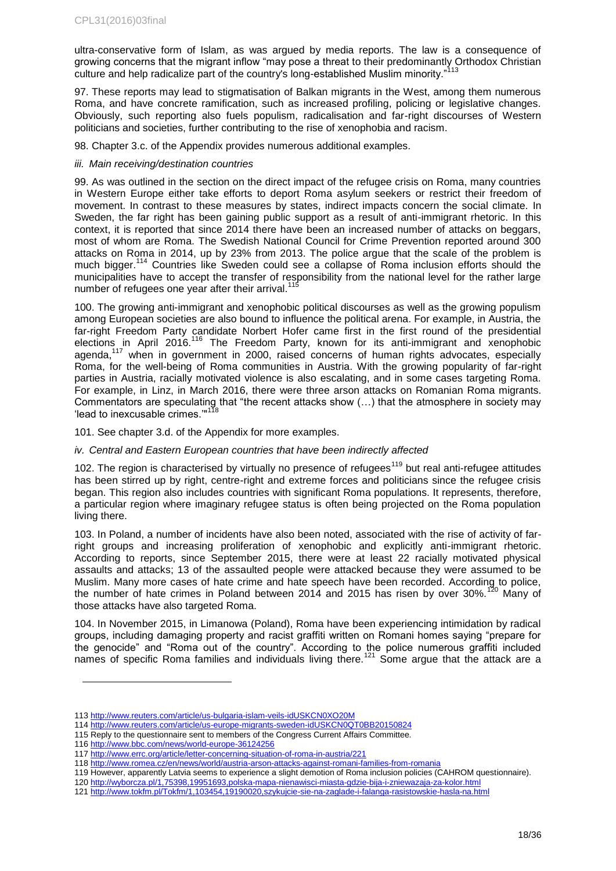ultra-conservative form of Islam, as was argued by media reports. The law is a consequence of growing concerns that the migrant inflow "may pose a threat to their predominantly Orthodox Christian culture and help radicalize part of the country's long-established Muslim minority."<sup>113</sup>

97. These reports may lead to stigmatisation of Balkan migrants in the West, among them numerous Roma, and have concrete ramification, such as increased profiling, policing or legislative changes. Obviously, such reporting also fuels populism, radicalisation and far-right discourses of Western politicians and societies, further contributing to the rise of xenophobia and racism.

98. Chapter 3.c. of the Appendix provides numerous additional examples.

### *iii. Main receiving/destination countries*

99. As was outlined in the section on the direct impact of the refugee crisis on Roma, many countries in Western Europe either take efforts to deport Roma asylum seekers or restrict their freedom of movement. In contrast to these measures by states, indirect impacts concern the social climate. In Sweden, the far right has been gaining public support as a result of anti-immigrant rhetoric. In this context, it is reported that since 2014 there have been an increased number of attacks on beggars, most of whom are Roma. The Swedish National Council for Crime Prevention reported around 300 attacks on Roma in 2014, up by 23% from 2013. The police argue that the scale of the problem is much bigger.<sup>114</sup> Countries like Sweden could see a collapse of Roma inclusion efforts should the municipalities have to accept the transfer of responsibility from the national level for the rather large number of refugees one year after their arrival.<sup>115</sup>

100. The growing anti-immigrant and xenophobic political discourses as well as the growing populism among European societies are also bound to influence the political arena. For example, in Austria, the far-right Freedom Party candidate Norbert Hofer came first in the first round of the presidential elections in April 2016.<sup>116</sup> The Freedom Party, known for its anti-immigrant and xenophobic agenda,<sup>117</sup> when in government in 2000, raised concerns of human rights advocates, especially Roma, for the well-being of Roma communities in Austria. With the growing popularity of far-right parties in Austria, racially motivated violence is also escalating, and in some cases targeting Roma. For example, in Linz, in March 2016, there were three arson attacks on Romanian Roma migrants. Commentators are speculating that "the recent attacks show (…) that the atmosphere in society may 'lead to inexcusable crimes."<sup>118</sup>

101. See chapter 3.d. of the Appendix for more examples.

### *iv. Central and Eastern European countries that have been indirectly affected*

102. The region is characterised by virtually no presence of refugees<sup>119</sup> but real anti-refugee attitudes has been stirred up by right, centre-right and extreme forces and politicians since the refugee crisis began. This region also includes countries with significant Roma populations. It represents, therefore, a particular region where imaginary refugee status is often being projected on the Roma population living there.

103. In Poland, a number of incidents have also been noted, associated with the rise of activity of farright groups and increasing proliferation of xenophobic and explicitly anti-immigrant rhetoric. According to reports, since September 2015, there were at least 22 racially motivated physical assaults and attacks; 13 of the assaulted people were attacked because they were assumed to be Muslim. Many more cases of hate crime and hate speech have been recorded. According to police, the number of hate crimes in Poland between 2014 and 2015 has risen by over  $30\%$ .<sup>120</sup> Many of those attacks have also targeted Roma.

104. In November 2015, in Limanowa (Poland), Roma have been experiencing intimidation by radical groups, including damaging property and racist graffiti written on Romani homes saying "prepare for the genocide" and "Roma out of the country". According to the police numerous graffiti included names of specific Roma families and individuals living there.<sup>121</sup> Some argue that the attack are a

<sup>113</sup> <http://www.reuters.com/article/us-bulgaria-islam-veils-idUSKCN0XO20M>

<sup>114</sup> <http://www.reuters.com/article/us-europe-migrants-sweden-idUSKCN0QT0BB20150824>

<sup>115</sup> Reply to the questionnaire sent to members of the Congress Current Affairs Committee.

<sup>116</sup> <http://www.bbc.com/news/world-europe-36124256>

<sup>117</sup> <http://www.errc.org/article/letter-concerning-situation-of-roma-in-austria/221>

<sup>118</sup> <http://www.romea.cz/en/news/world/austria-arson-attacks-against-romani-families-from-romania>

<sup>119</sup> However, apparently Latvia seems to experience a slight demotion of Roma inclusion policies (CAHROM questionnaire).

<sup>120</sup> <http://wyborcza.pl/1,75398,19951693,polska-mapa-nienawisci-miasta-gdzie-bija-i-zniewazaja-za-kolor.html>

<sup>121</sup> <http://www.tokfm.pl/Tokfm/1,103454,19190020,szykujcie-sie-na-zaglade-i-falanga-rasistowskie-hasla-na.html>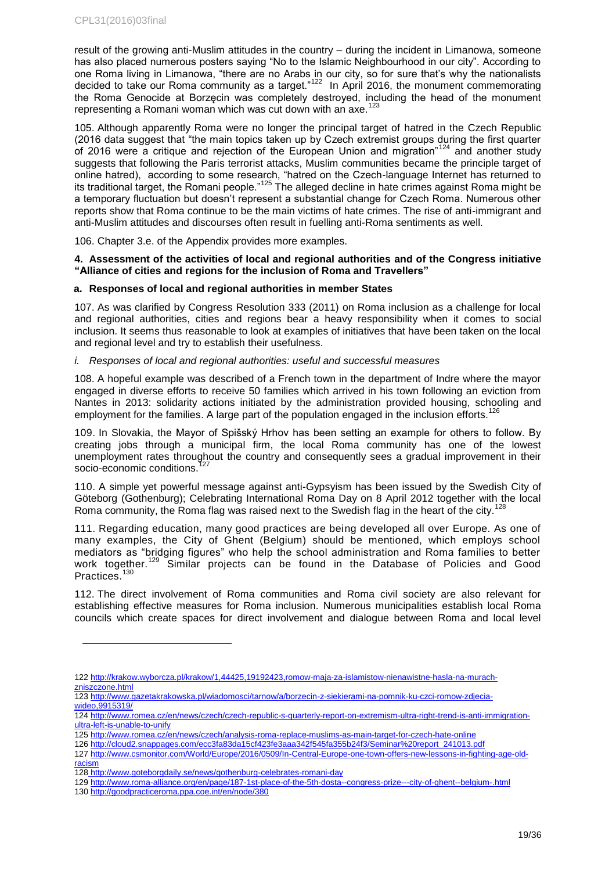result of the growing anti-Muslim attitudes in the country – during the incident in Limanowa, someone has also placed numerous posters saying "No to the Islamic Neighbourhood in our city". According to one Roma living in Limanowa, "there are no Arabs in our city, so for sure that's why the nationalists decided to take our Roma community as a target."<sup>122</sup> In April 2016, the monument commemorating the Roma Genocide at Borzęcin was completely destroyed, including the head of the monument representing a Romani woman which was cut down with an axe.<sup>123</sup>

105. Although apparently Roma were no longer the principal target of hatred in the Czech Republic (2016 data suggest that "the main topics taken up by Czech extremist groups during the first quarter of 2016 were a critique and rejection of the European Union and migration<sup>7124</sup> and another study suggests that following the Paris terrorist attacks, Muslim communities became the principle target of online hatred), according to some research, "hatred on the Czech-language Internet has returned to its traditional target, the Romani people."<sup>125</sup> The alleged decline in hate crimes against Roma might be a temporary fluctuation but doesn't represent a substantial change for Czech Roma. Numerous other reports show that Roma continue to be the main victims of hate crimes. The rise of anti-immigrant and anti-Muslim attitudes and discourses often result in fuelling anti-Roma sentiments as well.

106. Chapter 3.e. of the Appendix provides more examples.

### <span id="page-18-0"></span>**4. Assessment of the activities of local and regional authorities and of the Congress initiative "Alliance of cities and regions for the inclusion of Roma and Travellers"**

### <span id="page-18-1"></span>**a. Responses of local and regional authorities in member States**

107. As was clarified by Congress Resolution 333 (2011) on Roma inclusion as a challenge for local and regional authorities, cities and regions bear a heavy responsibility when it comes to social inclusion. It seems thus reasonable to look at examples of initiatives that have been taken on the local and regional level and try to establish their usefulness.

*i. Responses of local and regional authorities: useful and successful measures*

108. A hopeful example was described of a French town in the department of Indre where the mayor engaged in diverse efforts to receive 50 families which arrived in his town following an eviction from Nantes in 2013: solidarity actions initiated by the administration provided housing, schooling and employment for the families. A large part of the population engaged in the inclusion efforts.<sup>126</sup>

109. In Slovakia, the Mayor of Spišský Hrhov has been setting an example for others to follow. By creating jobs through a municipal firm, the local Roma community has one of the lowest unemployment rates throughout the country and consequently sees a gradual improvement in their socio-economic conditions.<sup>127</sup>

110. A simple yet powerful message against anti-Gypsyism has been issued by the Swedish City of Göteborg (Gothenburg); Celebrating International Roma Day on 8 April 2012 together with the local Roma community, the Roma flag was raised next to the Swedish flag in the heart of the city.<sup>128</sup>

111. Regarding education, many good practices are being developed all over Europe. As one of many examples, the City of Ghent (Belgium) should be mentioned, which employs school mediators as "bridging figures" who help the school administration and Roma families to better work together.<sup>129</sup> Similar projects can be found in the Database of Policies and Good Practices<sup>130</sup>

112. The direct involvement of Roma communities and Roma civil society are also relevant for establishing effective measures for Roma inclusion. Numerous municipalities establish local Roma councils which create spaces for direct involvement and dialogue between Roma and local level

<sup>122</sup> [http://krakow.wyborcza.pl/krakow/1,44425,19192423,romow-maja-za-islamistow-nienawistne-hasla-na-murach](http://krakow.wyborcza.pl/krakow/1,44425,19192423,romow-maja-za-islamistow-nienawistne-hasla-na-murach-zniszczone.html)[zniszczone.html](http://krakow.wyborcza.pl/krakow/1,44425,19192423,romow-maja-za-islamistow-nienawistne-hasla-na-murach-zniszczone.html)

<sup>123</sup> [http://www.gazetakrakowska.pl/wiadomosci/tarnow/a/borzecin-z-siekierami-na-pomnik-ku-czci-romow-zdjecia](http://www.gazetakrakowska.pl/wiadomosci/tarnow/a/borzecin-z-siekierami-na-pomnik-ku-czci-romow-zdjecia-wideo,9915319/)[wideo,9915319/](http://www.gazetakrakowska.pl/wiadomosci/tarnow/a/borzecin-z-siekierami-na-pomnik-ku-czci-romow-zdjecia-wideo,9915319/)

<sup>124</sup> [http://www.romea.cz/en/news/czech/czech-republic-s-quarterly-report-on-extremism-ultra-right-trend-is-anti-immigration](http://www.romea.cz/en/news/czech/czech-republic-s-quarterly-report-on-extremism-ultra-right-trend-is-anti-immigration-ultra-left-is-unable-to-unify)[ultra-left-is-unable-to-unify](http://www.romea.cz/en/news/czech/czech-republic-s-quarterly-report-on-extremism-ultra-right-trend-is-anti-immigration-ultra-left-is-unable-to-unify)

<sup>125</sup> <http://www.romea.cz/en/news/czech/analysis-roma-replace-muslims-as-main-target-for-czech-hate-online>

<sup>126</sup> [http://cloud2.snappages.com/ecc3fa83da15cf423fe3aaa342f545fa355b24f3/Seminar%20report\\_241013.pdf](http://cloud2.snappages.com/ecc3fa83da15cf423fe3aaa342f545fa355b24f3/Seminar%20report_241013.pdf)

<sup>127</sup> [http://www.csmonitor.com/World/Europe/2016/0509/In-Central-Europe-one-town-offers-new-lessons-in-fighting-age-old](http://www.csmonitor.com/World/Europe/2016/0509/In-Central-Europe-one-town-offers-new-lessons-in-fighting-age-old-racism)[racism](http://www.csmonitor.com/World/Europe/2016/0509/In-Central-Europe-one-town-offers-new-lessons-in-fighting-age-old-racism)

<sup>128</sup> http://www.goteborgdaily.se/news/gothenburg-celebrates-romani-day

<sup>129</sup> http://www.roma-alliance.org/en/page/187-1st-place-of-the-5th-dosta--congress-prize---city-of-ghent--belgium-.html

<sup>130</sup> http://goodpracticeroma.ppa.coe.int/en/node/380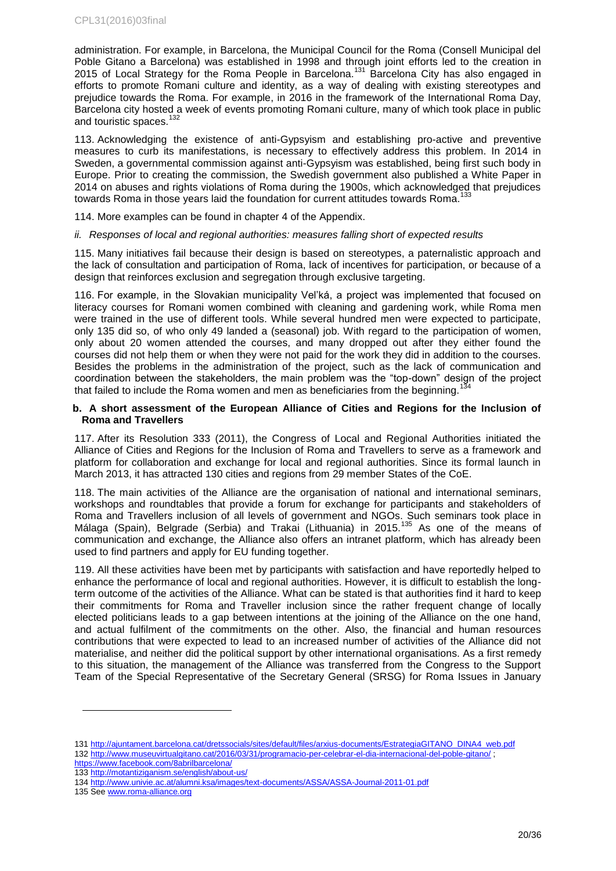administration. For example, in Barcelona, the Municipal Council for the Roma (Consell Municipal del Poble Gitano a Barcelona) was established in 1998 and through joint efforts led to the creation in 2015 of Local Strategy for the Roma People in Barcelona.<sup>131</sup> Barcelona City has also engaged in efforts to promote Romani culture and identity, as a way of dealing with existing stereotypes and prejudice towards the Roma. For example, in 2016 in the framework of the International Roma Day, Barcelona city hosted a week of events promoting Romani culture, many of which took place in public and touristic spaces.<sup>132</sup>

113. Acknowledging the existence of anti-Gypsyism and establishing pro-active and preventive measures to curb its manifestations, is necessary to effectively address this problem. In 2014 in Sweden, a governmental commission against anti-Gypsyism was established, being first such body in Europe. Prior to creating the commission, the Swedish government also published a White Paper in 2014 on abuses and rights violations of Roma during the 1900s, which acknowledged that prejudices towards Roma in those years laid the foundation for current attitudes towards Roma.<sup>1</sup>

114. More examples can be found in chapter 4 of the Appendix.

*ii. Responses of local and regional authorities: measures falling short of expected results*

115. Many initiatives fail because their design is based on stereotypes, a paternalistic approach and the lack of consultation and participation of Roma, lack of incentives for participation, or because of a design that reinforces exclusion and segregation through exclusive targeting.

116. For example, in the Slovakian municipality Vel'ká, a project was implemented that focused on literacy courses for Romani women combined with cleaning and gardening work, while Roma men were trained in the use of different tools. While several hundred men were expected to participate, only 135 did so, of who only 49 landed a (seasonal) job. With regard to the participation of women, only about 20 women attended the courses, and many dropped out after they either found the courses did not help them or when they were not paid for the work they did in addition to the courses. Besides the problems in the administration of the project, such as the lack of communication and coordination between the stakeholders, the main problem was the "top-down" design of the project that failed to include the Roma women and men as beneficiaries from the beginning.

### <span id="page-19-0"></span>**b. A short assessment of the European Alliance of Cities and Regions for the Inclusion of Roma and Travellers**

117. After its Resolution 333 (2011), the Congress of Local and Regional Authorities initiated the Alliance of Cities and Regions for the Inclusion of Roma and Travellers to serve as a framework and platform for collaboration and exchange for local and regional authorities. Since its formal launch in March 2013, it has attracted 130 cities and regions from 29 member States of the CoE.

118. The main activities of the Alliance are the organisation of national and international seminars, workshops and roundtables that provide a forum for exchange for participants and stakeholders of Roma and Travellers inclusion of all levels of government and NGOs. Such seminars took place in Málaga (Spain), Belgrade (Serbia) and Trakai (Lithuania) in 2015.<sup>135</sup> As one of the means of communication and exchange, the Alliance also offers an intranet platform, which has already been used to find partners and apply for EU funding together.

119. All these activities have been met by participants with satisfaction and have reportedly helped to enhance the performance of local and regional authorities. However, it is difficult to establish the longterm outcome of the activities of the Alliance. What can be stated is that authorities find it hard to keep their commitments for Roma and Traveller inclusion since the rather frequent change of locally elected politicians leads to a gap between intentions at the joining of the Alliance on the one hand, and actual fulfilment of the commitments on the other. Also, the financial and human resources contributions that were expected to lead to an increased number of activities of the Alliance did not materialise, and neither did the political support by other international organisations. As a first remedy to this situation, the management of the Alliance was transferred from the Congress to the Support Team of the Special Representative of the Secretary General (SRSG) for Roma Issues in January

<sup>131</sup> [http://ajuntament.barcelona.cat/dretssocials/sites/default/files/arxius-documents/EstrategiaGITANO\\_DINA4\\_web.pdf](http://ajuntament.barcelona.cat/dretssocials/sites/default/files/arxius-documents/EstrategiaGITANO_DINA4_web.pdf) 132 <http://www.museuvirtualgitano.cat/2016/03/31/programacio-per-celebrar-el-dia-internacional-del-poble-gitano/> ;

<https://www.facebook.com/8abrilbarcelona/>

<sup>133</sup> <http://motantiziganism.se/english/about-us/>

<sup>134</sup> <http://www.univie.ac.at/alumni.ksa/images/text-documents/ASSA/ASSA-Journal-2011-01.pdf>

<sup>135</sup> See [www.roma-alliance.org](http://www.roma-alliance.org/)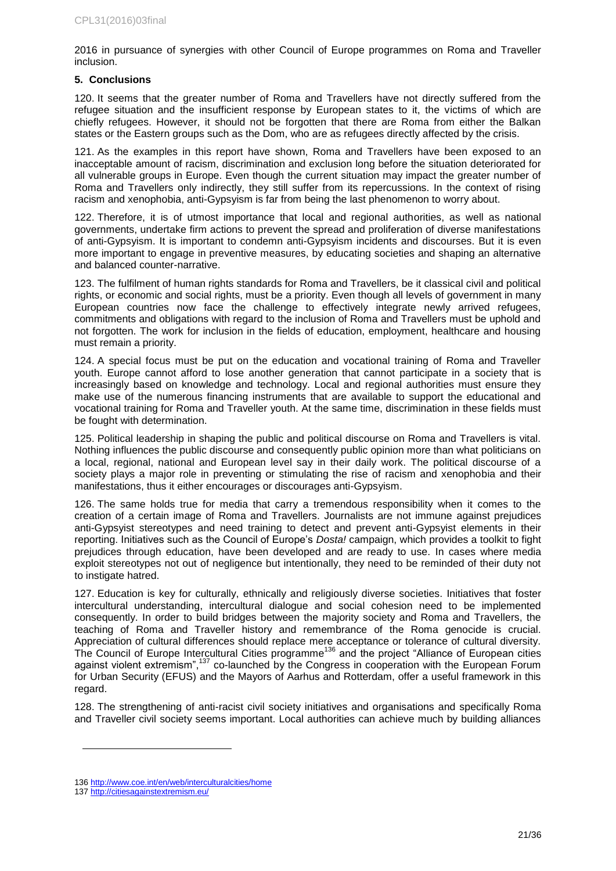2016 in pursuance of synergies with other Council of Europe programmes on Roma and Traveller inclusion.

### <span id="page-20-0"></span>**5. Conclusions**

120. It seems that the greater number of Roma and Travellers have not directly suffered from the refugee situation and the insufficient response by European states to it, the victims of which are chiefly refugees. However, it should not be forgotten that there are Roma from either the Balkan states or the Eastern groups such as the Dom, who are as refugees directly affected by the crisis.

121. As the examples in this report have shown, Roma and Travellers have been exposed to an inacceptable amount of racism, discrimination and exclusion long before the situation deteriorated for all vulnerable groups in Europe. Even though the current situation may impact the greater number of Roma and Travellers only indirectly, they still suffer from its repercussions. In the context of rising racism and xenophobia, anti-Gypsyism is far from being the last phenomenon to worry about.

122. Therefore, it is of utmost importance that local and regional authorities, as well as national governments, undertake firm actions to prevent the spread and proliferation of diverse manifestations of anti-Gypsyism. It is important to condemn anti-Gypsyism incidents and discourses. But it is even more important to engage in preventive measures, by educating societies and shaping an alternative and balanced counter-narrative.

123. The fulfilment of human rights standards for Roma and Travellers, be it classical civil and political rights, or economic and social rights, must be a priority. Even though all levels of government in many European countries now face the challenge to effectively integrate newly arrived refugees, commitments and obligations with regard to the inclusion of Roma and Travellers must be uphold and not forgotten. The work for inclusion in the fields of education, employment, healthcare and housing must remain a priority.

124. A special focus must be put on the education and vocational training of Roma and Traveller youth. Europe cannot afford to lose another generation that cannot participate in a society that is increasingly based on knowledge and technology. Local and regional authorities must ensure they make use of the numerous financing instruments that are available to support the educational and vocational training for Roma and Traveller youth. At the same time, discrimination in these fields must be fought with determination.

125. Political leadership in shaping the public and political discourse on Roma and Travellers is vital. Nothing influences the public discourse and consequently public opinion more than what politicians on a local, regional, national and European level say in their daily work. The political discourse of a society plays a major role in preventing or stimulating the rise of racism and xenophobia and their manifestations, thus it either encourages or discourages anti-Gypsyism.

126. The same holds true for media that carry a tremendous responsibility when it comes to the creation of a certain image of Roma and Travellers. Journalists are not immune against prejudices anti-Gypsyist stereotypes and need training to detect and prevent anti-Gypsyist elements in their reporting. Initiatives such as the Council of Europe's *Dosta!* campaign, which provides a toolkit to fight prejudices through education, have been developed and are ready to use. In cases where media exploit stereotypes not out of negligence but intentionally, they need to be reminded of their duty not to instigate hatred.

127. Education is key for culturally, ethnically and religiously diverse societies. Initiatives that foster intercultural understanding, intercultural dialogue and social cohesion need to be implemented consequently. In order to build bridges between the majority society and Roma and Travellers, the teaching of Roma and Traveller history and remembrance of the Roma genocide is crucial. Appreciation of cultural differences should replace mere acceptance or tolerance of cultural diversity. The Council of Europe Intercultural Cities programme<sup>136</sup> and the project "Alliance of European cities" against violent extremism",<sup>137</sup> co-launched by the Congress in cooperation with the European Forum for Urban Security (EFUS) and the Mayors of Aarhus and Rotterdam, offer a useful framework in this regard.

128. The strengthening of anti-racist civil society initiatives and organisations and specifically Roma and Traveller civil society seems important. Local authorities can achieve much by building alliances

<sup>136</sup> <http://www.coe.int/en/web/interculturalcities/home>

<sup>137</sup> <http://citiesagainstextremism.eu/>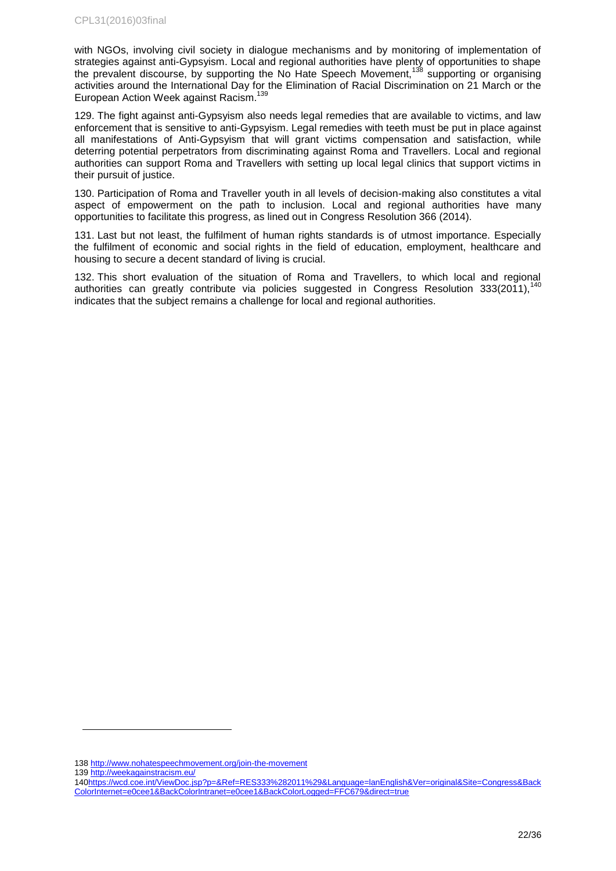with NGOs, involving civil society in dialogue mechanisms and by monitoring of implementation of strategies against anti-Gypsyism. Local and regional authorities have plenty of opportunities to shape the prevalent discourse, by supporting the No Hate Speech Movement,<sup>138</sup> supporting or organising activities around the International Day for the Elimination of Racial Discrimination on 21 March or the European Action Week against Racism. 139

129. The fight against anti-Gypsyism also needs legal remedies that are available to victims, and law enforcement that is sensitive to anti-Gypsyism. Legal remedies with teeth must be put in place against all manifestations of Anti-Gypsyism that will grant victims compensation and satisfaction, while deterring potential perpetrators from discriminating against Roma and Travellers. Local and regional authorities can support Roma and Travellers with setting up local legal clinics that support victims in their pursuit of justice.

130. Participation of Roma and Traveller youth in all levels of decision-making also constitutes a vital aspect of empowerment on the path to inclusion. Local and regional authorities have many opportunities to facilitate this progress, as lined out in Congress Resolution 366 (2014).

131. Last but not least, the fulfilment of human rights standards is of utmost importance. Especially the fulfilment of economic and social rights in the field of education, employment, healthcare and housing to secure a decent standard of living is crucial.

132. This short evaluation of the situation of Roma and Travellers, to which local and regional authorities can greatly contribute via policies suggested in Congress Resolution 333(2011),<sup>14</sup>  $\overline{a}$ indicates that the subject remains a challenge for local and regional authorities.

139 <http://weekagainstracism.eu/>

<sup>138</sup> <http://www.nohatespeechmovement.org/join-the-movement>

[<sup>140</sup>https://wcd.coe.int/ViewDoc.jsp?p=&Ref=RES333%282011%29&Language=lanEnglish&Ver=original&Site=Congress&Back](https://wcd.coe.int/ViewDoc.jsp?p=&Ref=RES333%282011%29&Language=lanEnglish&Ver=original&Site=Congress&BackColorInternet=e0cee1&BackColorIntranet=e0cee1&BackColorLogged=FFC679&direct=true) [ColorInternet=e0cee1&BackColorIntranet=e0cee1&BackColorLogged=FFC679&direct=true](https://wcd.coe.int/ViewDoc.jsp?p=&Ref=RES333%282011%29&Language=lanEnglish&Ver=original&Site=Congress&BackColorInternet=e0cee1&BackColorIntranet=e0cee1&BackColorLogged=FFC679&direct=true)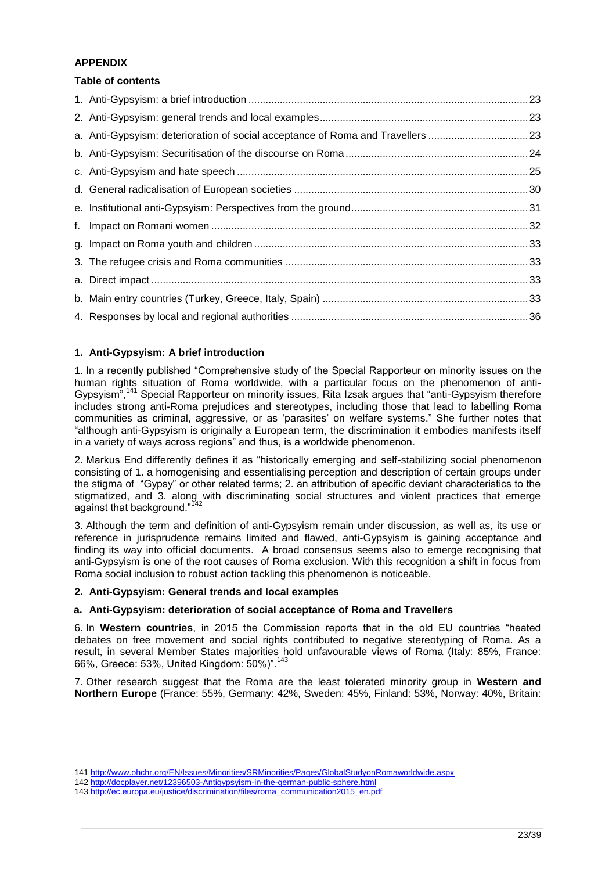### **APPENDIX**

l

### **Table of contents**

| a. Anti-Gypsyism: deterioration of social acceptance of Roma and Travellers 23 |  |
|--------------------------------------------------------------------------------|--|
|                                                                                |  |
|                                                                                |  |
|                                                                                |  |
|                                                                                |  |
|                                                                                |  |
|                                                                                |  |
|                                                                                |  |
|                                                                                |  |
|                                                                                |  |
|                                                                                |  |

### <span id="page-22-0"></span>**1. Anti-Gypsyism: A brief introduction**

1. In a recently published "Comprehensive study of the Special Rapporteur on minority issues on the human rights situation of Roma worldwide, with a particular focus on the phenomenon of anti-Gypsyism",<sup>141</sup> Special Rapporteur on minority issues, Rita Izsak argues that "anti-Gypsyism therefore includes strong anti-Roma prejudices and stereotypes, including those that lead to labelling Roma communities as criminal, aggressive, or as 'parasites' on welfare systems." She further notes that "although anti-Gypsyism is originally a European term, the discrimination it embodies manifests itself in a variety of ways across regions" and thus, is a worldwide phenomenon.

2. Markus End differently defines it as "historically emerging and self-stabilizing social phenomenon consisting of 1. a homogenising and essentialising perception and description of certain groups under the stigma of "Gypsy" or other related terms; 2. an attribution of specific deviant characteristics to the stigmatized, and 3. along with discriminating social structures and violent practices that emerge against that background."<sup>142</sup>

3. Although the term and definition of anti-Gypsyism remain under discussion, as well as, its use or reference in jurisprudence remains limited and flawed, anti-Gypsyism is gaining acceptance and finding its way into official documents. A broad consensus seems also to emerge recognising that anti-Gypsyism is one of the root causes of Roma exclusion. With this recognition a shift in focus from Roma social inclusion to robust action tackling this phenomenon is noticeable.

### <span id="page-22-1"></span>**2. Anti-Gypsyism: General trends and local examples**

### <span id="page-22-2"></span>**a. Anti-Gypsyism: deterioration of social acceptance of Roma and Travellers**

6. In **Western countries**, in 2015 the Commission reports that in the old EU countries "heated debates on free movement and social rights contributed to negative stereotyping of Roma. As a result, in several Member States majorities hold unfavourable views of Roma (Italy: 85%, France: 66%, Greece: 53%, United Kingdom: 50%)".<sup>143</sup>

7. Other research suggest that the Roma are the least tolerated minority group in **Western and Northern Europe** (France: 55%, Germany: 42%, Sweden: 45%, Finland: 53%, Norway: 40%, Britain:

<sup>141</sup> <http://www.ohchr.org/EN/Issues/Minorities/SRMinorities/Pages/GlobalStudyonRomaworldwide.aspx>

<sup>142</sup> <http://docplayer.net/12396503-Antigypsyism-in-the-german-public-sphere.html>

<sup>143</sup> [http://ec.europa.eu/justice/discrimination/files/roma\\_communication2015\\_en.pdf](http://ec.europa.eu/justice/discrimination/files/roma_communication2015_en.pdf)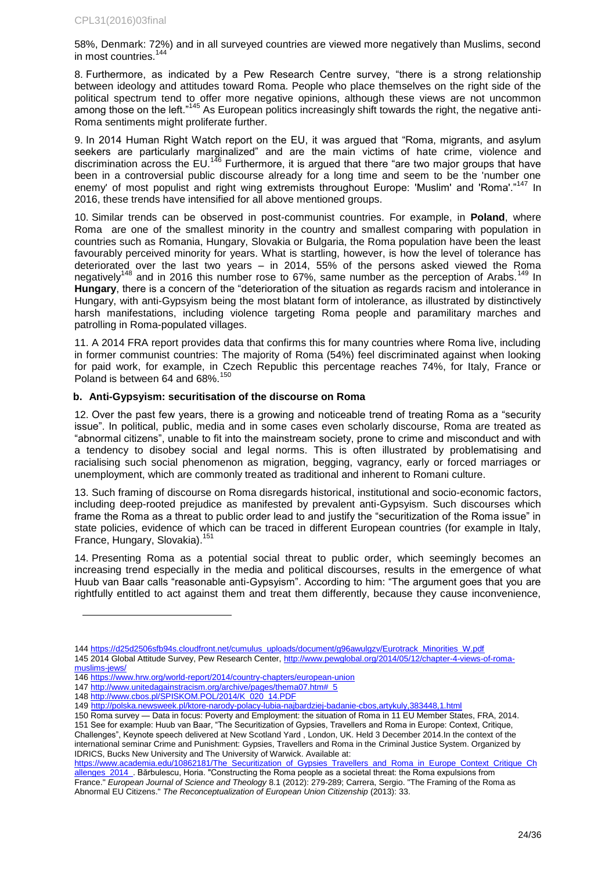58%, Denmark: 72%) and in all surveyed countries are viewed more negatively than Muslims, second in most countries.<sup>14</sup>

8. Furthermore, as indicated by a Pew Research Centre survey, "there is a strong relationship between ideology and attitudes toward Roma. People who place themselves on the right side of the political spectrum tend to offer more negative opinions, although these views are not uncommon among those on the left."<sup>145</sup> As European politics increasingly shift towards the right, the negative anti-Roma sentiments might proliferate further.

9. In 2014 Human Right Watch report on the EU, it was argued that "Roma, migrants, and asylum seekers are particularly marginalized" and are the main victims of hate crime, violence and discrimination across the EU.<sup>146</sup> Furthermore, it is argued that there "are two major groups that have been in a controversial public discourse already for a long time and seem to be the 'number one enemy' of most populist and right wing extremists throughout Europe: 'Muslim' and 'Roma'."<sup>147</sup> In 2016, these trends have intensified for all above mentioned groups.

10. Similar trends can be observed in post-communist countries. For example, in **Poland**, where Roma are one of the smallest minority in the country and smallest comparing with population in countries such as Romania, Hungary, Slovakia or Bulgaria, the Roma population have been the least favourably perceived minority for years. What is startling, however, is how the level of tolerance has deteriorated over the last two years – in 2014, 55% of the persons asked viewed the Roma negatively<sup>148</sup> and in 2016 this number rose to 67%, same number as the perception of Arabs.<sup>149</sup> In **Hungary**, there is a concern of the "deterioration of the situation as regards racism and intolerance in Hungary, with anti-Gypsyism being the most blatant form of intolerance, as illustrated by distinctively harsh manifestations, including violence targeting Roma people and paramilitary marches and patrolling in Roma-populated villages.

11. A 2014 FRA report provides data that confirms this for many countries where Roma live, including in former communist countries: The majority of Roma (54%) feel discriminated against when looking for paid work, for example, in Czech Republic this percentage reaches 74%, for Italy, France or Poland is between 64 and 68%.<sup>150</sup>

### <span id="page-23-0"></span>**b. Anti-Gypsyism: securitisation of the discourse on Roma**

12. Over the past few years, there is a growing and noticeable trend of treating Roma as a "security issue". In political, public, media and in some cases even scholarly discourse, Roma are treated as "abnormal citizens", unable to fit into the mainstream society, prone to crime and misconduct and with a tendency to disobey social and legal norms. This is often illustrated by problematising and racialising such social phenomenon as migration, begging, vagrancy, early or forced marriages or unemployment, which are commonly treated as traditional and inherent to Romani culture.

13. Such framing of discourse on Roma disregards historical, institutional and socio-economic factors, including deep-rooted prejudice as manifested by prevalent anti-Gypsyism. Such discourses which frame the Roma as a threat to public order lead to and justify the "securitization of the Roma issue" in state policies, evidence of which can be traced in different European countries (for example in Italy, France, Hungary, Slovakia).<sup>151</sup>

14. Presenting Roma as a potential social threat to public order, which seemingly becomes an increasing trend especially in the media and political discourses, results in the emergence of what Huub van Baar calls "reasonable anti-Gypsyism". According to him: "The argument goes that you are rightfully entitled to act against them and treat them differently, because they cause inconvenience,

l

[https://www.academia.edu/10862181/The\\_Securitization\\_of\\_Gypsies\\_Travellers\\_and\\_Roma\\_in\\_Europe\\_Context\\_Critique\\_Ch](https://www.academia.edu/10862181/The_Securitization_of_Gypsies_Travellers_and_Roma_in_Europe_Context_Critique_Challenges_2014_) [allenges\\_2014\\_.](https://www.academia.edu/10862181/The_Securitization_of_Gypsies_Travellers_and_Roma_in_Europe_Context_Critique_Challenges_2014_) Bărbulescu, Horia. "Constructing the Roma people as a societal threat: the Roma expulsions from France." *European Journal of Science and Theology* 8.1 (2012): 279-289; Carrera, Sergio. "The Framing of the Roma as Abnormal EU Citizens." *The Reconceptualization of European Union Citizenship* (2013): 33.

<sup>144</sup> [https://d25d2506sfb94s.cloudfront.net/cumulus\\_uploads/document/g96awulgzv/Eurotrack\\_Minorities\\_W.pdf](https://d25d2506sfb94s.cloudfront.net/cumulus_uploads/document/g96awulgzv/Eurotrack_Minorities_W.pdf) 145 2014 Global Attitude Survey, Pew Research Center[, http://www.pewglobal.org/2014/05/12/chapter-4-views-of-roma-](http://www.pewglobal.org/2014/05/12/chapter-4-views-of-roma-muslims-jews/)

[muslims-jews/](http://www.pewglobal.org/2014/05/12/chapter-4-views-of-roma-muslims-jews/)

<sup>146</sup> <https://www.hrw.org/world-report/2014/country-chapters/european-union>

<sup>147</sup> [http://www.unitedagainstracism.org/archive/pages/thema07.htm#\\_5](http://www.unitedagainstracism.org/archive/pages/thema07.htm#_5)

<sup>148</sup> [http://www.cbos.pl/SPISKOM.POL/2014/K\\_020\\_14.PDF](http://www.cbos.pl/SPISKOM.POL/2014/K_020_14.PDF)

<sup>149</sup> <http://polska.newsweek.pl/ktore-narody-polacy-lubia-najbardziej-badanie-cbos,artykuly,383448,1.html>

<sup>150</sup> Roma survey — Data in focus: Poverty and Employment: the situation of Roma in 11 EU Member States, FRA, 2014. 151 See for example: Huub van Baar, "The Securitization of Gypsies, Travellers and Roma in Europe: Context, Critique, Challenges", Keynote speech delivered at New Scotland Yard , London, UK. Held 3 December 2014.In the context of the international seminar Crime and Punishment: Gypsies, Travellers and Roma in the Criminal Justice System. Organized by IDRICS, Bucks New University and The University of Warwick. Available at: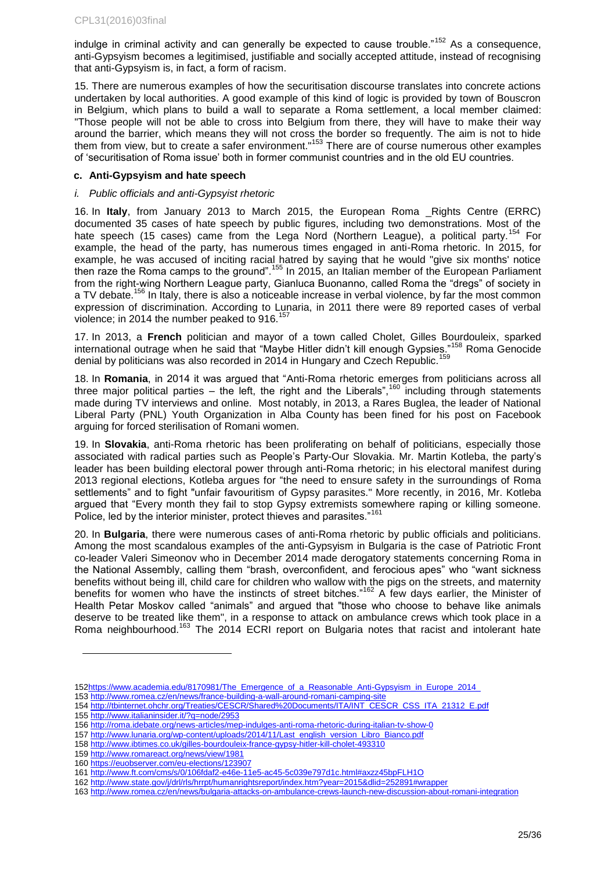indulge in criminal activity and can generally be expected to cause trouble."<sup>152</sup> As a consequence, anti-Gypsyism becomes a legitimised, justifiable and socially accepted attitude, instead of recognising that anti-Gypsyism is, in fact, a form of racism.

15. There are numerous examples of how the securitisation discourse translates into concrete actions undertaken by local authorities. A good example of this kind of logic is provided by town of Bouscron in Belgium, which plans to build a wall to separate a Roma settlement, a local member claimed: "Those people will not be able to cross into Belgium from there, they will have to make their way around the barrier, which means they will not cross the border so frequently. The aim is not to hide them from view, but to create a safer environment."<sup>153</sup> There are of course numerous other examples of 'securitisation of Roma issue' both in former communist countries and in the old EU countries.

### <span id="page-24-0"></span>**c. Anti-Gypsyism and hate speech**

#### *i. Public officials and anti-Gypsyist rhetoric*

16. In **Italy**, from January 2013 to March 2015, the European Roma \_Rights Centre (ERRC) documented 35 cases of hate speech by public figures, including two demonstrations. Most of the hate speech (15 cases) came from the Lega Nord (Northern League), a political party.<sup>154</sup> For example, the head of the party, has numerous times engaged in anti-Roma rhetoric. In 2015, for example, he was accused of inciting racial hatred by saying that he would "give six months' notice then raze the Roma camps to the ground".<sup>155</sup> In 2015, an Italian member of the European Parliament from the right-wing Northern League party, Gianluca Buonanno, called Roma the "dregs" of society in a TV debate.<sup>156</sup> In Italy, there is also a noticeable increase in verbal violence, by far the most common expression of discrimination. According to Lunaria, in 2011 there were 89 reported cases of verbal violence; in 2014 the number peaked to  $916$ .<sup>157</sup>

17. In 2013, a **French** politician and mayor of a town called Cholet, Gilles Bourdouleix, sparked international outrage when he said that "Maybe Hitler didn't kill enough Gypsies."<sup>158</sup> Roma Genocide denial by politicians was also recorded in 2014 in Hungary and Czech Republic.

18. In **Romania**, in 2014 it was argued that "Anti-Roma rhetoric emerges from politicians across all three major political parties – the left, the right and the Liberals",<sup>160</sup> including through statements made during TV interviews and online. Most notably, in 2013, a Rares Buglea, the leader of National Liberal Party (PNL) Youth Organization in Alba County has been fined for his post on Facebook arguing for forced sterilisation of Romani women.

19. In **Slovakia**, anti-Roma rhetoric has been proliferating on behalf of politicians, especially those associated with radical parties such as People's Party-Our Slovakia. Mr. Martin Kotleba, the party's leader has been building electoral power through anti-Roma rhetoric; in his electoral manifest during 2013 regional elections, Kotleba argues for "the need to ensure safety in the surroundings of Roma settlements" and to fight "unfair favouritism of Gypsy parasites." More recently, in 2016, Mr. Kotleba argued that "Every month they fail to stop Gypsy extremists somewhere raping or killing someone. Police, led by the interior minister, protect thieves and parasites."<sup>161</sup>

20. In **Bulgaria**, there were numerous cases of anti-Roma rhetoric by public officials and politicians. Among the most scandalous examples of the anti-Gypsyism in Bulgaria is the case of Patriotic Front co-leader Valeri Simeonov who in December 2014 made derogatory statements concerning Roma in the National Assembly, calling them "brash, overconfident, and ferocious apes" who "want sickness benefits without being ill, child care for children who wallow with the pigs on the streets, and maternity benefits for women who have the instincts of street bitches."<sup>162</sup> A few days earlier, the Minister of Health Petar Moskov called "animals" and argued that "those who choose to behave like animals deserve to be treated like them", in a response to attack on ambulance crews which took place in a Roma neighbourhood.<sup>163</sup> The 2014 ECRI report on Bulgaria notes that racist and intolerant hate

<sup>152</sup>https://www.academia.edu/8170981/The Emergence of a Reasonable Anti-Gypsyism in Europe 2014

<sup>153</sup> <http://www.romea.cz/en/news/france-building-a-wall-around-romani-camping-site>

<sup>154</sup> [http://tbinternet.ohchr.org/Treaties/CESCR/Shared%20Documents/ITA/INT\\_CESCR\\_CSS\\_ITA\\_21312\\_E.pdf](http://tbinternet.ohchr.org/Treaties/CESCR/Shared%20Documents/ITA/INT_CESCR_CSS_ITA_21312_E.pdf)

<sup>155</sup> <http://www.italianinsider.it/?q=node/2953>

<sup>156</sup> <http://roma.idebate.org/news-articles/mep-indulges-anti-roma-rhetoric-during-italian-tv-show-0>

<sup>157</sup> [http://www.lunaria.org/wp-content/uploads/2014/11/Last\\_english\\_version\\_Libro\\_Bianco.pdf](http://www.lunaria.org/wp-content/uploads/2014/11/Last_english_version_Libro_Bianco.pdf)

<sup>158</sup> <http://www.ibtimes.co.uk/gilles-bourdouleix-france-gypsy-hitler-kill-cholet-493310>

<sup>159</sup> <http://www.romareact.org/news/view/1981>

<sup>160</sup> <https://euobserver.com/eu-elections/123907>

<sup>161</sup> <http://www.ft.com/cms/s/0/106fdaf2-e46e-11e5-ac45-5c039e797d1c.html#axzz45bpFLH1O>

<sup>162</sup> <http://www.state.gov/j/drl/rls/hrrpt/humanrightsreport/index.htm?year=2015&dlid=252891#wrapper>

<sup>163</sup> <http://www.romea.cz/en/news/bulgaria-attacks-on-ambulance-crews-launch-new-discussion-about-romani-integration>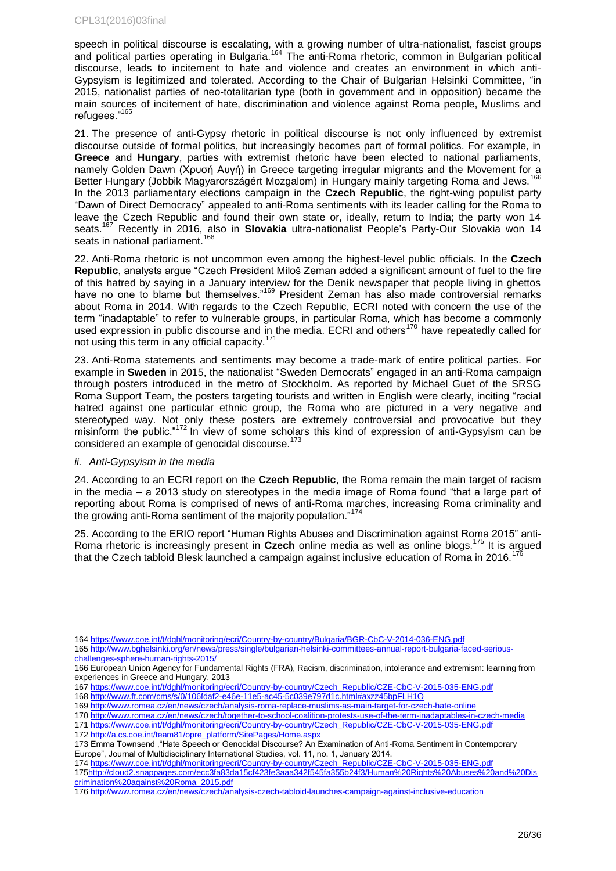speech in political discourse is escalating, with a growing number of ultra-nationalist, fascist groups and political parties operating in Bulgaria.<sup>164</sup> The anti-Roma rhetoric, common in Bulgarian political discourse, leads to incitement to hate and violence and creates an environment in which anti-Gypsyism is legitimized and tolerated. According to the Chair of Bulgarian Helsinki Committee, "in 2015, nationalist parties of neo-totalitarian type (both in government and in opposition) became the main sources of incitement of hate, discrimination and violence against Roma people, Muslims and refugees."165

21. The presence of anti-Gypsy rhetoric in political discourse is not only influenced by extremist discourse outside of formal politics, but increasingly becomes part of formal politics. For example, in **Greece** and **Hungary**, parties with extremist rhetoric have been elected to national parliaments, namely Golden Dawn (Χρυσή Αυγή) in Greece targeting irregular migrants and the Movement for a Better Hungary (Jobbik Magyarországért Mozgalom) in Hungary mainly targeting Roma and Jews.<sup>166</sup> In the 2013 parliamentary elections campaign in the **Czech Republic**, the right-wing populist party "Dawn of Direct Democracy" appealed to anti-Roma sentiments with its leader calling for the Roma to leave the Czech Republic and found their own state or, ideally, return to India; the party won 14 seats.<sup>167</sup> Recently in 2016, also in **Slovakia** ultra-nationalist People's Party-Our Slovakia won 14 seats in national parliament.<sup>168</sup>

22. Anti-Roma rhetoric is not uncommon even among the highest-level public officials. In the **Czech Republic**, analysts argue "Czech President Miloš Zeman added a significant amount of fuel to the fire of this hatred by saying in a January interview for the Deník newspaper that people living in ghettos have no one to blame but themselves."<sup>169</sup> President Zeman has also made controversial remarks about Roma in 2014. With regards to the Czech Republic, ECRI noted with concern the use of the term "inadaptable" to refer to vulnerable groups, in particular Roma, which has become a commonly used expression in public discourse and in the media. ECRI and others<sup>170</sup> have repeatedly called for not using this term in any official capacity.<sup>171</sup>

23. Anti-Roma statements and sentiments may become a trade-mark of entire political parties. For example in **Sweden** in 2015, the nationalist "Sweden Democrats" engaged in an anti-Roma campaign through posters introduced in the metro of Stockholm. As reported by Michael Guet of the SRSG Roma Support Team, the posters targeting tourists and written in English were clearly, inciting "racial hatred against one particular ethnic group, the Roma who are pictured in a very negative and stereotyped way. Not only these posters are extremely controversial and provocative but they misinform the public.<sup>"172</sup> In view of some scholars this kind of expression of anti-Gypsyism can be considered an example of genocidal discourse.<sup>173</sup>

### *ii. Anti-Gypsyism in the media*

l

24. According to an ECRI report on the **Czech Republic**, the Roma remain the main target of racism in the media – a 2013 study on stereotypes in the media image of Roma found "that a large part of reporting about Roma is comprised of news of anti-Roma marches, increasing Roma criminality and the growing anti-Roma sentiment of the majority population."<sup>174</sup>

25. According to the ERIO report "Human Rights Abuses and Discrimination against Roma 2015" anti-Roma rhetoric is increasingly present in **Czech** online media as well as online blogs.<sup>175</sup> It is argued that the Czech tabloid Blesk launched a campaign against inclusive education of Roma in 2016.<sup>177</sup>

174 [https://www.coe.int/t/dghl/monitoring/ecri/Country-by-country/Czech\\_Republic/CZE-CbC-V-2015-035-ENG.pdf](https://www.coe.int/t/dghl/monitoring/ecri/Country-by-country/Czech_Republic/CZE-CbC-V-2015-035-ENG.pdf) [175http://cloud2.snappages.com/ecc3fa83da15cf423fe3aaa342f545fa355b24f3/Human%20Rights%20Abuses%20and%20Dis](http://cloud2.snappages.com/ecc3fa83da15cf423fe3aaa342f545fa355b24f3/Human%20Rights%20Abuses%20and%20Discrimination%20against%20Roma_2015.pdf)

<sup>164</sup> <https://www.coe.int/t/dghl/monitoring/ecri/Country-by-country/Bulgaria/BGR-CbC-V-2014-036-ENG.pdf>

<sup>165</sup> [http://www.bghelsinki.org/en/news/press/single/bulgarian-helsinki-committees-annual-report-bulgaria-faced-serious](http://www.bghelsinki.org/en/news/press/single/bulgarian-helsinki-committees-annual-report-bulgaria-faced-serious-challenges-sphere-human-rights-2015/)[challenges-sphere-human-rights-2015/](http://www.bghelsinki.org/en/news/press/single/bulgarian-helsinki-committees-annual-report-bulgaria-faced-serious-challenges-sphere-human-rights-2015/)

<sup>166</sup> European Union Agency for Fundamental Rights (FRA), Racism, discrimination, intolerance and extremism: learning from experiences in Greece and Hungary, 2013

<sup>167</sup> [https://www.coe.int/t/dghl/monitoring/ecri/Country-by-country/Czech\\_Republic/CZE-CbC-V-2015-035-ENG.pdf](https://www.coe.int/t/dghl/monitoring/ecri/Country-by-country/Czech_Republic/CZE-CbC-V-2015-035-ENG.pdf)

<sup>168</sup> <http://www.ft.com/cms/s/0/106fdaf2-e46e-11e5-ac45-5c039e797d1c.html#axzz45bpFLH1O> 169 <http://www.romea.cz/en/news/czech/analysis-roma-replace-muslims-as-main-target-for-czech-hate-online>

<sup>170</sup> <http://www.romea.cz/en/news/czech/together-to-school-coalition-protests-use-of-the-term-inadaptables-in-czech-media>

<sup>171</sup> [https://www.coe.int/t/dghl/monitoring/ecri/Country-by-country/Czech\\_Republic/CZE-CbC-V-2015-035-ENG.pdf](https://www.coe.int/t/dghl/monitoring/ecri/Country-by-country/Czech_Republic/CZE-CbC-V-2015-035-ENG.pdf)

<sup>172</sup> [http://a.cs.coe.int/team81/opre\\_platform/SitePages/Home.aspx](http://a.cs.coe.int/team81/opre_platform/SitePages/Home.aspx)

<sup>173</sup> Emma Townsend ,"Hate Speech or Genocidal Discourse? An Examination of Anti-Roma Sentiment in Contemporary Europe", Journal of Multidisciplinary International Studies, vol. 11, no. 1, January 2014.

[crimination%20against%20Roma\\_2015.pdf](http://cloud2.snappages.com/ecc3fa83da15cf423fe3aaa342f545fa355b24f3/Human%20Rights%20Abuses%20and%20Discrimination%20against%20Roma_2015.pdf)

<sup>176</sup> <http://www.romea.cz/en/news/czech/analysis-czech-tabloid-launches-campaign-against-inclusive-education>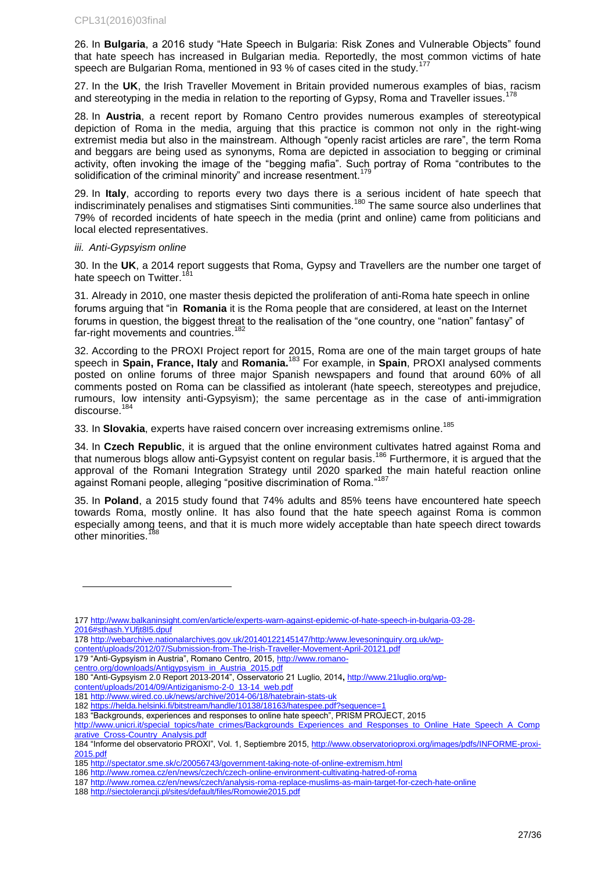26. In **Bulgaria**, a 2016 study "Hate Speech in Bulgaria: Risk Zones and Vulnerable Objects" found that hate speech has increased in Bulgarian media. Reportedly, the most common victims of hate speech are Bulgarian Roma, mentioned in 93 % of cases cited in the study.<sup>177</sup>

27. In the **UK**, the Irish Traveller Movement in Britain provided numerous examples of bias, racism and stereotyping in the media in relation to the reporting of Gypsy, Roma and Traveller issues.<sup>178</sup>

28. In **Austria**, a recent report by Romano Centro provides numerous examples of stereotypical depiction of Roma in the media, arguing that this practice is common not only in the right-wing extremist media but also in the mainstream. Although "openly racist articles are rare", the term Roma and beggars are being used as synonyms, Roma are depicted in association to begging or criminal activity, often invoking the image of the "begging mafia". Such portray of Roma "contributes to the solidification of the criminal minority" and increase resentment.<sup>179</sup>

29. In **Italy**, according to reports every two days there is a serious incident of hate speech that indiscriminately penalises and stigmatises Sinti communities.<sup>180</sup> The same source also underlines that 79% of recorded incidents of hate speech in the media (print and online) came from politicians and local elected representatives.

#### *iii. Anti-Gypsyism online*

l

30. In the **UK**, a 2014 report suggests that Roma, Gypsy and Travellers are the number one target of hate speech on Twitter.<sup>181</sup>

31. Already in 2010, one master thesis depicted the proliferation of anti-Roma hate speech in online forums arguing that "in **Romania** it is the Roma people that are considered, at least on the Internet forums in question, the biggest threat to the realisation of the "one country, one "nation" fantasy" of far-right movements and countries.<sup>182</sup>

32. According to the PROXI Project report for 2015, Roma are one of the main target groups of hate speech in **Spain, France, Italy** and **Romania.**<sup>183</sup> For example, in **Spain**, PROXI analysed comments posted on online forums of three major Spanish newspapers and found that around 60% of all comments posted on Roma can be classified as intolerant (hate speech, stereotypes and prejudice, rumours, low intensity anti-Gypsyism); the same percentage as in the case of anti-immigration discourse.<sup>184</sup>

33. In **Slovakia**, experts have raised concern over increasing extremisms online.<sup>185</sup>

34. In **Czech Republic**, it is argued that the online environment cultivates hatred against Roma and that numerous blogs allow anti-Gypsyist content on regular basis.<sup>186</sup> Furthermore, it is argued that the approval of the Romani Integration Strategy until 2020 sparked the main hateful reaction online against Romani people, alleging "positive discrimination of Roma."<sup>187</sup>

35. In **Poland**, a 2015 study found that 74% adults and 85% teens have encountered hate speech towards Roma, mostly online. It has also found that the hate speech against Roma is common especially among teens, and that it is much more widely acceptable than hate speech direct towards other minorities.

- 179 "Anti-Gypsyism in Austria", Romano Centro, 2015[, http://www.romano-](http://www.romano-centro.org/downloads/Antigypsyism_in_Austria_2015.pdf)
- [centro.org/downloads/Antigypsyism\\_in\\_Austria\\_2015.pdf](http://www.romano-centro.org/downloads/Antigypsyism_in_Austria_2015.pdf)

<sup>177</sup> [http://www.balkaninsight.com/en/article/experts-warn-against-epidemic-of-hate-speech-in-bulgaria-03-28-](http://www.balkaninsight.com/en/article/experts-warn-against-epidemic-of-hate-speech-in-bulgaria-03-28-2016#sthash.YUfjt8I5.dpuf) [2016#sthash.YUfjt8I5.dpuf](http://www.balkaninsight.com/en/article/experts-warn-against-epidemic-of-hate-speech-in-bulgaria-03-28-2016#sthash.YUfjt8I5.dpuf)

<sup>178</sup> [http://webarchive.nationalarchives.gov.uk/20140122145147/http:/www.levesoninquiry.org.uk/wp-](http://webarchive.nationalarchives.gov.uk/20140122145147/http:/www.levesoninquiry.org.uk/wp-content/uploads/2012/07/Submission-from-The-Irish-Traveller-Movement-April-20121.pdf)

[content/uploads/2012/07/Submission-from-The-Irish-Traveller-Movement-April-20121.pdf](http://webarchive.nationalarchives.gov.uk/20140122145147/http:/www.levesoninquiry.org.uk/wp-content/uploads/2012/07/Submission-from-The-Irish-Traveller-Movement-April-20121.pdf)

<sup>180</sup> "Anti-Gypsyism 2.0 Report 2013-2014", Osservatorio 21 Luglio, 2014**,** [http://www.21luglio.org/wp](http://www.21luglio.org/wp-content/uploads/2014/09/Antiziganismo-2-0_13-14_web.pdf)[content/uploads/2014/09/Antiziganismo-2-0\\_13-14\\_web.pdf](http://www.21luglio.org/wp-content/uploads/2014/09/Antiziganismo-2-0_13-14_web.pdf)

<sup>181</sup> <http://www.wired.co.uk/news/archive/2014-06/18/hatebrain-stats-uk>

<sup>182</sup> <https://helda.helsinki.fi/bitstream/handle/10138/18163/hatespee.pdf?sequence=1>

<sup>183</sup> "Backgrounds, experiences and responses to online hate speech", PRISM PROJECT, 2015

[http://www.unicri.it/special\\_topics/hate\\_crimes/Backgrounds\\_Experiences\\_and\\_Responses\\_to\\_Online\\_Hate\\_Speech\\_A\\_Comp](http://www.unicri.it/special_topics/hate_crimes/Backgrounds_Experiences_and_Responses_to_Online_Hate_Speech_A_Comparative_Cross-Country_Analysis.pdf) [arative\\_Cross-Country\\_Analysis.pdf](http://www.unicri.it/special_topics/hate_crimes/Backgrounds_Experiences_and_Responses_to_Online_Hate_Speech_A_Comparative_Cross-Country_Analysis.pdf)

<sup>184</sup> "Informe del observatorio PROXI", Vol. 1, Septiembre 2015, [http://www.observatorioproxi.org/images/pdfs/INFORME-proxi-](http://www.observatorioproxi.org/images/pdfs/INFORME-proxi-2015.pdf)[2015.pdf](http://www.observatorioproxi.org/images/pdfs/INFORME-proxi-2015.pdf)

<sup>185</sup> <http://spectator.sme.sk/c/20056743/government-taking-note-of-online-extremism.html>

<sup>186</sup> <http://www.romea.cz/en/news/czech/czech-online-environment-cultivating-hatred-of-roma>

<sup>187</sup> <http://www.romea.cz/en/news/czech/analysis-roma-replace-muslims-as-main-target-for-czech-hate-online>

<sup>188</sup> <http://siectolerancji.pl/sites/default/files/Romowie2015.pdf>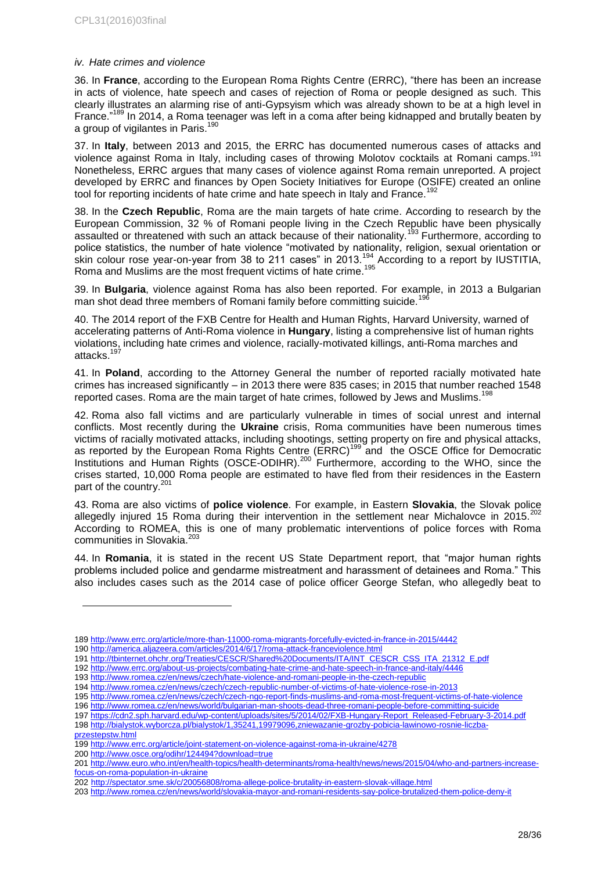### *iv. Hate crimes and violence*

36. In **France**, according to the European Roma Rights Centre (ERRC), "there has been an increase in acts of violence, hate speech and cases of rejection of Roma or people designed as such. This clearly illustrates an alarming rise of anti-Gypsyism which was already shown to be at a high level in France."<sup>189</sup> In 2014, a Roma teenager was left in a coma after being kidnapped and brutally beaten by a group of vigilantes in Paris.<sup>190</sup>

37. In **Italy**, between 2013 and 2015, the ERRC has documented numerous cases of attacks and violence against Roma in Italy, including cases of throwing Molotov cocktails at Romani camps.<sup>191</sup> Nonetheless, ERRC argues that many cases of violence against Roma remain unreported. A project developed by ERRC and finances by Open Society Initiatives for Europe (OSIFE) created an online tool for reporting incidents of hate crime and hate speech in Italy and France.

38. In the **Czech Republic**, Roma are the main targets of hate crime. According to research by the European Commission, 32 % of Romani people living in the Czech Republic have been physically assaulted or threatened with such an attack because of their nationality.<sup>193</sup> Furthermore, according to police statistics, the number of hate violence "motivated by nationality, religion, sexual orientation or skin colour rose year-on-year from 38 to 211 cases" in 2013.<sup>194</sup> According to a report by IUSTITIA, Roma and Muslims are the most frequent victims of hate crime.<sup>195</sup>

39. In **Bulgaria**, violence against Roma has also been reported. For example, in 2013 a Bulgarian man shot dead three members of Romani family before committing suicide.<sup>196</sup>

40. The 2014 report of the FXB Centre for Health and Human Rights, Harvard University, warned of accelerating patterns of Anti-Roma violence in **Hungary**, listing a comprehensive list of human rights violations, including hate crimes and violence, racially-motivated killings, anti-Roma marches and attacks.<sup>197</sup>

41. In **Poland**, according to the Attorney General the number of reported racially motivated hate crimes has increased significantly – in 2013 there were 835 cases; in 2015 that number reached 1548 reported cases. Roma are the main target of hate crimes, followed by Jews and Muslims.<sup>198</sup>

42. Roma also fall victims and are particularly vulnerable in times of social unrest and internal conflicts. Most recently during the **Ukraine** crisis, Roma communities have been numerous times victims of racially motivated attacks, including shootings, setting property on fire and physical attacks, as reported by the European Roma Rights Centre (ERRC)<sup>199</sup> and the OSCE Office for Democratic Institutions and Human Rights (OSCE-ODIHR).<sup>200</sup> Furthermore, according to the WHO, since the crises started, 10,000 Roma people are estimated to have fled from their residences in the Eastern part of the country.<sup>201</sup>

43. Roma are also victims of **police violence**. For example, in Eastern **Slovakia**, the Slovak police allegedly injured 15 Roma during their intervention in the settlement near Michalovce in 2015.<sup>202</sup> According to ROMEA, this is one of many problematic interventions of police forces with Roma communities in Slovakia.<sup>203</sup>

44. In **Romania**, it is stated in the recent US State Department report, that "major human rights problems included police and gendarme mistreatment and harassment of detainees and Roma." This also includes cases such as the 2014 case of police officer George Stefan, who allegedly beat to

<sup>189</sup> <http://www.errc.org/article/more-than-11000-roma-migrants-forcefully-evicted-in-france-in-2015/4442>

<sup>190</sup> <http://america.aljazeera.com/articles/2014/6/17/roma-attack-franceviolence.html>

<sup>191</sup> [http://tbinternet.ohchr.org/Treaties/CESCR/Shared%20Documents/ITA/INT\\_CESCR\\_CSS\\_ITA\\_21312\\_E.pdf](http://tbinternet.ohchr.org/Treaties/CESCR/Shared%20Documents/ITA/INT_CESCR_CSS_ITA_21312_E.pdf)

<sup>192</sup> <http://www.errc.org/about-us-projects/combating-hate-crime-and-hate-speech-in-france-and-italy/4446>

<sup>193</sup> <http://www.romea.cz/en/news/czech/hate-violence-and-romani-people-in-the-czech-republic>

<sup>194</sup> <http://www.romea.cz/en/news/czech/czech-republic-number-of-victims-of-hate-violence-rose-in-2013>

<sup>195</sup> <http://www.romea.cz/en/news/czech/czech-ngo-report-finds-muslims-and-roma-most-frequent-victims-of-hate-violence>

<sup>196</sup> <http://www.romea.cz/en/news/world/bulgarian-man-shoots-dead-three-romani-people-before-committing-suicide>

<sup>197</sup> [https://cdn2.sph.harvard.edu/wp-content/uploads/sites/5/2014/02/FXB-Hungary-Report\\_Released-February-3-2014.pdf](https://cdn2.sph.harvard.edu/wp-content/uploads/sites/5/2014/02/FXB-Hungary-Report_Released-February-3-2014.pdf) 198 [http://bialystok.wyborcza.pl/bialystok/1,35241,19979096,zniewazanie-grozby-pobicia-lawinowo-rosnie-liczba](http://bialystok.wyborcza.pl/bialystok/1,35241,19979096,zniewazanie-grozby-pobicia-lawinowo-rosnie-liczba-przestepstw.html)[przestepstw.html](http://bialystok.wyborcza.pl/bialystok/1,35241,19979096,zniewazanie-grozby-pobicia-lawinowo-rosnie-liczba-przestepstw.html)

<sup>199</sup> <http://www.errc.org/article/joint-statement-on-violence-against-roma-in-ukraine/4278>

<sup>200</sup> <http://www.osce.org/odihr/124494?download=true>

<sup>201</sup> [http://www.euro.who.int/en/health-topics/health-determinants/roma-health/news/news/2015/04/who-and-partners-increase](http://www.euro.who.int/en/health-topics/health-determinants/roma-health/news/news/2015/04/who-and-partners-increase-focus-on-roma-population-in-ukraine)[focus-on-roma-population-in-ukraine](http://www.euro.who.int/en/health-topics/health-determinants/roma-health/news/news/2015/04/who-and-partners-increase-focus-on-roma-population-in-ukraine)

<sup>202</sup> <http://spectator.sme.sk/c/20056808/roma-allege-police-brutality-in-eastern-slovak-village.html>

<sup>203</sup> <http://www.romea.cz/en/news/world/slovakia-mayor-and-romani-residents-say-police-brutalized-them-police-deny-it>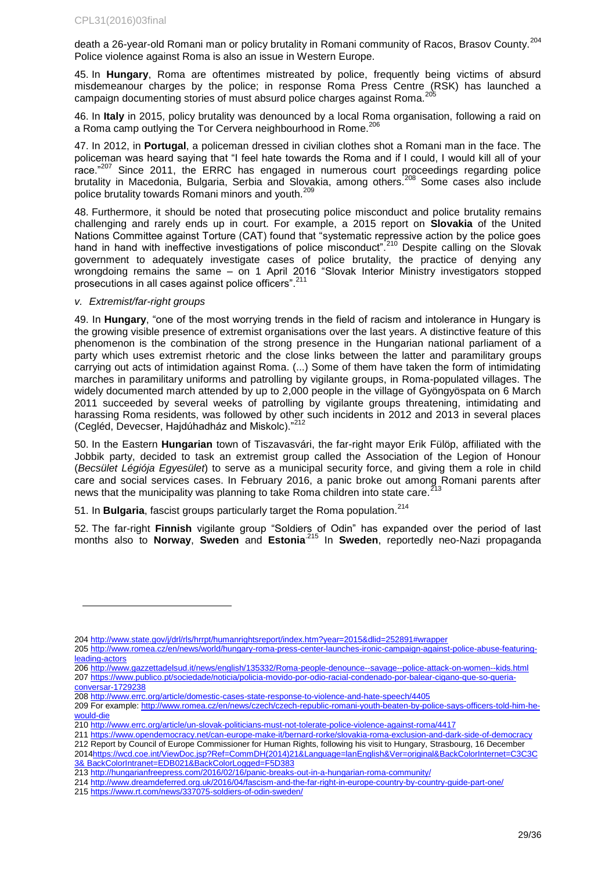death a 26-year-old Romani man or policy brutality in Romani community of Racos, Brasov Countv.<sup>204</sup> Police violence against Roma is also an issue in Western Europe.

45. In **Hungary**, Roma are oftentimes mistreated by police, frequently being victims of absurd misdemeanour charges by the police; in response Roma Press Centre (RSK) has launched a campaign documenting stories of must absurd police charges against Roma.<sup>205</sup>

46. In **Italy** in 2015, policy brutality was denounced by a local Roma organisation, following a raid on a Roma camp outlying the Tor Cervera neighbourhood in Rome.<sup>206</sup>

47. In 2012, in **Portugal**, a policeman dressed in civilian clothes shot a Romani man in the face. The policeman was heard saying that "I feel hate towards the Roma and if I could, I would kill all of your race."<sup>207</sup> Since 2011, the ERRC has engaged in numerous court proceedings regarding police brutality in Macedonia, Bulgaria, Serbia and Slovakia, among others.<sup>208</sup> Some cases also include police brutality towards Romani minors and youth.<sup>209</sup>

48. Furthermore, it should be noted that prosecuting police misconduct and police brutality remains challenging and rarely ends up in court. For example, a 2015 report on **Slovakia** of the United Nations Committee against Torture (CAT) found that "systematic repressive action by the police goes hand in hand with ineffective investigations of police misconduct".<sup>210</sup> Despite calling on the Slovak government to adequately investigate cases of police brutality, the practice of denying any wrongdoing remains the same – on 1 April 2016 "Slovak Interior Ministry investigators stopped prosecutions in all cases against police officers".<sup>211</sup>

### *v. Extremist/far-right groups*

l

49. In **Hungary**, "one of the most worrying trends in the field of racism and intolerance in Hungary is the growing visible presence of extremist organisations over the last years. A distinctive feature of this phenomenon is the combination of the strong presence in the Hungarian national parliament of a party which uses extremist rhetoric and the close links between the latter and paramilitary groups carrying out acts of intimidation against Roma. (...) Some of them have taken the form of intimidating marches in paramilitary uniforms and patrolling by vigilante groups, in Roma-populated villages. The widely documented march attended by up to 2,000 people in the village of Gyöngyöspata on 6 March 2011 succeeded by several weeks of patrolling by vigilante groups threatening, intimidating and harassing Roma residents, was followed by other such incidents in 2012 and 2013 in several places (Cegléd, Devecser, Hajdúhadház and Miskolc)."<sup>212</sup>

50. In the Eastern **Hungarian** town of Tiszavasvári, the far-right mayor Erik Fülöp, affiliated with the Jobbik party, decided to task an extremist group called the Association of the Legion of Honour (*Becsület Légiója Egyesület*) to serve as a municipal security force, and giving them a role in child care and social services cases. In February 2016, a panic broke out among Romani parents after news that the municipality was planning to take Roma children into state care.<sup>213</sup>

51. In **Bulgaria**, fascist groups particularly target the Roma population.<sup>214</sup>

52. The far-right **Finnish** vigilante group "Soldiers of Odin" has expanded over the period of last months also to **Norway**, **Sweden** and **Estonia**.215 In **Sweden**, reportedly neo-Nazi propaganda

- 206 <http://www.gazzettadelsud.it/news/english/135332/Roma-people-denounce--savage--police-attack-on-women--kids.html> 207 [https://www.publico.pt/sociedade/noticia/policia-movido-por-odio-racial-condenado-por-balear-cigano-que-so-queria](https://www.publico.pt/sociedade/noticia/policia-movido-por-odio-racial-condenado-por-balear-cigano-que-so-queria-conversar-1729238)[conversar-1729238](https://www.publico.pt/sociedade/noticia/policia-movido-por-odio-racial-condenado-por-balear-cigano-que-so-queria-conversar-1729238)
- 208 <http://www.errc.org/article/domestic-cases-state-response-to-violence-and-hate-speech/4405>
- 209 For example[: http://www.romea.cz/en/news/czech/czech-republic-romani-youth-beaten-by-police-says-officers-told-him-he](http://www.romea.cz/en/news/czech/czech-republic-romani-youth-beaten-by-police-says-officers-told-him-he-would-die)[would-die](http://www.romea.cz/en/news/czech/czech-republic-romani-youth-beaten-by-police-says-officers-told-him-he-would-die)
- 210 <http://www.errc.org/article/un-slovak-politicians-must-not-tolerate-police-violence-against-roma/4417>
- 211 <https://www.opendemocracy.net/can-europe-make-it/bernard-rorke/slovakia-roma-exclusion-and-dark-side-of-democracy> 212 Report by Council of Europe Commissioner for Human Rights, following his visit to Hungary, Strasbourg, 16 December
- 2014https://wcd.coe.int/ViewDoc.jsp?Ref=CommDH(2014)21&Language=lanEnglish&Ver=original&BackColorInternet=C3C3C 3& BackColorIntranet=EDB021&BackColorLogged=F5D383
- 213 <http://hungarianfreepress.com/2016/02/16/panic-breaks-out-in-a-hungarian-roma-community/>
- 214 <http://www.dreamdeferred.org.uk/2016/04/fascism-and-the-far-right-in-europe-country-by-country-guide-part-one/>
- 215 <https://www.rt.com/news/337075-soldiers-of-odin-sweden/>

<sup>204</sup> <http://www.state.gov/j/drl/rls/hrrpt/humanrightsreport/index.htm?year=2015&dlid=252891#wrapper>

<sup>205</sup> [http://www.romea.cz/en/news/world/hungary-roma-press-center-launches-ironic-campaign-against-police-abuse-featuring](http://www.romea.cz/en/news/world/hungary-roma-press-center-launches-ironic-campaign-against-police-abuse-featuring-leading-actors)[leading-actors](http://www.romea.cz/en/news/world/hungary-roma-press-center-launches-ironic-campaign-against-police-abuse-featuring-leading-actors)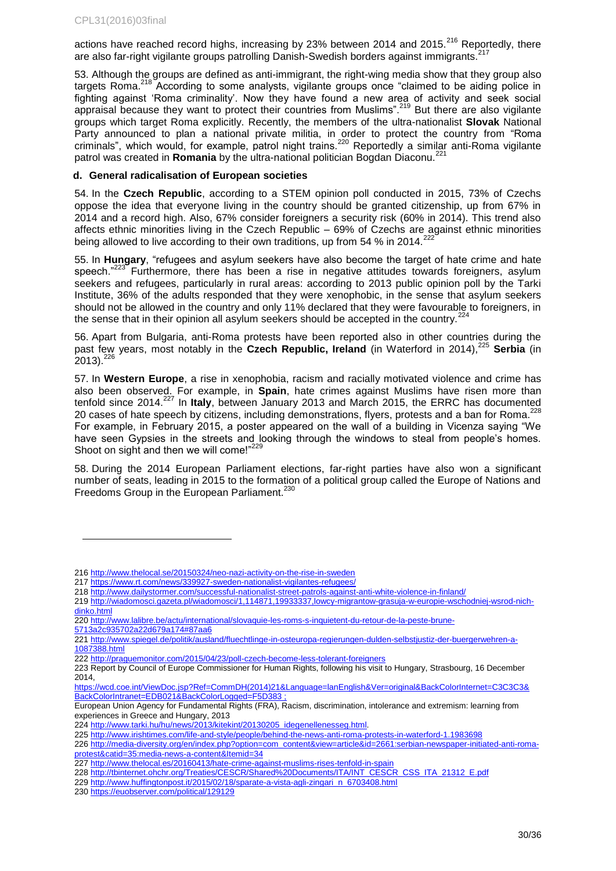actions have reached record highs, increasing by 23% between 2014 and 2015.<sup>216</sup> Reportedly, there are also far-right vigilante groups patrolling Danish-Swedish borders against immigrants.

53. Although the groups are defined as anti-immigrant, the right-wing media show that they group also targets Roma.<sup>218</sup> According to some analysts, vigilante groups once "claimed to be aiding police in fighting against 'Roma criminality'. Now they have found a new area of activity and seek social appraisal because they want to protect their countries from Muslims".<sup>219</sup> But there are also vigilante groups which target Roma explicitly. Recently, the members of the ultra-nationalist **Slovak** National Party announced to plan a national private militia, in order to protect the country from "Roma criminals", which would, for example, patrol night trains.<sup>220</sup> Reportedly a similar anti-Roma vigilante patrol was created in **Romania** by the ultra-national politician Bogdan Diaconu.<sup>2</sup>

### <span id="page-29-0"></span>**d. General radicalisation of European societies**

54. In the **Czech Republic**, according to a STEM opinion poll conducted in 2015, 73% of Czechs oppose the idea that everyone living in the country should be granted citizenship, up from 67% in 2014 and a record high. Also, 67% consider foreigners a security risk (60% in 2014). This trend also affects ethnic minorities living in the Czech Republic – 69% of Czechs are against ethnic minorities being allowed to live according to their own traditions, up from 54 % in 2014.

55. In **Hungary**, "refugees and asylum seekers have also become the target of hate crime and hate speech."<sup>223</sup> Furthermore, there has been a rise in negative attitudes towards foreigners, asylum seekers and refugees, particularly in rural areas: according to 2013 public opinion poll by the Tarki Institute, 36% of the adults responded that they were xenophobic, in the sense that asylum seekers should not be allowed in the country and only 11% declared that they were favourable to foreigners, in the sense that in their opinion all asylum seekers should be accepted in the country.<sup>224</sup>

56. Apart from Bulgaria, anti-Roma protests have been reported also in other countries during the past few years, most notably in the Czech Republic, Ireland (in Waterford in 2014),<sup>225</sup> Serbia (in  $2013)$ .  $226$ 

57. In **Western Europe**, a rise in xenophobia, racism and racially motivated violence and crime has also been observed. For example, in **Spain**, hate crimes against Muslims have risen more than tenfold since 2014.<sup>227</sup> In Italy, between January 2013 and March 2015, the ERRC has documented 20 cases of hate speech by citizens, including demonstrations, flyers, protests and a ban for Roma.<sup>228</sup> For example, in February 2015, a poster appeared on the wall of a building in Vicenza saying "We have seen Gypsies in the streets and looking through the windows to steal from people's homes. Shoot on sight and then we will come!"<sup>229</sup>

58. During the 2014 European Parliament elections, far-right parties have also won a significant number of seats, leading in 2015 to the formation of a political group called the Europe of Nations and Freedoms Group in the European Parliament.<sup>230</sup>

218 <http://www.dailystormer.com/successful-nationalist-street-patrols-against-anti-white-violence-in-finland/>

[5713a2c935702a22d679a174#87aa6](http://www.lalibre.be/actu/international/slovaquie-les-roms-s-inquietent-du-retour-de-la-peste-brune-5713a2c935702a22d679a174#87aa6)

<sup>216</sup> <http://www.thelocal.se/20150324/neo-nazi-activity-on-the-rise-in-sweden>

<sup>217</sup> <https://www.rt.com/news/339927-sweden-nationalist-vigilantes-refugees/>

<sup>219</sup> [http://wiadomosci.gazeta.pl/wiadomosci/1,114871,19933337,lowcy-migrantow-grasuja-w-europie-wschodniej-wsrod-nich](http://wiadomosci.gazeta.pl/wiadomosci/1,114871,19933337,lowcy-migrantow-grasuja-w-europie-wschodniej-wsrod-nich-dinko.html)[dinko.html](http://wiadomosci.gazeta.pl/wiadomosci/1,114871,19933337,lowcy-migrantow-grasuja-w-europie-wschodniej-wsrod-nich-dinko.html)

<sup>220</sup> [http://www.lalibre.be/actu/international/slovaquie-les-roms-s-inquietent-du-retour-de-la-peste-brune-](http://www.lalibre.be/actu/international/slovaquie-les-roms-s-inquietent-du-retour-de-la-peste-brune-5713a2c935702a22d679a174#87aa6)

<sup>221</sup> [http://www.spiegel.de/politik/ausland/fluechtlinge-in-osteuropa-regierungen-dulden-selbstjustiz-der-buergerwehren-a-](http://www.spiegel.de/politik/ausland/fluechtlinge-in-osteuropa-regierungen-dulden-selbstjustiz-der-buergerwehren-a-1087388.html)[1087388.html](http://www.spiegel.de/politik/ausland/fluechtlinge-in-osteuropa-regierungen-dulden-selbstjustiz-der-buergerwehren-a-1087388.html)

<sup>222</sup> <http://praguemonitor.com/2015/04/23/poll-czech-become-less-tolerant-foreigners>

<sup>223</sup> Report by Council of Europe Commissioner for Human Rights, following his visit to Hungary, Strasbourg, 16 December 2014,

https://wcd.coe.int/ViewDoc.jsp?Ref=CommDH(2014)21&Language=lanEnglish&Ver=original&BackColorInternet=C3C3C3& BackColorIntranet=EDB021&BackColorLogged=F5D383

European Union Agency for Fundamental Rights (FRA), Racism, discrimination, intolerance and extremism: learning from experiences in Greece and Hungary, 2013

<sup>224</sup> [http://www.tarki.hu/hu/news/2013/kitekint/20130205\\_idegenellenesseg.html.](http://www.tarki.hu/hu/news/2013/kitekint/20130205_idegenellenesseg.html) 

<sup>225</sup> <http://www.irishtimes.com/life-and-style/people/behind-the-news-anti-roma-protests-in-waterford-1.1983698>

<sup>226</sup> [http://media-diversity.org/en/index.php?option=com\\_content&view=article&id=2661:serbian-newspaper-initiated-anti-roma](http://media-diversity.org/en/index.php?option=com_content&view=article&id=2661:serbian-newspaper-initiated-anti-roma-protest&catid=35:media-news-a-content&Itemid=34)[protest&catid=35:media-news-a-content&Itemid=34](http://media-diversity.org/en/index.php?option=com_content&view=article&id=2661:serbian-newspaper-initiated-anti-roma-protest&catid=35:media-news-a-content&Itemid=34)

<sup>227</sup> <http://www.thelocal.es/20160413/hate-crime-against-muslims-rises-tenfold-in-spain>

<sup>228</sup> [http://tbinternet.ohchr.org/Treaties/CESCR/Shared%20Documents/ITA/INT\\_CESCR\\_CSS\\_ITA\\_21312\\_E.pdf](http://tbinternet.ohchr.org/Treaties/CESCR/Shared%20Documents/ITA/INT_CESCR_CSS_ITA_21312_E.pdf)

<sup>229</sup> [http://www.huffingtonpost.it/2015/02/18/sparate-a-vista-agli-zingari\\_n\\_6703408.html](http://www.huffingtonpost.it/2015/02/18/sparate-a-vista-agli-zingari_n_6703408.html)

<sup>230</sup> <https://euobserver.com/political/129129>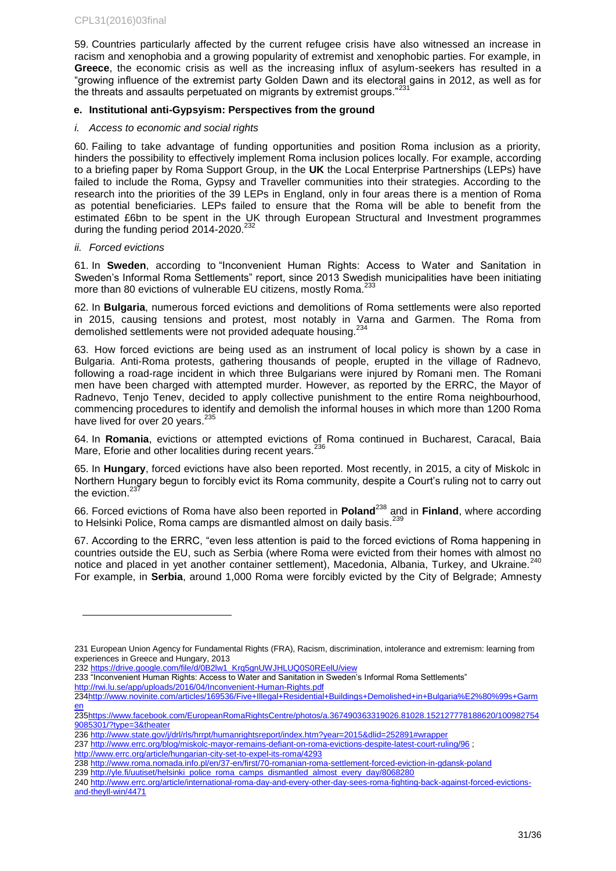59. Countries particularly affected by the current refugee crisis have also witnessed an increase in racism and xenophobia and a growing popularity of extremist and xenophobic parties. For example, in **Greece**, the economic crisis as well as the increasing influx of asylum-seekers has resulted in a "growing influence of the extremist party Golden Dawn and its electoral gains in 2012, as well as for the threats and assaults perpetuated on migrants by extremist groups."<sup>231</sup>

### <span id="page-30-0"></span>**e. Institutional anti-Gypsyism: Perspectives from the ground**

### *i. Access to economic and social rights*

60. Failing to take advantage of funding opportunities and position Roma inclusion as a priority, hinders the possibility to effectively implement Roma inclusion polices locally. For example, according to a briefing paper by Roma Support Group, in the **UK** the Local Enterprise Partnerships (LEPs) have failed to include the Roma, Gypsy and Traveller communities into their strategies. According to the research into the priorities of the 39 LEPs in England, only in four areas there is a mention of Roma as potential beneficiaries. LEPs failed to ensure that the Roma will be able to benefit from the estimated £6bn to be spent in the UK through European Structural and Investment programmes during the funding period 2014-2020.<sup>232</sup>

### *ii. Forced evictions*

l

61. In **Sweden**, according to "Inconvenient Human Rights: Access to Water and Sanitation in Sweden's Informal Roma Settlements" report, since 2013 Swedish municipalities have been initiating more than 80 evictions of vulnerable EU citizens, mostly Roma.<sup>233</sup>

62. In **Bulgaria**, numerous forced evictions and demolitions of Roma settlements were also reported in 2015, causing tensions and protest, most notably in Varna and Garmen. The Roma from demolished settlements were not provided adequate housing.<sup>234</sup>

63. How forced evictions are being used as an instrument of local policy is shown by a case in Bulgaria. Anti-Roma protests, gathering thousands of people, erupted in the village of Radnevo, following a road-rage incident in which three Bulgarians were injured by Romani men. The Romani men have been charged with attempted murder. However, as reported by the ERRC, the Mayor of Radnevo, Tenjo Tenev, decided to apply collective punishment to the entire Roma neighbourhood, commencing procedures to identify and demolish the informal houses in which more than 1200 Roma have lived for over 20 years.<sup>235</sup>

64. In **Romania**, evictions or attempted evictions of Roma continued in Bucharest, Caracal, Baia Mare, Eforie and other localities during recent years.<sup>236</sup>

65. In **Hungary**, forced evictions have also been reported. Most recently, in 2015, a city of Miskolc in Northern Hungary begun to forcibly evict its Roma community, despite a Court's ruling not to carry out the eviction. $237$ 

66. Forced evictions of Roma have also been reported in **Poland**<sup>238</sup> and in **Finland**, where according to Helsinki Police, Roma camps are dismantled almost on daily basis.<sup>239</sup>

67. According to the ERRC, "even less attention is paid to the forced evictions of Roma happening in countries outside the EU, such as Serbia (where Roma were evicted from their homes with almost no notice and placed in yet another container settlement), Macedonia, Albania, Turkey, and Ukraine.<sup>240</sup> For example, in **Serbia**, around 1,000 Roma were forcibly evicted by the City of Belgrade; Amnesty

233 "Inconvenient Human Rights: Access to Water and Sanitation in Sweden's Informal Roma Settlements"

<http://rwi.lu.se/app/uploads/2016/04/Inconvenient-Human-Rights.pdf>

<sup>231</sup> European Union Agency for Fundamental Rights (FRA), Racism, discrimination, intolerance and extremism: learning from experiences in Greece and Hungary, 2013

<sup>232</sup> [https://drive.google.com/file/d/0B2lw1\\_Krq5gnUWJHLUQ0S0REelU/view](https://drive.google.com/file/d/0B2lw1_Krq5gnUWJHLUQ0S0REelU/view)

[<sup>234</sup>http://www.novinite.com/articles/169536/Five+Illegal+Residential+Buildings+Demolished+in+Bulgaria%E2%80%99s+Garm](http://www.novinite.com/articles/169536/Five+Illegal+Residential+Buildings+Demolished+in+Bulgaria%E2%80%99s+Garmen) [en](http://www.novinite.com/articles/169536/Five+Illegal+Residential+Buildings+Demolished+in+Bulgaria%E2%80%99s+Garmen)

[<sup>235</sup>https://www.facebook.com/EuropeanRomaRightsCentre/photos/a.367490363319026.81028.152127778188620/100982754](https://www.facebook.com/EuropeanRomaRightsCentre/photos/a.367490363319026.81028.152127778188620/1009827549085301/?type=3&theater) [9085301/?type=3&theater](https://www.facebook.com/EuropeanRomaRightsCentre/photos/a.367490363319026.81028.152127778188620/1009827549085301/?type=3&theater)

<sup>236</sup> <http://www.state.gov/j/drl/rls/hrrpt/humanrightsreport/index.htm?year=2015&dlid=252891#wrapper>

<sup>237</sup> <http://www.errc.org/blog/miskolc-mayor-remains-defiant-on-roma-evictions-despite-latest-court-ruling/96> ;

<http://www.errc.org/article/hungarian-city-set-to-expel-its-roma/4293>

<sup>238</sup> <http://www.roma.nomada.info.pl/en/37-en/first/70-romanian-roma-settlement-forced-eviction-in-gdansk-poland>

<sup>239</sup> [http://yle.fi/uutiset/helsinki\\_police\\_roma\\_camps\\_dismantled\\_almost\\_every\\_day/8068280](http://yle.fi/uutiset/helsinki_police_roma_camps_dismantled_almost_every_day/8068280)

<sup>240</sup> [http://www.errc.org/article/international-roma-day-and-every-other-day-sees-roma-fighting-back-against-forced-evictions](http://www.errc.org/article/international-roma-day-and-every-other-day-sees-roma-fighting-back-against-forced-evictions-and-theyll-win/4471)[and-theyll-win/4471](http://www.errc.org/article/international-roma-day-and-every-other-day-sees-roma-fighting-back-against-forced-evictions-and-theyll-win/4471)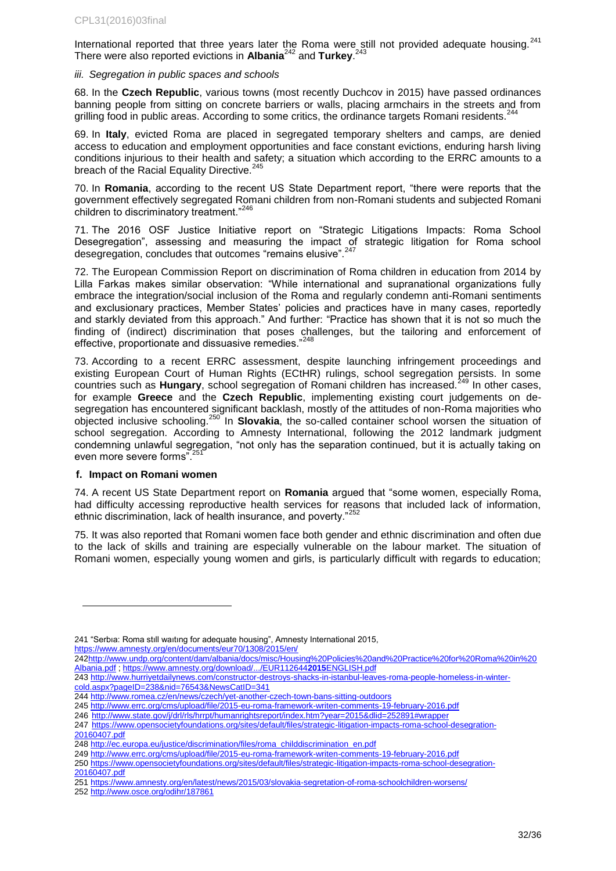International reported that three years later the Roma were still not provided adequate housing.<sup>241</sup> There were also reported evictions in **Albania**<sup>242</sup> and **Turkey**. 243

### *iii. Segregation in public spaces and schools*

68. In the **Czech Republic**, various towns (most recently Duchcov in 2015) have passed ordinances banning people from sitting on concrete barriers or walls, placing armchairs in the streets and from grilling food in public areas. According to some critics, the ordinance targets Romani residents.<sup>244</sup>

69. In **Italy**, evicted Roma are placed in segregated temporary shelters and camps, are denied access to education and employment opportunities and face constant evictions, enduring harsh living conditions injurious to their health and safety; a situation which according to the ERRC amounts to a breach of the Racial Equality Directive.

70. In **Romania**, according to the recent US State Department report, "there were reports that the government effectively segregated Romani children from non-Romani students and subjected Romani children to discriminatory treatment."<sup>246</sup>

71. The 2016 OSF Justice Initiative report on "Strategic Litigations Impacts: Roma School Desegregation", assessing and measuring the impact of strategic litigation for Roma school desegregation, concludes that outcomes "remains elusive".<sup>247</sup>

72. The European Commission Report on discrimination of Roma children in education from 2014 by Lilla Farkas makes similar observation: "While international and supranational organizations fully embrace the integration/social inclusion of the Roma and regularly condemn anti-Romani sentiments and exclusionary practices, Member States' policies and practices have in many cases, reportedly and starkly deviated from this approach." And further: "Practice has shown that it is not so much the finding of (indirect) discrimination that poses challenges, but the tailoring and enforcement of effective, proportionate and dissuasive remedies."<sup>248</sup>

73. According to a recent ERRC assessment, despite launching infringement proceedings and existing European Court of Human Rights (ECtHR) rulings, school segregation persists. In some countries such as **Hungary**, school segregation of Romani children has increased.<sup>249</sup> In other cases, for example **Greece** and the **Czech Republic**, implementing existing court judgements on desegregation has encountered significant backlash, mostly of the attitudes of non-Roma majorities who objected inclusive schooling.<sup>250</sup> In **Slovakia**, the so-called container school worsen the situation of school segregation. According to Amnesty International, following the 2012 landmark judgment condemning unlawful segregation, "not only has the separation continued, but it is actually taking on even more severe forms".<sup>25</sup>

### <span id="page-31-0"></span>**f. Impact on Romani women**

l

74. A recent US State Department report on **Romania** argued that "some women, especially Roma, had difficulty accessing reproductive health services for reasons that included lack of information, ethnic discrimination, lack of health insurance, and poverty."<sup>252</sup>

75. It was also reported that Romani women face both gender and ethnic discrimination and often due to the lack of skills and training are especially vulnerable on the labour market. The situation of Romani women, especially young women and girls, is particularly difficult with regards to education;

<https://www.amnesty.org/en/documents/eur70/1308/2015/en/>

<sup>241</sup> "Serbıa: Roma stıll waıtıng for adequate housing", Amnesty International 2015,

[<sup>242</sup>http://www.undp.org/content/dam/albania/docs/misc/Housing%20Policies%20and%20Practice%20for%20Roma%20in%20](http://www.undp.org/content/dam/albania/docs/misc/Housing%20Policies%20and%20Practice%20for%20Roma%20in%20Albania.pdf) [Albania.pdf](http://www.undp.org/content/dam/albania/docs/misc/Housing%20Policies%20and%20Practice%20for%20Roma%20in%20Albania.pdf) [; https://www.amnesty.org/download/.../EUR112644](https://www.amnesty.org/download/.../EUR1126442015ENGLISH.pdf)**2015**ENGLISH.pdf

<sup>243</sup> [http://www.hurriyetdailynews.com/constructor-destroys-shacks-in-istanbul-leaves-roma-people-homeless-in-winter](http://www.hurriyetdailynews.com/constructor-destroys-shacks-in-istanbul-leaves-roma-people-homeless-in-winter-cold.aspx?pageID=238&nid=76543&NewsCatID=341)[cold.aspx?pageID=238&nid=76543&NewsCatID=341](http://www.hurriyetdailynews.com/constructor-destroys-shacks-in-istanbul-leaves-roma-people-homeless-in-winter-cold.aspx?pageID=238&nid=76543&NewsCatID=341)

<sup>244</sup> <http://www.romea.cz/en/news/czech/yet-another-czech-town-bans-sitting-outdoors>

<sup>245</sup> <http://www.errc.org/cms/upload/file/2015-eu-roma-framework-writen-comments-19-february-2016.pdf>

<sup>246</sup> <http://www.state.gov/j/drl/rls/hrrpt/humanrightsreport/index.htm?year=2015&dlid=252891#wrapper>

<sup>247</sup> [https://www.opensocietyfoundations.org/sites/default/files/strategic-litigation-impacts-roma-school-desegration-](https://www.opensocietyfoundations.org/sites/default/files/strategic-litigation-impacts-roma-school-desegration-20160407.pdf)[20160407.pdf](https://www.opensocietyfoundations.org/sites/default/files/strategic-litigation-impacts-roma-school-desegration-20160407.pdf)

<sup>248</sup> [http://ec.europa.eu/justice/discrimination/files/roma\\_childdiscrimination\\_en.pdf](http://ec.europa.eu/justice/discrimination/files/roma_childdiscrimination_en.pdf)

<sup>249</sup> <http://www.errc.org/cms/upload/file/2015-eu-roma-framework-writen-comments-19-february-2016.pdf>

<sup>250</sup> [https://www.opensocietyfoundations.org/sites/default/files/strategic-litigation-impacts-roma-school-desegration-](https://www.opensocietyfoundations.org/sites/default/files/strategic-litigation-impacts-roma-school-desegration-20160407.pdf)[20160407.pdf](https://www.opensocietyfoundations.org/sites/default/files/strategic-litigation-impacts-roma-school-desegration-20160407.pdf)

<sup>251</sup> <https://www.amnesty.org/en/latest/news/2015/03/slovakia-segretation-of-roma-schoolchildren-worsens/>

<sup>252</sup> <http://www.osce.org/odihr/187861>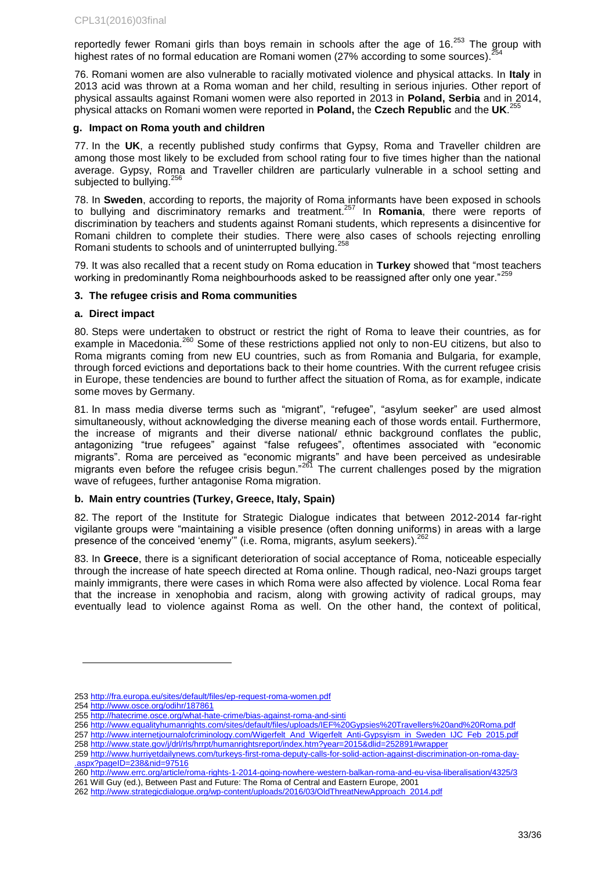reportedly fewer Romani girls than boys remain in schools after the age of  $16.253$  The group with highest rates of no formal education are Romani women (27% according to some sources).

76. Romani women are also vulnerable to racially motivated violence and physical attacks. In **Italy** in 2013 acid was thrown at a Roma woman and her child, resulting in serious injuries. Other report of physical assaults against Romani women were also reported in 2013 in **Poland, Serbia** and in 2014, physical attacks on Romani women were reported in **Poland,** the **Czech Republic** and the **UK**. 255

### <span id="page-32-0"></span>**g. Impact on Roma youth and children**

77. In the **UK**, a recently published study confirms that Gypsy, Roma and Traveller children are among those most likely to be excluded from school rating four to five times higher than the national average. Gypsy, Roma and Traveller children are particularly vulnerable in a school setting and subjected to bullying.<sup>256</sup>

78. In **Sweden**, according to reports, the majority of Roma informants have been exposed in schools to bullying and discriminatory remarks and treatment.<sup>257</sup> In **Romania**, there were reports of discrimination by teachers and students against Romani students, which represents a disincentive for Romani children to complete their studies. There were also cases of schools rejecting enrolling Romani students to schools and of uninterrupted bullying.<sup>25</sup>

79. It was also recalled that a recent study on Roma education in **Turkey** showed that "most teachers working in predominantly Roma neighbourhoods asked to be reassigned after only one year."<sup>259</sup>

### <span id="page-32-1"></span>**3. The refugee crisis and Roma communities**

### <span id="page-32-2"></span>**a. Direct impact**

80. Steps were undertaken to obstruct or restrict the right of Roma to leave their countries, as for example in Macedonia.<sup>260</sup> Some of these restrictions applied not only to non-EU citizens, but also to Roma migrants coming from new EU countries, such as from Romania and Bulgaria, for example, through forced evictions and deportations back to their home countries. With the current refugee crisis in Europe, these tendencies are bound to further affect the situation of Roma, as for example, indicate some moves by Germany.

81. In mass media diverse terms such as "migrant", "refugee", "asylum seeker" are used almost simultaneously, without acknowledging the diverse meaning each of those words entail. Furthermore, the increase of migrants and their diverse national/ ethnic background conflates the public, antagonizing "true refugees" against "false refugees", oftentimes associated with "economic migrants". Roma are perceived as "economic migrants" and have been perceived as undesirable migrants even before the refugee crisis begun."<sup>261</sup> The current challenges posed by the migration wave of refugees, further antagonise Roma migration.

### <span id="page-32-3"></span>**b. Main entry countries (Turkey, Greece, Italy, Spain)**

82. The report of the Institute for Strategic Dialogue indicates that between 2012-2014 far-right vigilante groups were "maintaining a visible presence (often donning uniforms) in areas with a large presence of the conceived 'enemy" (i.e. Roma, migrants, asylum seekers).<sup>2</sup>

83. In **Greece**, there is a significant deterioration of social acceptance of Roma, noticeable especially through the increase of hate speech directed at Roma online. Though radical, neo-Nazi groups target mainly immigrants, there were cases in which Roma were also affected by violence. Local Roma fear that the increase in xenophobia and racism, along with growing activity of radical groups, may eventually lead to violence against Roma as well. On the other hand, the context of political,

<sup>253</sup> <http://fra.europa.eu/sites/default/files/ep-request-roma-women.pdf>

<sup>254</sup> <http://www.osce.org/odihr/187861>

<sup>255</sup> <http://hatecrime.osce.org/what-hate-crime/bias-against-roma-and-sinti>

<sup>256</sup> <http://www.equalityhumanrights.com/sites/default/files/uploads/IEF%20Gypsies%20Travellers%20and%20Roma.pdf>

<sup>257</sup> [http://www.internetjournalofcriminology.com/Wigerfelt\\_And\\_Wigerfelt\\_Anti-Gypsyism\\_in\\_Sweden\\_IJC\\_Feb\\_2015.pdf](http://www.internetjournalofcriminology.com/Wigerfelt_And_Wigerfelt_Anti-Gypsyism_in_Sweden_IJC_Feb_2015.pdf)

<sup>258</sup> <http://www.state.gov/j/drl/rls/hrrpt/humanrightsreport/index.htm?year=2015&dlid=252891#wrapper>

<sup>259</sup> [http://www.hurriyetdailynews.com/turkeys-first-roma-deputy-calls-for-solid-action-against-discrimination-on-roma-day-](http://www.hurriyetdailynews.com/turkeys-first-roma-deputy-calls-for-solid-action-against-discrimination-on-roma-day-.aspx?pageID=238&nid=97516) [.aspx?pageID=238&nid=97516](http://www.hurriyetdailynews.com/turkeys-first-roma-deputy-calls-for-solid-action-against-discrimination-on-roma-day-.aspx?pageID=238&nid=97516)

<sup>260</sup> <http://www.errc.org/article/roma-rights-1-2014-going-nowhere-western-balkan-roma-and-eu-visa-liberalisation/4325/3> 261 Will Guy (ed.), Between Past and Future: The Roma of Central and Eastern Europe, 2001

<sup>262</sup> [http://www.strategicdialogue.org/wp-content/uploads/2016/03/OldThreatNewApproach\\_2014.pdf](http://www.strategicdialogue.org/wp-content/uploads/2016/03/OldThreatNewApproach_2014.pdf)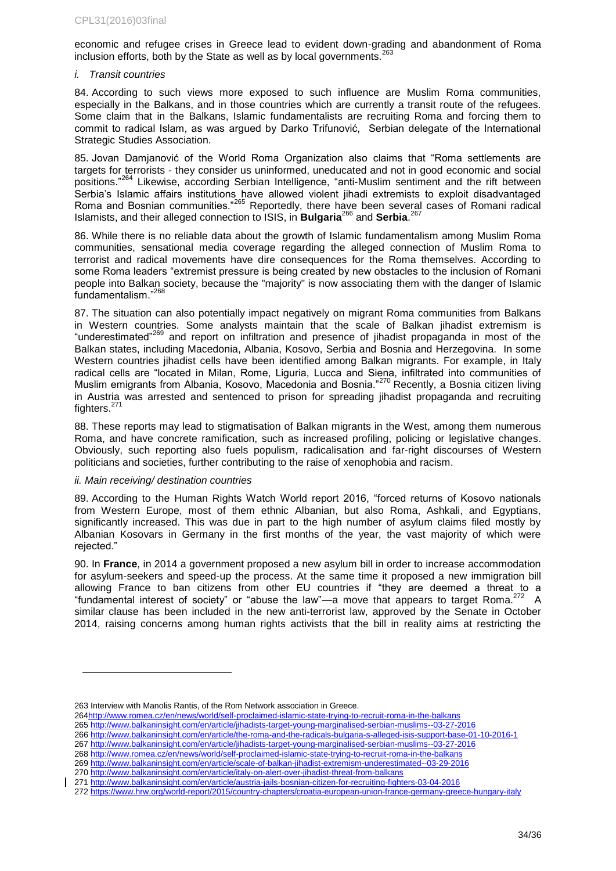economic and refugee crises in Greece lead to evident down-grading and abandonment of Roma inclusion efforts, both by the State as well as by local governments.  $263$ 

### *i. Transit countries*

84. According to such views more exposed to such influence are Muslim Roma communities, especially in the Balkans, and in those countries which are currently a transit route of the refugees. Some claim that in the Balkans, Islamic fundamentalists are recruiting Roma and forcing them to commit to radical Islam, as was argued by Darko Trifunović, Serbian delegate of the International Strategic Studies Association.

85. Jovan Damjanović of the World Roma Organization also claims that "Roma settlements are targets for terrorists - they consider us uninformed, uneducated and not in good economic and social positions."<sup>264</sup> Likewise, according Serbian Intelligence, "anti-Muslim sentiment and the rift between Serbia's Islamic affairs institutions have allowed violent jihadi extremists to exploit disadvantaged Roma and Bosnian communities."<sup>265</sup> Reportedly, there have been several cases of Romani radical Islamists, and their alleged connection to ISIS, in **Bulgaria**<sup>266</sup> and **Serbia**. 267

86. While there is no reliable data about the growth of Islamic fundamentalism among Muslim Roma communities, sensational media coverage regarding the alleged connection of Muslim Roma to terrorist and radical movements have dire consequences for the Roma themselves. According to some Roma leaders "extremist pressure is being created by new obstacles to the inclusion of Romani people into Balkan society, because the "majority" is now associating them with the danger of Islamic fundamentalism."<sup>268</sup>

87. The situation can also potentially impact negatively on migrant Roma communities from Balkans in Western countries. Some analysts maintain that the scale of Balkan jihadist extremism is "underestimated"<sup>269</sup> and report on infiltration and presence of jihadist propaganda in most of the Balkan states, including Macedonia, Albania, Kosovo, Serbia and Bosnia and Herzegovina. In some Western countries jihadist cells have been identified among Balkan migrants. For example, in Italy radical cells are "located in Milan, Rome, Liguria, Lucca and Siena, infiltrated into communities of Muslim emigrants from Albania, Kosovo, Macedonia and Bosnia."<sup>270</sup> Recently, a Bosnia citizen living in Austria was arrested and sentenced to prison for spreading jihadist propaganda and recruiting fighters.<sup>271</sup>

88. These reports may lead to stigmatisation of Balkan migrants in the West, among them numerous Roma, and have concrete ramification, such as increased profiling, policing or legislative changes. Obviously, such reporting also fuels populism, radicalisation and far-right discourses of Western politicians and societies, further contributing to the raise of xenophobia and racism.

#### *ii. Main receiving/ destination countries*

l

89. According to the Human Rights Watch World report 2016, "forced returns of Kosovo nationals from Western Europe, most of them ethnic Albanian, but also Roma, Ashkali, and Egyptians, significantly increased. This was due in part to the high number of asylum claims filed mostly by Albanian Kosovars in Germany in the first months of the year, the vast majority of which were rejected."

90. In **France**, in 2014 a government proposed a new asylum bill in order to increase accommodation for asylum-seekers and speed-up the process. At the same time it proposed a new immigration bill allowing France to ban citizens from other EU countries if "they are deemed a threat to a "fundamental interest of society" or "abuse the law"—a move that appears to target Roma.<sup>272</sup> A similar clause has been included in the new anti-terrorist law, approved by the Senate in October 2014, raising concerns among human rights activists that the bill in reality aims at restricting the

265 <http://www.balkaninsight.com/en/article/jihadists-target-young-marginalised-serbian-muslims--03-27-2016>

- 267 <http://www.balkaninsight.com/en/article/jihadists-target-young-marginalised-serbian-muslims--03-27-2016>
- 268 <http://www.romea.cz/en/news/world/self-proclaimed-islamic-state-trying-to-recruit-roma-in-the-balkans>

269 <http://www.balkaninsight.com/en/article/scale-of-balkan-jihadist-extremism-underestimated--03-29-2016> 270 <http://www.balkaninsight.com/en/article/italy-on-alert-over-jihadist-threat-from-balkans>

<sup>263</sup> Interview with Manolis Rantis, of the Rom Network association in Greece.

[<sup>264</sup>http://www.romea.cz/en/news/world/self-proclaimed-islamic-state-trying-to-recruit-roma-in-the-balkans](http://www.romea.cz/en/news/world/self-proclaimed-islamic-state-trying-to-recruit-roma-in-the-balkans) 

<sup>266</sup> <http://www.balkaninsight.com/en/article/the-roma-and-the-radicals-bulgaria-s-alleged-isis-support-base-01-10-2016-1>

<sup>271</sup> <http://www.balkaninsight.com/en/article/austria-jails-bosnian-citizen-for-recruiting-fighters-03-04-2016>

<sup>272</sup> <https://www.hrw.org/world-report/2015/country-chapters/croatia-european-union-france-germany-greece-hungary-italy>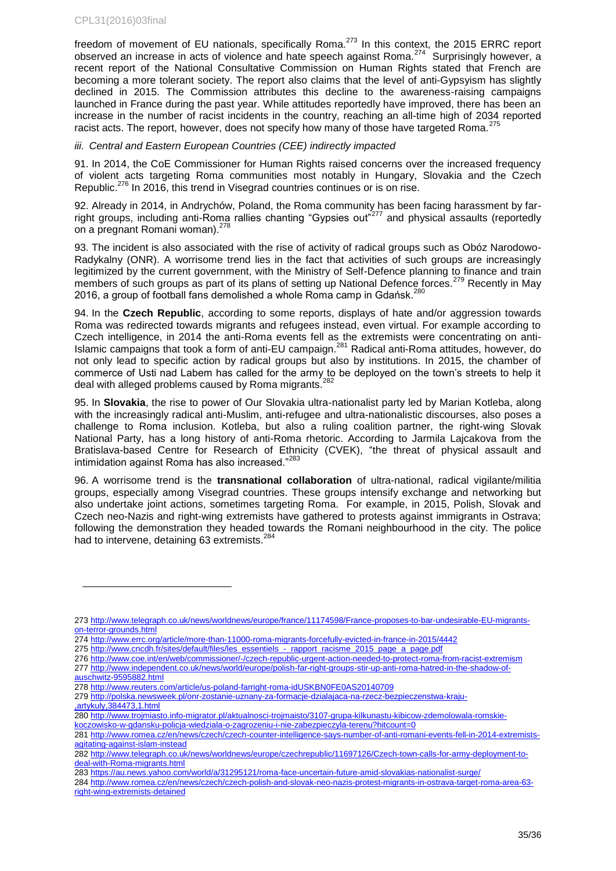l

freedom of movement of EU nationals, specifically Roma.<sup>273</sup> In this context, the 2015 ERRC report observed an increase in acts of violence and hate speech against Roma.<sup>274</sup> Surprisingly however, a recent report of the National Consultative Commission on Human Rights stated that French are becoming a more tolerant society. The report also claims that the level of anti-Gypsyism has slightly declined in 2015. The Commission attributes this decline to the awareness-raising campaigns launched in France during the past year. While attitudes reportedly have improved, there has been an increase in the number of racist incidents in the country, reaching an all-time high of 2034 reported racist acts. The report, however, does not specify how many of those have targeted Roma.<sup>275</sup>

### *iii. Central and Eastern European Countries (CEE) indirectly impacted*

91. In 2014, the CoE Commissioner for Human Rights raised concerns over the increased frequency of violent acts targeting Roma communities most notably in Hungary, Slovakia and the Czech Republic.<sup>276</sup> In 2016, this trend in Visegrad countries continues or is on rise.

92. Already in 2014, in Andrychów, Poland, the Roma community has been facing harassment by farright groups, including anti-Roma rallies chanting "Gypsies out"<sup>277</sup> and physical assaults (reportedly on a pregnant Romani woman).<sup>278</sup>

93. The incident is also associated with the rise of activity of radical groups such as Obóz Narodowo-Radykalny (ONR). A worrisome trend lies in the fact that activities of such groups are increasingly legitimized by the current government, with the Ministry of Self-Defence planning to finance and train members of such groups as part of its plans of setting up National Defence forces.<sup>279</sup> Recently in May 2016, a group of football fans demolished a whole Roma camp in Gdańsk.<sup>280</sup>

94. In the **Czech Republic**, according to some reports, displays of hate and/or aggression towards Roma was redirected towards migrants and refugees instead, even virtual. For example according to Czech intelligence, in 2014 the anti-Roma events fell as the extremists were concentrating on anti-Islamic campaigns that took a form of anti-EU campaign.<sup>281</sup> Radical anti-Roma attitudes, however, do not only lead to specific action by radical groups but also by institutions. In 2015, the chamber of commerce of Usti nad Labem has called for the army to be deployed on the town's streets to help it deal with alleged problems caused by Roma migrants.<sup>282</sup>

95. In **Slovakia**, the rise to power of Our Slovakia ultra-nationalist party led by Marian Kotleba, along with the increasingly radical anti-Muslim, anti-refugee and ultra-nationalistic discourses, also poses a challenge to Roma inclusion. Kotleba, but also a ruling coalition partner, the right-wing Slovak National Party, has a long history of anti-Roma rhetoric. According to Jarmila Lajcakova from the Bratislava-based Centre for Research of Ethnicity (CVEK), "the threat of physical assault and intimidation against Roma has also increased."<sup>283</sup>

96. A worrisome trend is the **transnational collaboration** of ultra-national, radical vigilante/militia groups, especially among Visegrad countries. These groups intensify exchange and networking but also undertake joint actions, sometimes targeting Roma. For example, in 2015, Polish, Slovak and Czech neo-Nazis and right-wing extremists have gathered to protests against immigrants in Ostrava; following the demonstration they headed towards the Romani neighbourhood in the city. The police had to intervene, detaining 63 extremists.<sup>284</sup>

- 275 [http://www.cncdh.fr/sites/default/files/les\\_essentiels\\_-\\_rapport\\_racisme\\_2015\\_page\\_a\\_page.pdf](http://www.cncdh.fr/sites/default/files/les_essentiels_-_rapport_racisme_2015_page_a_page.pdf)
- 276 <http://www.coe.int/en/web/commissioner/-/czech-republic-urgent-action-needed-to-protect-roma-from-racist-extremism> 277 [http://www.independent.co.uk/news/world/europe/polish-far-right-groups-stir-up-anti-roma-hatred-in-the-shadow-of](http://www.independent.co.uk/news/world/europe/polish-far-right-groups-stir-up-anti-roma-hatred-in-the-shadow-of-auschwitz-9595882.html)[auschwitz-9595882.html](http://www.independent.co.uk/news/world/europe/polish-far-right-groups-stir-up-anti-roma-hatred-in-the-shadow-of-auschwitz-9595882.html)
- 278 <http://www.reuters.com/article/us-poland-farright-roma-idUSKBN0FE0AS20140709>
- 279 [http://polska.newsweek.pl/onr-zostanie-uznany-za-formacje-dzialajaca-na-rzecz-bezpieczenstwa-kraju-](http://polska.newsweek.pl/onr-zostanie-uznany-za-formacje-dzialajaca-na-rzecz-bezpieczenstwa-kraju-,artykuly,384473,1.html) [,artykuly,384473,1.html](http://polska.newsweek.pl/onr-zostanie-uznany-za-formacje-dzialajaca-na-rzecz-bezpieczenstwa-kraju-,artykuly,384473,1.html)
- 280 [http://www.trojmiasto.info-migrator.pl/aktualnosci-trojmaisto/3107-grupa-kilkunastu-kibicow-zdemolowala-romskie-](http://www.trojmiasto.info-migrator.pl/aktualnosci-trojmaisto/3107-grupa-kilkunastu-kibicow-zdemolowala-romskie-koczowisko-w-gdansku-policja-wiedziala-o-zagrozeniu-i-nie-zabezpieczyla-terenu?hitcount=0)
- [koczowisko-w-gdansku-policja-wiedziala-o-zagrozeniu-i-nie-zabezpieczyla-terenu?hitcount=0](http://www.trojmiasto.info-migrator.pl/aktualnosci-trojmaisto/3107-grupa-kilkunastu-kibicow-zdemolowala-romskie-koczowisko-w-gdansku-policja-wiedziala-o-zagrozeniu-i-nie-zabezpieczyla-terenu?hitcount=0)

<sup>273</sup> [http://www.telegraph.co.uk/news/worldnews/europe/france/11174598/France-proposes-to-bar-undesirable-EU-migrants](http://www.telegraph.co.uk/news/worldnews/europe/france/11174598/France-proposes-to-bar-undesirable-EU-migrants-on-terror-grounds.html)[on-terror-grounds.html](http://www.telegraph.co.uk/news/worldnews/europe/france/11174598/France-proposes-to-bar-undesirable-EU-migrants-on-terror-grounds.html)

<sup>274</sup> <http://www.errc.org/article/more-than-11000-roma-migrants-forcefully-evicted-in-france-in-2015/4442>

<sup>281</sup> [http://www.romea.cz/en/news/czech/czech-counter-intelligence-says-number-of-anti-romani-events-fell-in-2014-extremists](http://www.romea.cz/en/news/czech/czech-counter-intelligence-says-number-of-anti-romani-events-fell-in-2014-extremists-agitating-against-islam-instead)[agitating-against-islam-instead](http://www.romea.cz/en/news/czech/czech-counter-intelligence-says-number-of-anti-romani-events-fell-in-2014-extremists-agitating-against-islam-instead)

<sup>282</sup> [http://www.telegraph.co.uk/news/worldnews/europe/czechrepublic/11697126/Czech-town-calls-for-army-deployment-to](http://www.telegraph.co.uk/news/worldnews/europe/czechrepublic/11697126/Czech-town-calls-for-army-deployment-to-deal-with-Roma-migrants.html)[deal-with-Roma-migrants.html](http://www.telegraph.co.uk/news/worldnews/europe/czechrepublic/11697126/Czech-town-calls-for-army-deployment-to-deal-with-Roma-migrants.html)

<sup>283</sup> <https://au.news.yahoo.com/world/a/31295121/roma-face-uncertain-future-amid-slovakias-nationalist-surge/>

<sup>284</sup> [http://www.romea.cz/en/news/czech/czech-polish-and-slovak-neo-nazis-protest-migrants-in-ostrava-target-roma-area-63](http://www.romea.cz/en/news/czech/czech-polish-and-slovak-neo-nazis-protest-migrants-in-ostrava-target-roma-area-63-right-wing-extremists-detained) [right-wing-extremists-detained](http://www.romea.cz/en/news/czech/czech-polish-and-slovak-neo-nazis-protest-migrants-in-ostrava-target-roma-area-63-right-wing-extremists-detained)